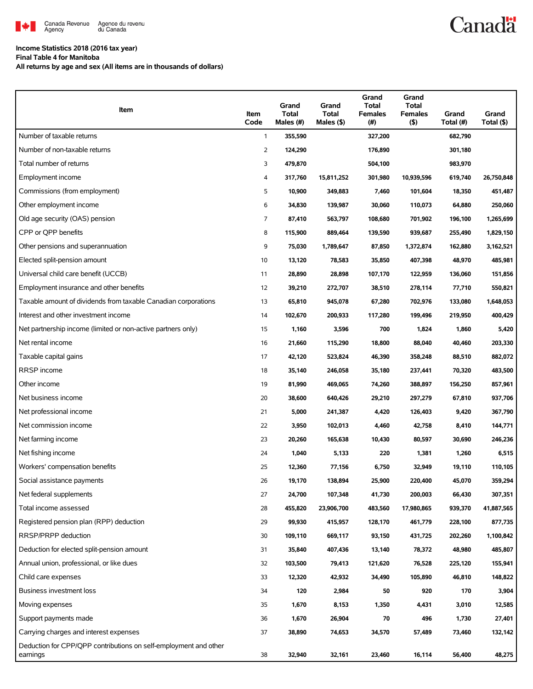

## **Income Statistics 2018 (2016 tax year)**

**Final Table 4 for Manitoba**

**All returns by age and sex (All items are in thousands of dollars)**

| Item                                                                         | Item<br>Code   | Grand<br><b>Total</b><br>Males (#) | Grand<br><b>Total</b><br>Males (\$) | Grand<br>Total<br><b>Females</b><br>(# ) | Grand<br><b>Total</b><br><b>Females</b><br>$($ \$) | Grand<br>Total (#) | Grand<br>Total (\$) |
|------------------------------------------------------------------------------|----------------|------------------------------------|-------------------------------------|------------------------------------------|----------------------------------------------------|--------------------|---------------------|
| Number of taxable returns                                                    | $\mathbf{1}$   | 355,590                            |                                     | 327,200                                  |                                                    | 682,790            |                     |
| Number of non-taxable returns                                                | 2              | 124,290                            |                                     | 176,890                                  |                                                    | 301,180            |                     |
| Total number of returns                                                      | 3              | 479,870                            |                                     | 504,100                                  |                                                    | 983,970            |                     |
| Employment income                                                            | 4              | 317,760                            | 15,811,252                          | 301,980                                  | 10,939,596                                         | 619,740            | 26,750,848          |
| Commissions (from employment)                                                | 5              | 10,900                             | 349,883                             | 7,460                                    | 101,604                                            | 18,350             | 451,487             |
| Other employment income                                                      | 6              | 34,830                             | 139,987                             | 30,060                                   | 110,073                                            | 64,880             | 250,060             |
| Old age security (OAS) pension                                               | $\overline{7}$ | 87,410                             | 563,797                             | 108,680                                  | 701,902                                            | 196,100            | 1,265,699           |
| CPP or QPP benefits                                                          | 8              | 115,900                            | 889,464                             | 139,590                                  | 939,687                                            | 255,490            | 1,829,150           |
| Other pensions and superannuation                                            | 9              | 75,030                             | 1,789,647                           | 87,850                                   | 1,372,874                                          | 162,880            | 3,162,521           |
| Elected split-pension amount                                                 | 10             | 13,120                             | 78,583                              | 35,850                                   | 407,398                                            | 48,970             | 485,981             |
| Universal child care benefit (UCCB)                                          | 11             | 28,890                             | 28,898                              | 107,170                                  | 122,959                                            | 136,060            | 151,856             |
| Employment insurance and other benefits                                      | 12             | 39,210                             | 272,707                             | 38,510                                   | 278,114                                            | 77,710             | 550,821             |
| Taxable amount of dividends from taxable Canadian corporations               | 13             | 65,810                             | 945,078                             | 67,280                                   | 702,976                                            | 133,080            | 1,648,053           |
| Interest and other investment income                                         | 14             | 102,670                            | 200,933                             | 117,280                                  | 199,496                                            | 219,950            | 400,429             |
| Net partnership income (limited or non-active partners only)                 | 15             | 1,160                              | 3,596                               | 700                                      | 1,824                                              | 1,860              | 5,420               |
| Net rental income                                                            | 16             | 21,660                             | 115,290                             | 18,800                                   | 88,040                                             | 40,460             | 203,330             |
| Taxable capital gains                                                        | 17             | 42,120                             | 523,824                             | 46,390                                   | 358,248                                            | 88,510             | 882,072             |
| RRSP income                                                                  | 18             | 35,140                             | 246,058                             | 35,180                                   | 237,441                                            | 70,320             | 483,500             |
| Other income                                                                 | 19             | 81,990                             | 469,065                             | 74,260                                   | 388,897                                            | 156,250            | 857,961             |
| Net business income                                                          | 20             | 38,600                             | 640,426                             | 29,210                                   | 297,279                                            | 67,810             | 937,706             |
| Net professional income                                                      | 21             | 5,000                              | 241,387                             | 4,420                                    | 126,403                                            | 9,420              | 367,790             |
| Net commission income                                                        | 22             | 3,950                              | 102,013                             | 4,460                                    | 42,758                                             | 8,410              | 144,771             |
| Net farming income                                                           | 23             | 20,260                             | 165,638                             | 10,430                                   | 80,597                                             | 30,690             | 246,236             |
| Net fishing income                                                           | 24             | 1,040                              | 5,133                               | 220                                      | 1,381                                              | 1,260              | 6,515               |
| Workers' compensation benefits                                               | 25             | 12,360                             | 77,156                              | 6,750                                    | 32,949                                             | 19,110             | 110,105             |
| Social assistance payments                                                   | 26             | 19,170                             | 138,894                             | 25,900                                   | 220,400                                            | 45,070             | 359,294             |
| Net federal supplements                                                      | 27             | 24,700                             | 107,348                             | 41,730                                   | 200,003                                            | 66,430             | 307,351             |
| Total income assessed                                                        | 28             | 455,820                            | 23,906,700                          | 483,560                                  | 17,980,865                                         | 939,370            | 41,887,565          |
| Registered pension plan (RPP) deduction                                      | 29             | 99,930                             | 415,957                             | 128,170                                  | 461,779                                            | 228,100            | 877,735             |
| RRSP/PRPP deduction                                                          | 30             | 109,110                            | 669,117                             | 93,150                                   | 431,725                                            | 202,260            | 1,100,842           |
| Deduction for elected split-pension amount                                   | 31             | 35,840                             | 407,436                             | 13,140                                   | 78,372                                             | 48,980             | 485,807             |
| Annual union, professional, or like dues                                     | 32             | 103,500                            | 79,413                              | 121,620                                  | 76,528                                             | 225,120            | 155,941             |
| Child care expenses                                                          | 33             | 12,320                             | 42,932                              | 34,490                                   | 105,890                                            | 46,810             | 148,822             |
| Business investment loss                                                     | 34             | 120                                | 2,984                               | 50                                       | 920                                                | 170                | 3,904               |
| Moving expenses                                                              | 35             | 1,670                              | 8,153                               | 1,350                                    | 4,431                                              | 3,010              | 12,585              |
| Support payments made                                                        | 36             | 1,670                              | 26,904                              | 70                                       | 496                                                | 1,730              | 27,401              |
| Carrying charges and interest expenses                                       | 37             | 38,890                             | 74,653                              | 34,570                                   | 57,489                                             | 73,460             | 132,142             |
| Deduction for CPP/QPP contributions on self-employment and other<br>earnings | 38             | 32,940                             | 32,161                              | 23,460                                   | 16,114                                             | 56,400             | 48,275              |

Canadä<sup>t</sup>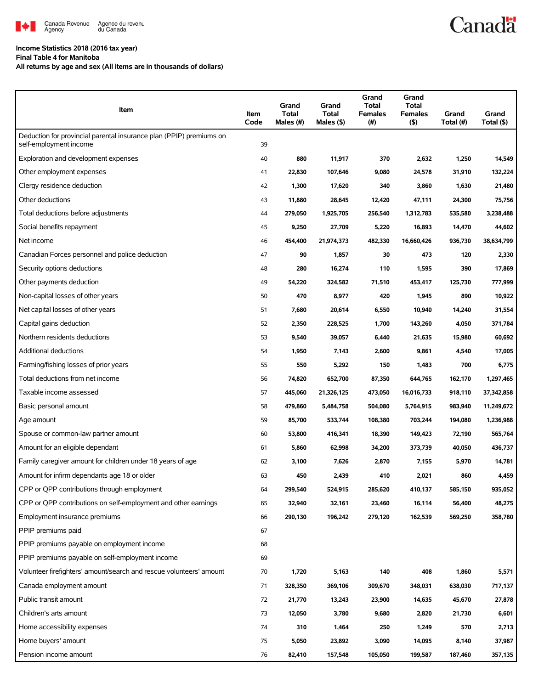

## **Income Statistics 2018 (2016 tax year)**

**Final Table 4 for Manitoba**

**All returns by age and sex (All items are in thousands of dollars)**

| Item                                                                                          | Item<br>Code | Grand<br><b>Total</b><br>Males (#) | Grand<br><b>Total</b><br>Males (\$) | Grand<br><b>Total</b><br><b>Females</b><br>$(\#)$ | Grand<br><b>Total</b><br><b>Females</b><br>$($ \$) | Grand<br>Total (#) | Grand<br>Total (\$) |
|-----------------------------------------------------------------------------------------------|--------------|------------------------------------|-------------------------------------|---------------------------------------------------|----------------------------------------------------|--------------------|---------------------|
| Deduction for provincial parental insurance plan (PPIP) premiums on<br>self-employment income | 39           |                                    |                                     |                                                   |                                                    |                    |                     |
| Exploration and development expenses                                                          | 40           | 880                                | 11,917                              | 370                                               | 2,632                                              | 1,250              | 14,549              |
| Other employment expenses                                                                     | 41           | 22,830                             | 107,646                             | 9,080                                             | 24,578                                             | 31,910             | 132,224             |
| Clergy residence deduction                                                                    | 42           | 1,300                              | 17,620                              | 340                                               | 3,860                                              | 1,630              | 21,480              |
| Other deductions                                                                              | 43           | 11,880                             | 28,645                              | 12,420                                            | 47,111                                             | 24,300             | 75,756              |
| Total deductions before adjustments                                                           | 44           | 279,050                            | 1,925,705                           | 256,540                                           | 1,312,783                                          | 535,580            | 3,238,488           |
| Social benefits repayment                                                                     | 45           | 9,250                              | 27,709                              | 5,220                                             | 16,893                                             | 14,470             | 44,602              |
| Net income                                                                                    | 46           | 454,400                            | 21,974,373                          | 482,330                                           | 16,660,426                                         | 936,730            | 38,634,799          |
| Canadian Forces personnel and police deduction                                                | 47           | 90                                 | 1,857                               | 30                                                | 473                                                | 120                | 2,330               |
| Security options deductions                                                                   | 48           | 280                                | 16,274                              | 110                                               | 1,595                                              | 390                | 17,869              |
| Other payments deduction                                                                      | 49           | 54,220                             | 324,582                             | 71,510                                            | 453,417                                            | 125,730            | 777,999             |
| Non-capital losses of other years                                                             | 50           | 470                                | 8,977                               | 420                                               | 1,945                                              | 890                | 10,922              |
| Net capital losses of other years                                                             | 51           | 7,680                              | 20,614                              | 6,550                                             | 10,940                                             | 14,240             | 31,554              |
| Capital gains deduction                                                                       | 52           | 2,350                              | 228,525                             | 1,700                                             | 143,260                                            | 4,050              | 371,784             |
| Northern residents deductions                                                                 | 53           | 9,540                              | 39,057                              | 6,440                                             | 21,635                                             | 15,980             | 60,692              |
| Additional deductions                                                                         | 54           | 1,950                              | 7,143                               | 2,600                                             | 9,861                                              | 4,540              | 17,005              |
| Farming/fishing losses of prior years                                                         | 55           | 550                                | 5,292                               | 150                                               | 1,483                                              | 700                | 6,775               |
| Total deductions from net income                                                              | 56           | 74,820                             | 652,700                             | 87,350                                            | 644,765                                            | 162,170            | 1,297,465           |
| Taxable income assessed                                                                       | 57           | 445,060                            | 21,326,125                          | 473,050                                           | 16,016,733                                         | 918,110            | 37,342,858          |
| Basic personal amount                                                                         | 58           | 479,860                            | 5,484,758                           | 504,080                                           | 5,764,915                                          | 983,940            | 11,249,672          |
| Age amount                                                                                    | 59           | 85,700                             | 533,744                             | 108,380                                           | 703,244                                            | 194,080            | 1,236,988           |
| Spouse or common-law partner amount                                                           | 60           | 53,800                             | 416,341                             | 18,390                                            | 149,423                                            | 72,190             | 565,764             |
| Amount for an eligible dependant                                                              | 61           | 5,860                              | 62,998                              | 34,200                                            | 373,739                                            | 40,050             | 436,737             |
| Family caregiver amount for children under 18 years of age                                    | 62           | 3,100                              | 7,626                               | 2,870                                             | 7,155                                              | 5,970              | 14,781              |
| Amount for infirm dependants age 18 or older                                                  | 63           | 450                                | 2,439                               | 410                                               | 2,021                                              | 860                | 4,459               |
| CPP or QPP contributions through employment                                                   | 64           | 299,540                            | 524,915                             | 285,620                                           | 410,137                                            | 585,150            | 935,052             |
| CPP or QPP contributions on self-employment and other earnings                                | 65           | 32,940                             | 32,161                              | 23,460                                            | 16,114                                             | 56,400             | 48,275              |
| Employment insurance premiums                                                                 | 66           | 290,130                            | 196,242                             | 279,120                                           | 162,539                                            | 569,250            | 358,780             |
| PPIP premiums paid                                                                            | 67           |                                    |                                     |                                                   |                                                    |                    |                     |
| PPIP premiums payable on employment income                                                    | 68           |                                    |                                     |                                                   |                                                    |                    |                     |
| PPIP premiums payable on self-employment income                                               | 69           |                                    |                                     |                                                   |                                                    |                    |                     |
| Volunteer firefighters' amount/search and rescue volunteers' amount                           | 70           | 1,720                              | 5,163                               | 140                                               | 408                                                | 1,860              | 5,571               |
| Canada employment amount                                                                      | 71           | 328,350                            | 369,106                             | 309,670                                           | 348,031                                            | 638,030            | 717,137             |
| Public transit amount                                                                         | 72           | 21,770                             | 13,243                              | 23,900                                            | 14,635                                             | 45,670             | 27,878              |
| Children's arts amount                                                                        | 73           | 12,050                             | 3,780                               | 9,680                                             | 2,820                                              | 21,730             | 6,601               |
| Home accessibility expenses                                                                   | 74           | 310                                | 1,464                               | 250                                               | 1,249                                              | 570                | 2,713               |
| Home buyers' amount                                                                           | 75           | 5,050                              | 23,892                              | 3,090                                             | 14,095                                             | 8,140              | 37,987              |
| Pension income amount                                                                         | 76           | 82,410                             | 157,548                             | 105,050                                           | 199,587                                            | 187,460            | 357,135             |

**Canadä**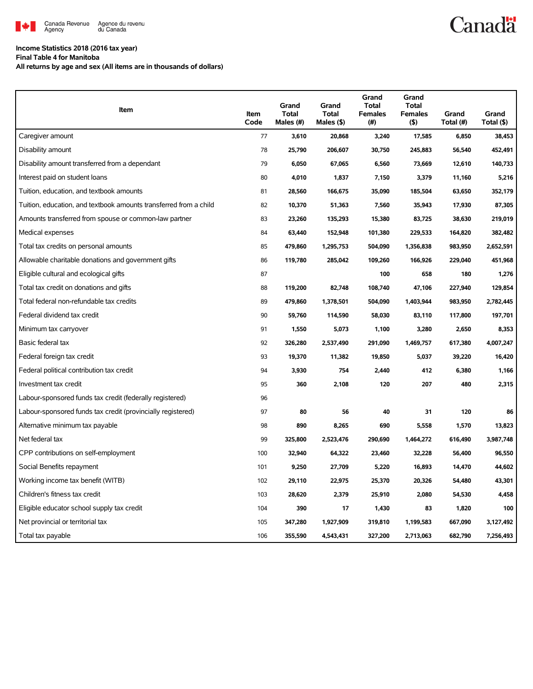

## **Canadä**

## **Income Statistics 2018 (2016 tax year)**

**Final Table 4 for Manitoba**

**All returns by age and sex (All items are in thousands of dollars)**

| Item                                                              | Item<br>Code | Grand<br><b>Total</b><br>Males (#) | Grand<br><b>Total</b><br>Males $($ \$) | Grand<br><b>Total</b><br><b>Females</b><br>(#) | Grand<br><b>Total</b><br><b>Females</b><br>$($ \$) | Grand<br>Total (#) | Grand<br>Total (\$) |
|-------------------------------------------------------------------|--------------|------------------------------------|----------------------------------------|------------------------------------------------|----------------------------------------------------|--------------------|---------------------|
| Caregiver amount                                                  | 77           | 3.610                              | 20.868                                 | 3,240                                          | 17,585                                             | 6,850              | 38,453              |
| Disability amount                                                 | 78           | 25,790                             | 206,607                                | 30,750                                         | 245,883                                            | 56,540             | 452,491             |
| Disability amount transferred from a dependant                    | 79           | 6,050                              | 67,065                                 | 6,560                                          | 73,669                                             | 12,610             | 140,733             |
| Interest paid on student loans                                    | 80           | 4,010                              | 1,837                                  | 7,150                                          | 3,379                                              | 11,160             | 5,216               |
| Tuition, education, and textbook amounts                          | 81           | 28,560                             | 166,675                                | 35,090                                         | 185,504                                            | 63,650             | 352,179             |
| Tuition, education, and textbook amounts transferred from a child | 82           | 10,370                             | 51,363                                 | 7,560                                          | 35,943                                             | 17,930             | 87,305              |
| Amounts transferred from spouse or common-law partner             | 83           | 23,260                             | 135,293                                | 15,380                                         | 83,725                                             | 38,630             | 219,019             |
| Medical expenses                                                  | 84           | 63,440                             | 152,948                                | 101,380                                        | 229,533                                            | 164,820            | 382,482             |
| Total tax credits on personal amounts                             | 85           | 479,860                            | 1,295,753                              | 504,090                                        | 1,356,838                                          | 983,950            | 2,652,591           |
| Allowable charitable donations and government gifts               | 86           | 119,780                            | 285,042                                | 109,260                                        | 166,926                                            | 229,040            | 451,968             |
| Eligible cultural and ecological gifts                            | 87           |                                    |                                        | 100                                            | 658                                                | 180                | 1,276               |
| Total tax credit on donations and gifts                           | 88           | 119,200                            | 82,748                                 | 108,740                                        | 47,106                                             | 227,940            | 129,854             |
| Total federal non-refundable tax credits                          | 89           | 479,860                            | 1,378,501                              | 504,090                                        | 1,403,944                                          | 983,950            | 2,782,445           |
| Federal dividend tax credit                                       | 90           | 59,760                             | 114,590                                | 58,030                                         | 83,110                                             | 117,800            | 197,701             |
| Minimum tax carryover                                             | 91           | 1,550                              | 5,073                                  | 1,100                                          | 3,280                                              | 2,650              | 8,353               |
| Basic federal tax                                                 | 92           | 326,280                            | 2,537,490                              | 291,090                                        | 1,469,757                                          | 617,380            | 4,007,247           |
| Federal foreign tax credit                                        | 93           | 19,370                             | 11,382                                 | 19,850                                         | 5,037                                              | 39,220             | 16,420              |
| Federal political contribution tax credit                         | 94           | 3,930                              | 754                                    | 2,440                                          | 412                                                | 6,380              | 1,166               |
| Investment tax credit                                             | 95           | 360                                | 2,108                                  | 120                                            | 207                                                | 480                | 2,315               |
| Labour-sponsored funds tax credit (federally registered)          | 96           |                                    |                                        |                                                |                                                    |                    |                     |
| Labour-sponsored funds tax credit (provincially registered)       | 97           | 80                                 | 56                                     | 40                                             | 31                                                 | 120                | 86                  |
| Alternative minimum tax payable                                   | 98           | 890                                | 8,265                                  | 690                                            | 5,558                                              | 1,570              | 13,823              |
| Net federal tax                                                   | 99           | 325,800                            | 2,523,476                              | 290,690                                        | 1,464,272                                          | 616,490            | 3,987,748           |
| CPP contributions on self-employment                              | 100          | 32,940                             | 64,322                                 | 23,460                                         | 32,228                                             | 56,400             | 96,550              |
| Social Benefits repayment                                         | 101          | 9,250                              | 27,709                                 | 5,220                                          | 16,893                                             | 14,470             | 44,602              |
| Working income tax benefit (WITB)                                 | 102          | 29,110                             | 22,975                                 | 25,370                                         | 20,326                                             | 54,480             | 43,301              |
| Children's fitness tax credit                                     | 103          | 28,620                             | 2,379                                  | 25,910                                         | 2,080                                              | 54,530             | 4,458               |
| Eligible educator school supply tax credit                        | 104          | 390                                | 17                                     | 1,430                                          | 83                                                 | 1,820              | 100                 |
| Net provincial or territorial tax                                 | 105          | 347,280                            | 1,927,909                              | 319,810                                        | 1,199,583                                          | 667,090            | 3,127,492           |
| Total tax payable                                                 | 106          | 355.590                            | 4.543.431                              | 327,200                                        | 2.713.063                                          | 682,790            | 7,256,493           |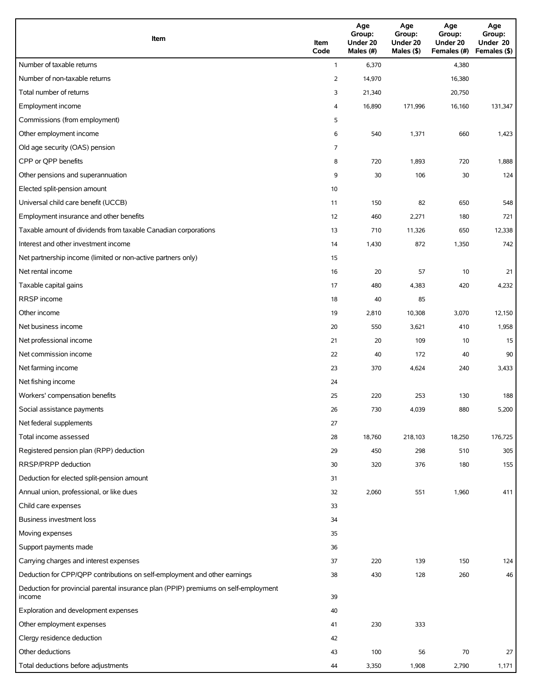| Item                                                                                          | Item<br>Code   | Age<br>Group:<br>Under 20<br>Males (#) | Age<br>Group:<br>Under 20<br>Males (\$) | Age<br>Group:<br>Under 20<br>Females (#) | Age<br>Group:<br>Under 20<br>Females (\$) |
|-----------------------------------------------------------------------------------------------|----------------|----------------------------------------|-----------------------------------------|------------------------------------------|-------------------------------------------|
| Number of taxable returns                                                                     | $\mathbf{1}$   | 6,370                                  |                                         | 4,380                                    |                                           |
| Number of non-taxable returns                                                                 | $\overline{2}$ | 14,970                                 |                                         | 16,380                                   |                                           |
| Total number of returns                                                                       | 3              | 21,340                                 |                                         | 20,750                                   |                                           |
| Employment income                                                                             | 4              | 16,890                                 | 171,996                                 | 16,160                                   | 131,347                                   |
| Commissions (from employment)                                                                 | 5              |                                        |                                         |                                          |                                           |
| Other employment income                                                                       | 6              | 540                                    | 1,371                                   | 660                                      | 1,423                                     |
| Old age security (OAS) pension                                                                | 7              |                                        |                                         |                                          |                                           |
| CPP or QPP benefits                                                                           | 8              | 720                                    | 1,893                                   | 720                                      | 1,888                                     |
| Other pensions and superannuation                                                             | 9              | 30                                     | 106                                     | 30                                       | 124                                       |
| Elected split-pension amount                                                                  | 10             |                                        |                                         |                                          |                                           |
| Universal child care benefit (UCCB)                                                           | 11             | 150                                    | 82                                      | 650                                      | 548                                       |
| Employment insurance and other benefits                                                       | 12             | 460                                    | 2,271                                   | 180                                      | 721                                       |
| Taxable amount of dividends from taxable Canadian corporations                                | 13             | 710                                    | 11,326                                  | 650                                      | 12,338                                    |
| Interest and other investment income                                                          | 14             | 1,430                                  | 872                                     | 1,350                                    | 742                                       |
| Net partnership income (limited or non-active partners only)                                  | 15             |                                        |                                         |                                          |                                           |
| Net rental income                                                                             | 16             | 20                                     | 57                                      | 10                                       | 21                                        |
| Taxable capital gains                                                                         | 17             | 480                                    | 4,383                                   | 420                                      | 4,232                                     |
| <b>RRSP</b> income                                                                            | 18             | 40                                     | 85                                      |                                          |                                           |
| Other income                                                                                  | 19             | 2,810                                  | 10,308                                  | 3,070                                    | 12,150                                    |
| Net business income                                                                           | 20             | 550                                    | 3,621                                   | 410                                      | 1,958                                     |
| Net professional income                                                                       | 21             | 20                                     | 109                                     | 10                                       | 15                                        |
| Net commission income                                                                         | 22             | 40                                     | 172                                     | 40                                       | 90                                        |
| Net farming income                                                                            | 23             | 370                                    | 4,624                                   | 240                                      | 3,433                                     |
| Net fishing income                                                                            | 24             |                                        |                                         |                                          |                                           |
| Workers' compensation benefits                                                                | 25             | 220                                    | 253                                     | 130                                      | 188                                       |
| Social assistance payments                                                                    | 26             | 730                                    | 4,039                                   | 880                                      | 5,200                                     |
| Net federal supplements                                                                       | 27             |                                        |                                         |                                          |                                           |
| Total income assessed                                                                         | 28             | 18,760                                 | 218,103                                 | 18,250                                   | 176,725                                   |
| Registered pension plan (RPP) deduction                                                       | 29             | 450                                    | 298                                     | 510                                      | 305                                       |
| RRSP/PRPP deduction                                                                           | 30             | 320                                    | 376                                     | 180                                      | 155                                       |
| Deduction for elected split-pension amount                                                    | 31             |                                        |                                         |                                          |                                           |
| Annual union, professional, or like dues                                                      | 32             | 2,060                                  | 551                                     | 1,960                                    | 411                                       |
| Child care expenses                                                                           | 33             |                                        |                                         |                                          |                                           |
| Business investment loss                                                                      | 34             |                                        |                                         |                                          |                                           |
| Moving expenses                                                                               | 35             |                                        |                                         |                                          |                                           |
| Support payments made                                                                         | 36             |                                        |                                         |                                          |                                           |
| Carrying charges and interest expenses                                                        | 37             | 220                                    | 139                                     | 150                                      | 124                                       |
| Deduction for CPP/QPP contributions on self-employment and other earnings                     | 38             | 430                                    | 128                                     | 260                                      | 46                                        |
| Deduction for provincial parental insurance plan (PPIP) premiums on self-employment<br>income | 39             |                                        |                                         |                                          |                                           |
| Exploration and development expenses                                                          | 40             |                                        |                                         |                                          |                                           |
| Other employment expenses                                                                     | 41             | 230                                    | 333                                     |                                          |                                           |
| Clergy residence deduction                                                                    | 42             |                                        |                                         |                                          |                                           |
| Other deductions                                                                              | 43             | 100                                    | 56                                      | 70                                       | 27                                        |
| Total deductions before adjustments                                                           | 44             | 3,350                                  | 1,908                                   | 2,790                                    | 1,171                                     |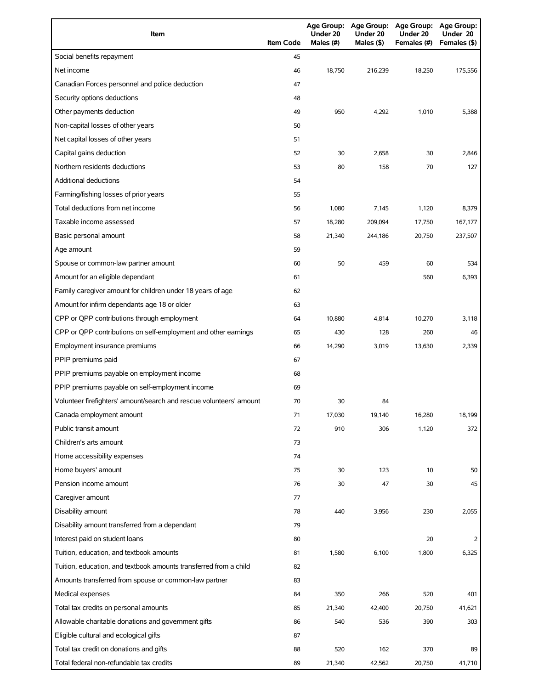| Item                                                                | <b>Item Code</b> | Under 20<br>Males (#) | Age Group: Age Group:<br>Under 20<br>Males (\$) | Age Group: Age Group:<br>Under 20<br>Females (#) | Under 20<br>Females (\$) |
|---------------------------------------------------------------------|------------------|-----------------------|-------------------------------------------------|--------------------------------------------------|--------------------------|
| Social benefits repayment                                           | 45               |                       |                                                 |                                                  |                          |
| Net income                                                          | 46               | 18.750                | 216,239                                         | 18,250                                           | 175,556                  |
| Canadian Forces personnel and police deduction                      | 47               |                       |                                                 |                                                  |                          |
| Security options deductions                                         | 48               |                       |                                                 |                                                  |                          |
| Other payments deduction                                            | 49               | 950                   | 4,292                                           | 1,010                                            | 5,388                    |
| Non-capital losses of other years                                   | 50               |                       |                                                 |                                                  |                          |
| Net capital losses of other years                                   | 51               |                       |                                                 |                                                  |                          |
| Capital gains deduction                                             | 52               | 30                    | 2,658                                           | 30                                               | 2,846                    |
| Northern residents deductions                                       | 53               | 80                    | 158                                             | 70                                               | 127                      |
| <b>Additional deductions</b>                                        | 54               |                       |                                                 |                                                  |                          |
| Farming/fishing losses of prior years                               | 55               |                       |                                                 |                                                  |                          |
| Total deductions from net income                                    | 56               | 1,080                 | 7,145                                           | 1,120                                            | 8,379                    |
| Taxable income assessed                                             | 57               | 18,280                | 209,094                                         | 17,750                                           | 167,177                  |
| Basic personal amount                                               | 58               | 21,340                | 244,186                                         | 20,750                                           | 237,507                  |
| Age amount                                                          | 59               |                       |                                                 |                                                  |                          |
| Spouse or common-law partner amount                                 | 60               | 50                    | 459                                             | 60                                               | 534                      |
| Amount for an eligible dependant                                    | 61               |                       |                                                 | 560                                              | 6,393                    |
| Family caregiver amount for children under 18 years of age          | 62               |                       |                                                 |                                                  |                          |
| Amount for infirm dependants age 18 or older                        | 63               |                       |                                                 |                                                  |                          |
| CPP or QPP contributions through employment                         | 64               | 10,880                | 4,814                                           | 10,270                                           | 3,118                    |
| CPP or QPP contributions on self-employment and other earnings      | 65               | 430                   | 128                                             | 260                                              | 46                       |
| Employment insurance premiums                                       | 66               | 14,290                | 3,019                                           | 13,630                                           | 2,339                    |
| PPIP premiums paid                                                  | 67               |                       |                                                 |                                                  |                          |
| PPIP premiums payable on employment income                          | 68               |                       |                                                 |                                                  |                          |
| PPIP premiums payable on self-employment income                     | 69               |                       |                                                 |                                                  |                          |
| Volunteer firefighters' amount/search and rescue volunteers' amount | 70               | 30                    | 84                                              |                                                  |                          |
| Canada employment amount                                            | 71               | 17,030                | 19,140                                          | 16,280                                           | 18,199                   |
| Public transit amount                                               | 72               | 910                   | 306                                             | 1,120                                            | 372                      |
| Children's arts amount                                              | 73               |                       |                                                 |                                                  |                          |
| Home accessibility expenses                                         | 74               |                       |                                                 |                                                  |                          |
| Home buyers' amount                                                 | 75               | 30                    | 123                                             | 10                                               | 50                       |
| Pension income amount                                               | 76               | 30                    | 47                                              | 30                                               | 45                       |
| Caregiver amount                                                    | 77               |                       |                                                 |                                                  |                          |
| Disability amount                                                   | 78               | 440                   | 3,956                                           | 230                                              | 2,055                    |
| Disability amount transferred from a dependant                      | 79               |                       |                                                 |                                                  |                          |
| Interest paid on student loans                                      | 80               |                       |                                                 | 20                                               | 2                        |
| Tuition, education, and textbook amounts                            | 81               | 1,580                 | 6,100                                           | 1,800                                            | 6,325                    |
| Tuition, education, and textbook amounts transferred from a child   | 82               |                       |                                                 |                                                  |                          |
| Amounts transferred from spouse or common-law partner               | 83               |                       |                                                 |                                                  |                          |
| Medical expenses                                                    | 84               | 350                   | 266                                             | 520                                              | 401                      |
| Total tax credits on personal amounts                               | 85               | 21,340                | 42,400                                          | 20,750                                           | 41,621                   |
| Allowable charitable donations and government gifts                 | 86               | 540                   | 536                                             | 390                                              | 303                      |
| Eligible cultural and ecological gifts                              | 87               |                       |                                                 |                                                  |                          |
| Total tax credit on donations and gifts                             | 88               | 520                   | 162                                             | 370                                              | 89                       |
| Total federal non-refundable tax credits                            | 89               | 21,340                | 42,562                                          | 20,750                                           | 41,710                   |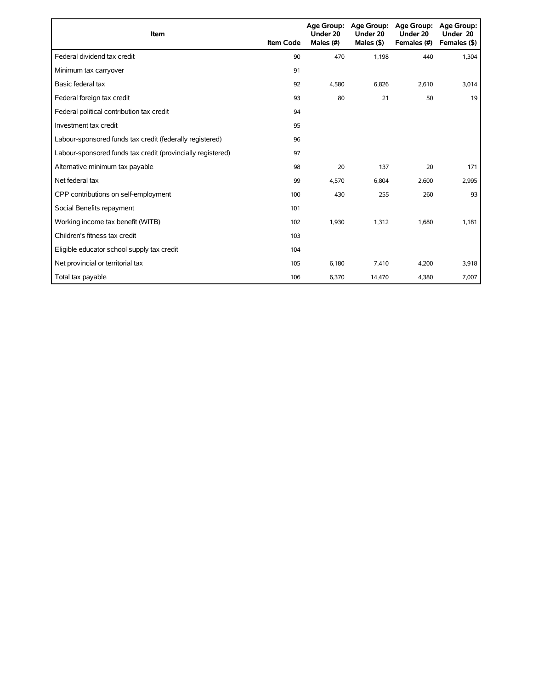| Item                                                        | <b>Item Code</b> | Under 20<br>Males (#) | Age Group: Age Group:<br>Under 20<br>Males $($ \$) | <b>Age Group:</b><br>Under 20<br>Females (#) | Age Group:<br>Under 20<br>Females (\$) |
|-------------------------------------------------------------|------------------|-----------------------|----------------------------------------------------|----------------------------------------------|----------------------------------------|
| Federal dividend tax credit                                 | 90               | 470                   | 1.198                                              | 440                                          | 1,304                                  |
| Minimum tax carryover                                       | 91               |                       |                                                    |                                              |                                        |
| Basic federal tax                                           | 92               | 4,580                 | 6,826                                              | 2,610                                        | 3,014                                  |
| Federal foreign tax credit                                  | 93               | 80                    | 21                                                 | 50                                           | 19                                     |
| Federal political contribution tax credit                   | 94               |                       |                                                    |                                              |                                        |
| Investment tax credit                                       | 95               |                       |                                                    |                                              |                                        |
| Labour-sponsored funds tax credit (federally registered)    | 96               |                       |                                                    |                                              |                                        |
| Labour-sponsored funds tax credit (provincially registered) | 97               |                       |                                                    |                                              |                                        |
| Alternative minimum tax payable                             | 98               | 20                    | 137                                                | 20                                           | 171                                    |
| Net federal tax                                             | 99               | 4,570                 | 6,804                                              | 2,600                                        | 2,995                                  |
| CPP contributions on self-employment                        | 100              | 430                   | 255                                                | 260                                          | 93                                     |
| Social Benefits repayment                                   | 101              |                       |                                                    |                                              |                                        |
| Working income tax benefit (WITB)                           | 102              | 1,930                 | 1,312                                              | 1,680                                        | 1,181                                  |
| Children's fitness tax credit                               | 103              |                       |                                                    |                                              |                                        |
| Eligible educator school supply tax credit                  | 104              |                       |                                                    |                                              |                                        |
| Net provincial or territorial tax                           | 105              | 6,180                 | 7,410                                              | 4,200                                        | 3,918                                  |
| Total tax payable                                           | 106              | 6,370                 | 14,470                                             | 4,380                                        | 7,007                                  |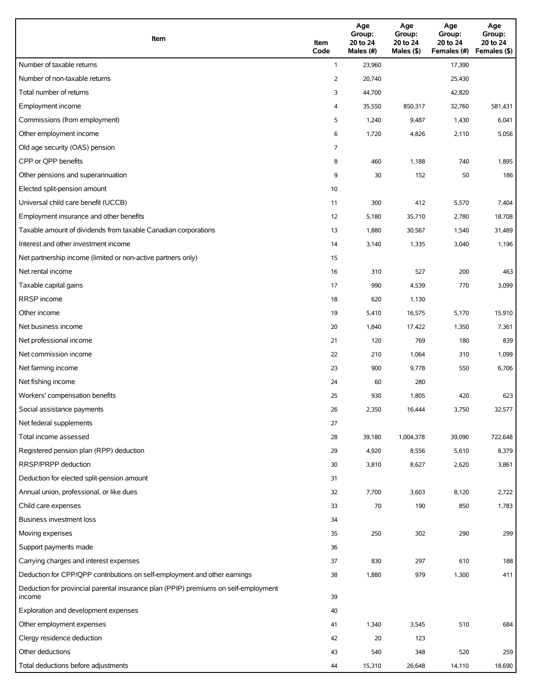| Item                                                                                          | Item<br>Code   | Age<br>Group:<br>20 to 24<br>Males (#) | Age<br>Group:<br>20 to 24<br>Males (\$) | Age<br>Group:<br>20 to 24<br>Females (#) | Age<br>Group:<br>20 to 24<br>Females (\$) |
|-----------------------------------------------------------------------------------------------|----------------|----------------------------------------|-----------------------------------------|------------------------------------------|-------------------------------------------|
| Number of taxable returns                                                                     | $\mathbf{1}$   | 23,960                                 |                                         | 17,390                                   |                                           |
| Number of non-taxable returns                                                                 | $\overline{2}$ | 20,740                                 |                                         | 25,430                                   |                                           |
| Total number of returns                                                                       | 3              | 44,700                                 |                                         | 42,820                                   |                                           |
| Employment income                                                                             | 4              | 35,550                                 | 850,317                                 | 32,760                                   | 581,431                                   |
| Commissions (from employment)                                                                 | 5              | 1,240                                  | 9,487                                   | 1,430                                    | 6,041                                     |
| Other employment income                                                                       | 6              | 1,720                                  | 4,826                                   | 2,110                                    | 5,056                                     |
| Old age security (OAS) pension                                                                | 7              |                                        |                                         |                                          |                                           |
| CPP or QPP benefits                                                                           | 8              | 460                                    | 1,188                                   | 740                                      | 1,895                                     |
| Other pensions and superannuation                                                             | 9              | 30                                     | 152                                     | 50                                       | 186                                       |
| Elected split-pension amount                                                                  | 10             |                                        |                                         |                                          |                                           |
| Universal child care benefit (UCCB)                                                           | 11             | 300                                    | 412                                     | 5,570                                    | 7,404                                     |
| Employment insurance and other benefits                                                       | 12             | 5,180                                  | 35,710                                  | 2,780                                    | 18,708                                    |
| Taxable amount of dividends from taxable Canadian corporations                                | 13             | 1,880                                  | 30,567                                  | 1,540                                    | 31,489                                    |
| Interest and other investment income                                                          | 14             | 3,140                                  | 1,335                                   | 3,040                                    | 1,196                                     |
| Net partnership income (limited or non-active partners only)                                  | 15             |                                        |                                         |                                          |                                           |
| Net rental income                                                                             | 16             | 310                                    | 527                                     | 200                                      | 463                                       |
| Taxable capital gains                                                                         | 17             | 990                                    | 4,539                                   | 770                                      | 3,099                                     |
| <b>RRSP</b> income                                                                            | 18             | 620                                    | 1,130                                   |                                          |                                           |
| Other income                                                                                  | 19             | 5,410                                  | 16,575                                  | 5,170                                    | 15,910                                    |
| Net business income                                                                           | 20             | 1,840                                  | 17,422                                  | 1,350                                    | 7,361                                     |
| Net professional income                                                                       | 21             | 120                                    | 769                                     | 180                                      | 839                                       |
| Net commission income                                                                         | 22             | 210                                    | 1,064                                   | 310                                      | 1,099                                     |
| Net farming income                                                                            | 23             | 900                                    | 9,778                                   | 550                                      | 6,706                                     |
| Net fishing income                                                                            | 24             | 60                                     | 280                                     |                                          |                                           |
| Workers' compensation benefits                                                                | 25             | 930                                    | 1,805                                   | 420                                      | 623                                       |
| Social assistance payments                                                                    | 26             | 2,350                                  | 16,444                                  | 3,750                                    | 32,577                                    |
| Net federal supplements                                                                       | 27             |                                        |                                         |                                          |                                           |
| Total income assessed                                                                         | 28             | 39,180                                 | 1,004,378                               | 39,090                                   | 722,648                                   |
| Registered pension plan (RPP) deduction                                                       | 29             | 4,920                                  | 8,556                                   | 5,610                                    | 8,379                                     |
| RRSP/PRPP deduction                                                                           | 30             | 3,810                                  | 8,627                                   | 2,620                                    | 3,861                                     |
| Deduction for elected split-pension amount                                                    | 31             |                                        |                                         |                                          |                                           |
| Annual union, professional, or like dues                                                      | 32             | 7,700                                  | 3,603                                   | 8,120                                    | 2,722                                     |
| Child care expenses                                                                           | 33             | $70\,$                                 | 190                                     | 850                                      | 1,783                                     |
| Business investment loss                                                                      | 34             |                                        |                                         |                                          |                                           |
| Moving expenses                                                                               | 35             | 250                                    | 302                                     | 290                                      | 299                                       |
| Support payments made                                                                         | 36             |                                        |                                         |                                          |                                           |
| Carrying charges and interest expenses                                                        | 37             | 830                                    | 297                                     | 610                                      | 188                                       |
| Deduction for CPP/QPP contributions on self-employment and other earnings                     | 38             | 1,880                                  | 979                                     | 1,300                                    | 411                                       |
| Deduction for provincial parental insurance plan (PPIP) premiums on self-employment<br>income | 39             |                                        |                                         |                                          |                                           |
| Exploration and development expenses                                                          | 40             |                                        |                                         |                                          |                                           |
| Other employment expenses                                                                     | 41             | 1,340                                  | 3,545                                   | 510                                      | 684                                       |
| Clergy residence deduction                                                                    | 42             | 20                                     | 123                                     |                                          |                                           |
| Other deductions                                                                              | 43             | 540                                    | 348                                     | 520                                      | 259                                       |
| Total deductions before adjustments                                                           | 44             | 15,310                                 | 26,648                                  | 14,110                                   | 18,690                                    |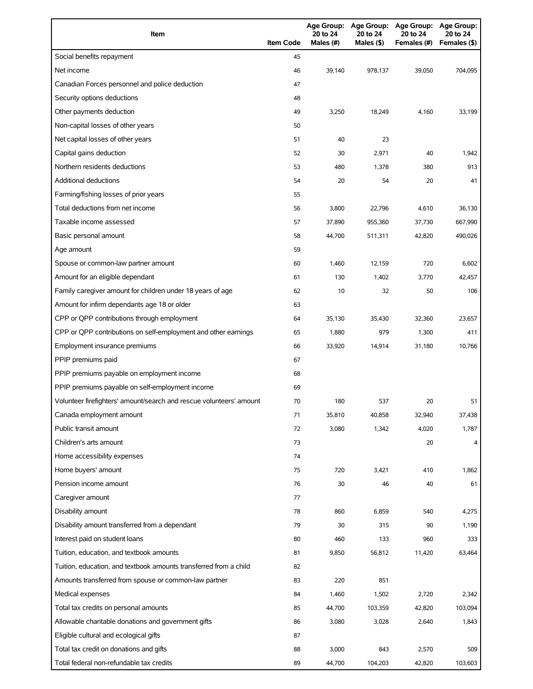| Item                                                                | <b>Item Code</b> | <b>Age Group:</b><br>20 to 24<br>Males (#) | <b>Age Group:</b><br>20 to 24<br>Males (\$) | <b>Age Group:</b><br>20 to 24<br>Females (#) | <b>Age Group:</b><br>20 to 24<br>Females (\$) |
|---------------------------------------------------------------------|------------------|--------------------------------------------|---------------------------------------------|----------------------------------------------|-----------------------------------------------|
| Social benefits repayment                                           | 45               |                                            |                                             |                                              |                                               |
| Net income                                                          | 46               | 39,140                                     | 978,137                                     | 39,050                                       | 704,095                                       |
| Canadian Forces personnel and police deduction                      | 47               |                                            |                                             |                                              |                                               |
| Security options deductions                                         | 48               |                                            |                                             |                                              |                                               |
| Other payments deduction                                            | 49               | 3,250                                      | 18,249                                      | 4,160                                        | 33,199                                        |
| Non-capital losses of other years                                   | 50               |                                            |                                             |                                              |                                               |
| Net capital losses of other years                                   | 51               | 40                                         | 23                                          |                                              |                                               |
| Capital gains deduction                                             | 52               | 30                                         | 2,971                                       | 40                                           | 1,942                                         |
| Northern residents deductions                                       | 53               | 480                                        | 1,378                                       | 380                                          | 913                                           |
| <b>Additional deductions</b>                                        | 54               | 20                                         | 54                                          | 20                                           | 41                                            |
| Farming/fishing losses of prior years                               | 55               |                                            |                                             |                                              |                                               |
| Total deductions from net income                                    | 56               | 3,800                                      | 22,796                                      | 4,610                                        | 36,130                                        |
| Taxable income assessed                                             | 57               | 37,890                                     | 955,360                                     | 37,730                                       | 667,990                                       |
| Basic personal amount                                               | 58               | 44,700                                     | 511,311                                     | 42,820                                       | 490,026                                       |
| Age amount                                                          | 59               |                                            |                                             |                                              |                                               |
| Spouse or common-law partner amount                                 | 60               | 1,460                                      | 12,159                                      | 720                                          | 6,602                                         |
| Amount for an eligible dependant                                    | 61               | 130                                        | 1,402                                       | 3,770                                        | 42,457                                        |
| Family caregiver amount for children under 18 years of age          | 62               | 10                                         | 32                                          | 50                                           | 106                                           |
| Amount for infirm dependants age 18 or older                        | 63               |                                            |                                             |                                              |                                               |
| CPP or QPP contributions through employment                         | 64               | 35,130                                     | 35,430                                      | 32,360                                       | 23,657                                        |
| CPP or QPP contributions on self-employment and other earnings      | 65               | 1,880                                      | 979                                         | 1,300                                        | 411                                           |
| Employment insurance premiums                                       | 66               | 33,920                                     | 14,914                                      | 31,180                                       | 10,766                                        |
| PPIP premiums paid                                                  | 67               |                                            |                                             |                                              |                                               |
| PPIP premiums payable on employment income                          | 68               |                                            |                                             |                                              |                                               |
| PPIP premiums payable on self-employment income                     | 69               |                                            |                                             |                                              |                                               |
| Volunteer firefighters' amount/search and rescue volunteers' amount | 70               | 180                                        | 537                                         | 20                                           | 51                                            |
| Canada employment amount                                            | 71               | 35,810                                     | 40,858                                      | 32,940                                       | 37,438                                        |
| Public transit amount                                               | 72               | 3,080                                      | 1,342                                       | 4,020                                        | 1,787                                         |
| Children's arts amount                                              | 73               |                                            |                                             | 20                                           | 4                                             |
| Home accessibility expenses                                         | 74               |                                            |                                             |                                              |                                               |
| Home buyers' amount                                                 | 75               | 720                                        | 3,421                                       | 410                                          | 1,862                                         |
| Pension income amount                                               | 76               | 30                                         | 46                                          | 40                                           | 61                                            |
| Caregiver amount                                                    | 77               |                                            |                                             |                                              |                                               |
| Disability amount                                                   | 78               | 860                                        | 6,859                                       | 540                                          | 4,275                                         |
| Disability amount transferred from a dependant                      | 79               | 30                                         | 315                                         | 90                                           | 1,190                                         |
| Interest paid on student loans                                      | 80               | 460                                        | 133                                         | 960                                          | 333                                           |
| Tuition, education, and textbook amounts                            | 81               | 9,850                                      | 56,812                                      | 11,420                                       | 63,464                                        |
| Tuition, education, and textbook amounts transferred from a child   | 82               |                                            |                                             |                                              |                                               |
| Amounts transferred from spouse or common-law partner               | 83               | 220                                        | 851                                         |                                              |                                               |
| Medical expenses                                                    | 84               | 1,460                                      | 1,502                                       | 2,720                                        | 2,342                                         |
| Total tax credits on personal amounts                               | 85               | 44,700                                     |                                             | 42,820                                       | 103,094                                       |
| Allowable charitable donations and government gifts                 | 86               | 3,080                                      | 103,359<br>3,028                            | 2,640                                        | 1,843                                         |
| Eligible cultural and ecological gifts                              | 87               |                                            |                                             |                                              |                                               |
| Total tax credit on donations and gifts                             | 88               | 3,000                                      | 843                                         | 2,570                                        | 509                                           |
| Total federal non-refundable tax credits                            | 89               | 44,700                                     | 104,203                                     | 42,820                                       | 103,603                                       |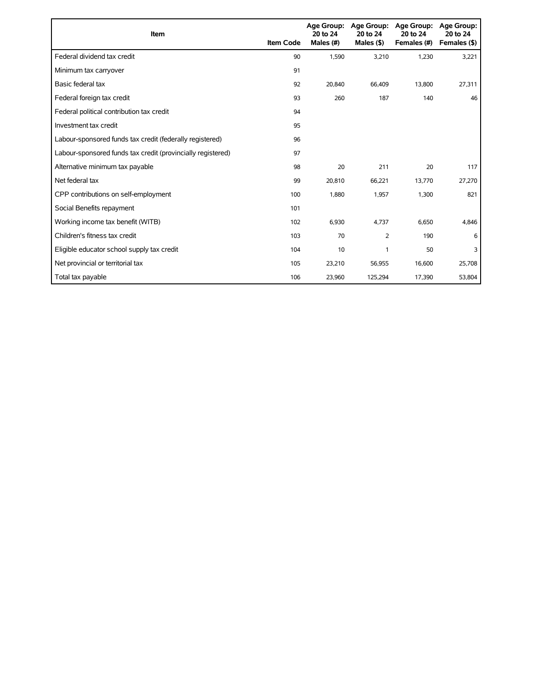| Item                                                        | <b>Item Code</b> | 20 to 24<br>Males (#) | Age Group: Age Group:<br>20 to 24<br>Males $($ \$) | Age Group:<br>20 to 24<br>Females (#) | Age Group:<br>20 to 24<br>Females (\$) |
|-------------------------------------------------------------|------------------|-----------------------|----------------------------------------------------|---------------------------------------|----------------------------------------|
| Federal dividend tax credit                                 | 90               | 1,590                 | 3,210                                              | 1,230                                 | 3,221                                  |
| Minimum tax carryover                                       | 91               |                       |                                                    |                                       |                                        |
| Basic federal tax                                           | 92               | 20.840                | 66,409                                             | 13.800                                | 27,311                                 |
| Federal foreign tax credit                                  | 93               | 260                   | 187                                                | 140                                   | 46                                     |
| Federal political contribution tax credit                   | 94               |                       |                                                    |                                       |                                        |
| Investment tax credit                                       | 95               |                       |                                                    |                                       |                                        |
| Labour-sponsored funds tax credit (federally registered)    | 96               |                       |                                                    |                                       |                                        |
| Labour-sponsored funds tax credit (provincially registered) | 97               |                       |                                                    |                                       |                                        |
| Alternative minimum tax payable                             | 98               | 20                    | 211                                                | 20                                    | 117                                    |
| Net federal tax                                             | 99               | 20,810                | 66,221                                             | 13,770                                | 27,270                                 |
| CPP contributions on self-employment                        | 100              | 1,880                 | 1,957                                              | 1,300                                 | 821                                    |
| Social Benefits repayment                                   | 101              |                       |                                                    |                                       |                                        |
| Working income tax benefit (WITB)                           | 102              | 6,930                 | 4,737                                              | 6,650                                 | 4,846                                  |
| Children's fitness tax credit                               | 103              | 70                    | $\overline{2}$                                     | 190                                   | 6                                      |
| Eligible educator school supply tax credit                  | 104              | 10                    | 1                                                  | 50                                    | 3                                      |
| Net provincial or territorial tax                           | 105              | 23,210                | 56,955                                             | 16,600                                | 25,708                                 |
| Total tax payable                                           | 106              | 23,960                | 125,294                                            | 17,390                                | 53,804                                 |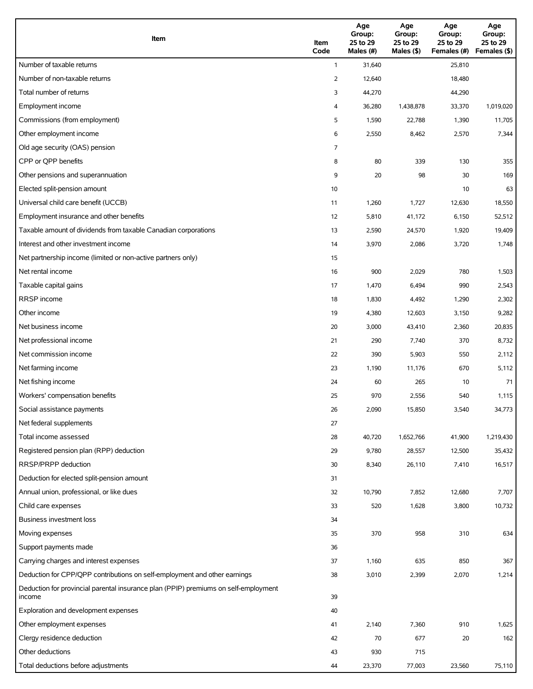| Item                                                                                          | Item<br>Code   | Age<br>Group:<br>25 to 29<br>Males (#) | Age<br>Group:<br>25 to 29<br>Males (\$) | Age<br>Group:<br>25 to 29<br>Females (#) | Age<br>Group:<br>25 to 29<br>Females (\$) |
|-----------------------------------------------------------------------------------------------|----------------|----------------------------------------|-----------------------------------------|------------------------------------------|-------------------------------------------|
| Number of taxable returns                                                                     | $\mathbf{1}$   | 31,640                                 |                                         | 25,810                                   |                                           |
| Number of non-taxable returns                                                                 | $\overline{2}$ | 12,640                                 |                                         | 18,480                                   |                                           |
| Total number of returns                                                                       | 3              | 44,270                                 |                                         | 44,290                                   |                                           |
| Employment income                                                                             | 4              | 36,280                                 | 1,438,878                               | 33,370                                   | 1,019,020                                 |
| Commissions (from employment)                                                                 | 5              | 1,590                                  | 22,788                                  | 1,390                                    | 11,705                                    |
| Other employment income                                                                       | 6              | 2,550                                  | 8,462                                   | 2,570                                    | 7,344                                     |
| Old age security (OAS) pension                                                                | 7              |                                        |                                         |                                          |                                           |
| CPP or QPP benefits                                                                           | 8              | 80                                     | 339                                     | 130                                      | 355                                       |
| Other pensions and superannuation                                                             | 9              | 20                                     | 98                                      | 30                                       | 169                                       |
| Elected split-pension amount                                                                  | 10             |                                        |                                         | 10                                       | 63                                        |
| Universal child care benefit (UCCB)                                                           | 11             | 1,260                                  | 1,727                                   | 12,630                                   | 18,550                                    |
| Employment insurance and other benefits                                                       | 12             | 5,810                                  | 41,172                                  | 6,150                                    | 52,512                                    |
| Taxable amount of dividends from taxable Canadian corporations                                | 13             | 2,590                                  | 24,570                                  | 1,920                                    | 19,409                                    |
| Interest and other investment income                                                          | 14             | 3,970                                  | 2,086                                   | 3,720                                    | 1,748                                     |
| Net partnership income (limited or non-active partners only)                                  | 15             |                                        |                                         |                                          |                                           |
| Net rental income                                                                             | 16             | 900                                    | 2,029                                   | 780                                      | 1,503                                     |
| Taxable capital gains                                                                         | 17             | 1,470                                  | 6,494                                   | 990                                      | 2,543                                     |
| <b>RRSP</b> income                                                                            | 18             | 1,830                                  | 4,492                                   | 1,290                                    | 2,302                                     |
| Other income                                                                                  | 19             | 4,380                                  | 12,603                                  | 3,150                                    | 9,282                                     |
| Net business income                                                                           | 20             | 3,000                                  | 43,410                                  | 2,360                                    | 20,835                                    |
| Net professional income                                                                       | 21             | 290                                    | 7,740                                   | 370                                      | 8,732                                     |
| Net commission income                                                                         | 22             | 390                                    | 5,903                                   | 550                                      | 2,112                                     |
| Net farming income                                                                            | 23             | 1,190                                  | 11,176                                  | 670                                      | 5,112                                     |
| Net fishing income                                                                            | 24             | 60                                     | 265                                     | 10                                       | 71                                        |
| Workers' compensation benefits                                                                | 25             | 970                                    | 2,556                                   | 540                                      | 1,115                                     |
| Social assistance payments                                                                    | 26             | 2,090                                  | 15,850                                  | 3,540                                    | 34,773                                    |
| Net federal supplements                                                                       | 27             |                                        |                                         |                                          |                                           |
| Total income assessed                                                                         | 28             | 40,720                                 | 1,652,766                               | 41,900                                   | 1,219,430                                 |
| Registered pension plan (RPP) deduction                                                       | 29             | 9,780                                  | 28,557                                  | 12,500                                   | 35,432                                    |
| RRSP/PRPP deduction                                                                           | 30             | 8,340                                  | 26,110                                  | 7,410                                    | 16,517                                    |
| Deduction for elected split-pension amount                                                    | 31             |                                        |                                         |                                          |                                           |
| Annual union, professional, or like dues                                                      | 32             | 10,790                                 | 7,852                                   | 12,680                                   | 7,707                                     |
| Child care expenses                                                                           | 33             | 520                                    | 1,628                                   | 3,800                                    | 10,732                                    |
| Business investment loss                                                                      | 34             |                                        |                                         |                                          |                                           |
| Moving expenses                                                                               | 35             | 370                                    | 958                                     | 310                                      | 634                                       |
| Support payments made                                                                         | 36             |                                        |                                         |                                          |                                           |
| Carrying charges and interest expenses                                                        | 37             | 1,160                                  | 635                                     | 850                                      | 367                                       |
| Deduction for CPP/QPP contributions on self-employment and other earnings                     | 38             | 3,010                                  | 2,399                                   | 2,070                                    | 1,214                                     |
| Deduction for provincial parental insurance plan (PPIP) premiums on self-employment<br>income | 39             |                                        |                                         |                                          |                                           |
| Exploration and development expenses                                                          | 40             |                                        |                                         |                                          |                                           |
| Other employment expenses                                                                     | 41             | 2,140                                  | 7,360                                   | 910                                      | 1,625                                     |
| Clergy residence deduction                                                                    | 42             | 70                                     | 677                                     | 20                                       | 162                                       |
| Other deductions                                                                              | 43             | 930                                    | 715                                     |                                          |                                           |
| Total deductions before adjustments                                                           | 44             | 23,370                                 | 77,003                                  | 23,560                                   | 75,110                                    |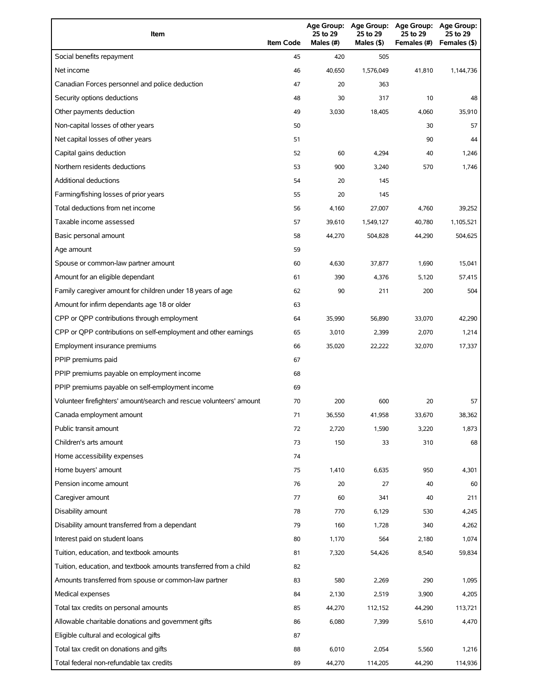| Item                                                                | <b>Item Code</b> | 25 to 29<br>Males (#) | 25 to 29<br>Males (\$) | Age Group: Age Group: Age Group:<br>25 to 29<br>Females (#) | <b>Age Group:</b><br>25 to 29<br>Females (\$) |
|---------------------------------------------------------------------|------------------|-----------------------|------------------------|-------------------------------------------------------------|-----------------------------------------------|
| Social benefits repayment                                           | 45               | 420                   | 505                    |                                                             |                                               |
| Net income                                                          | 46               | 40,650                | 1,576,049              | 41,810                                                      | 1,144,736                                     |
| Canadian Forces personnel and police deduction                      | 47               | 20                    | 363                    |                                                             |                                               |
| Security options deductions                                         | 48               | 30                    | 317                    | 10                                                          | 48                                            |
| Other payments deduction                                            | 49               | 3,030                 | 18,405                 | 4,060                                                       | 35,910                                        |
| Non-capital losses of other years                                   | 50               |                       |                        | 30                                                          | 57                                            |
| Net capital losses of other years                                   | 51               |                       |                        | 90                                                          | 44                                            |
| Capital gains deduction                                             | 52               | 60                    | 4,294                  | 40                                                          | 1,246                                         |
| Northern residents deductions                                       | 53               | 900                   | 3,240                  | 570                                                         | 1,746                                         |
| Additional deductions                                               | 54               | 20                    | 145                    |                                                             |                                               |
| Farming/fishing losses of prior years                               | 55               | 20                    | 145                    |                                                             |                                               |
| Total deductions from net income                                    | 56               | 4,160                 | 27,007                 | 4,760                                                       | 39,252                                        |
| Taxable income assessed                                             | 57               | 39,610                | 1,549,127              | 40,780                                                      | 1,105,521                                     |
| Basic personal amount                                               | 58               | 44,270                | 504,828                | 44,290                                                      | 504,625                                       |
| Age amount                                                          | 59               |                       |                        |                                                             |                                               |
| Spouse or common-law partner amount                                 | 60               | 4,630                 | 37,877                 | 1,690                                                       | 15,041                                        |
| Amount for an eligible dependant                                    | 61               | 390                   | 4,376                  | 5,120                                                       | 57,415                                        |
| Family caregiver amount for children under 18 years of age          | 62               | 90                    | 211                    | 200                                                         | 504                                           |
| Amount for infirm dependants age 18 or older                        | 63               |                       |                        |                                                             |                                               |
| CPP or QPP contributions through employment                         | 64               | 35,990                | 56,890                 | 33,070                                                      | 42,290                                        |
| CPP or QPP contributions on self-employment and other earnings      | 65               | 3,010                 | 2,399                  | 2,070                                                       | 1,214                                         |
| Employment insurance premiums                                       | 66               | 35,020                | 22,222                 | 32,070                                                      | 17,337                                        |
| PPIP premiums paid                                                  | 67               |                       |                        |                                                             |                                               |
| PPIP premiums payable on employment income                          | 68               |                       |                        |                                                             |                                               |
| PPIP premiums payable on self-employment income                     | 69               |                       |                        |                                                             |                                               |
| Volunteer firefighters' amount/search and rescue volunteers' amount | 70               | 200                   | 600                    | 20                                                          | 57                                            |
| Canada employment amount                                            | 71               | 36,550                | 41,958                 | 33,670                                                      | 38,362                                        |
| Public transit amount                                               | 72               | 2,720                 | 1,590                  | 3,220                                                       | 1,873                                         |
| Children's arts amount                                              | 73               | 150                   | 33                     | 310                                                         | 68                                            |
| Home accessibility expenses                                         | 74               |                       |                        |                                                             |                                               |
| Home buyers' amount                                                 | 75               | 1,410                 | 6,635                  | 950                                                         | 4,301                                         |
| Pension income amount                                               | 76               | 20                    | 27                     | 40                                                          | 60                                            |
| Caregiver amount                                                    | 77               | 60                    | 341                    | 40                                                          | 211                                           |
| Disability amount                                                   | 78               | 770                   | 6,129                  | 530                                                         | 4,245                                         |
| Disability amount transferred from a dependant                      | 79               | 160                   | 1,728                  | 340                                                         | 4,262                                         |
| Interest paid on student loans                                      | 80               | 1,170                 | 564                    | 2,180                                                       | 1,074                                         |
| Tuition, education, and textbook amounts                            | 81               | 7,320                 | 54,426                 | 8,540                                                       | 59,834                                        |
| Tuition, education, and textbook amounts transferred from a child   | 82               |                       |                        |                                                             |                                               |
| Amounts transferred from spouse or common-law partner               | 83               | 580                   | 2,269                  | 290                                                         | 1,095                                         |
| Medical expenses                                                    | 84               | 2,130                 | 2,519                  | 3,900                                                       | 4,205                                         |
| Total tax credits on personal amounts                               | 85               | 44,270                | 112,152                | 44,290                                                      | 113,721                                       |
| Allowable charitable donations and government gifts                 | 86               | 6,080                 | 7,399                  | 5,610                                                       | 4,470                                         |
| Eligible cultural and ecological gifts                              | 87               |                       |                        |                                                             |                                               |
| Total tax credit on donations and gifts                             | 88               | 6,010                 | 2,054                  | 5,560                                                       | 1,216                                         |
| Total federal non-refundable tax credits                            | 89               | 44,270                | 114,205                | 44,290                                                      | 114,936                                       |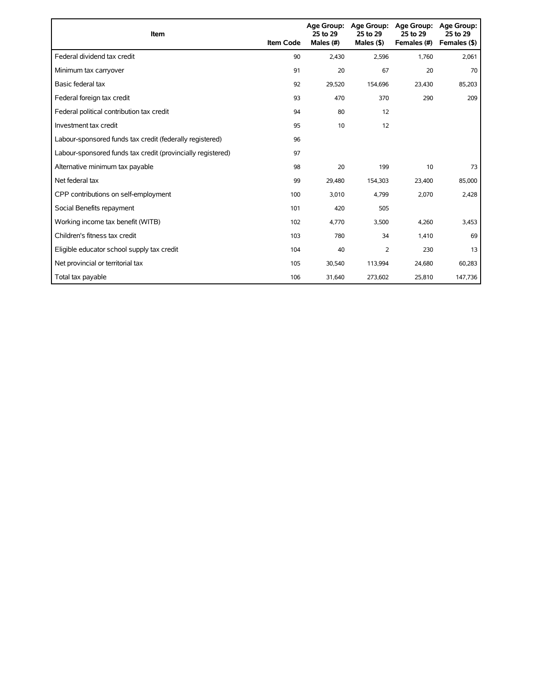| Item                                                        | <b>Item Code</b> | 25 to 29<br>Males (#) | Age Group: Age Group:<br>25 to 29<br>Males $(§)$ | Age Group:<br>25 to 29<br>Females (#) | Age Group:<br>25 to 29<br>Females (\$) |
|-------------------------------------------------------------|------------------|-----------------------|--------------------------------------------------|---------------------------------------|----------------------------------------|
| Federal dividend tax credit                                 | 90               | 2,430                 | 2,596                                            | 1,760                                 | 2,061                                  |
| Minimum tax carryover                                       | 91               | 20                    | 67                                               | 20                                    | 70                                     |
| Basic federal tax                                           | 92               | 29,520                | 154,696                                          | 23,430                                | 85,203                                 |
| Federal foreign tax credit                                  | 93               | 470                   | 370                                              | 290                                   | 209                                    |
| Federal political contribution tax credit                   | 94               | 80                    | 12                                               |                                       |                                        |
| Investment tax credit                                       | 95               | 10                    | 12                                               |                                       |                                        |
| Labour-sponsored funds tax credit (federally registered)    | 96               |                       |                                                  |                                       |                                        |
| Labour-sponsored funds tax credit (provincially registered) | 97               |                       |                                                  |                                       |                                        |
| Alternative minimum tax payable                             | 98               | 20                    | 199                                              | 10                                    | 73                                     |
| Net federal tax                                             | 99               | 29,480                | 154,303                                          | 23,400                                | 85,000                                 |
| CPP contributions on self-employment                        | 100              | 3,010                 | 4,799                                            | 2,070                                 | 2,428                                  |
| Social Benefits repayment                                   | 101              | 420                   | 505                                              |                                       |                                        |
| Working income tax benefit (WITB)                           | 102              | 4,770                 | 3,500                                            | 4,260                                 | 3,453                                  |
| Children's fitness tax credit                               | 103              | 780                   | 34                                               | 1,410                                 | 69                                     |
| Eligible educator school supply tax credit                  | 104              | 40                    | $\overline{2}$                                   | 230                                   | 13                                     |
| Net provincial or territorial tax                           | 105              | 30,540                | 113,994                                          | 24,680                                | 60,283                                 |
| Total tax payable                                           | 106              | 31,640                | 273,602                                          | 25,810                                | 147,736                                |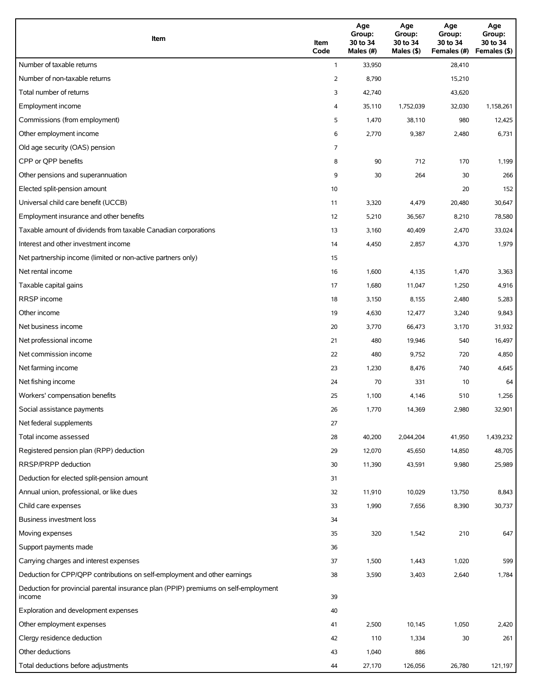| Item                                                                                          | Item<br>Code | Age<br>Group:<br>30 to 34<br>Males (#) | Age<br>Group:<br>30 to 34<br>Males (\$) | Age<br>Group:<br>30 to 34<br>Females (#) | Age<br>Group:<br>30 to 34<br>Females (\$) |
|-----------------------------------------------------------------------------------------------|--------------|----------------------------------------|-----------------------------------------|------------------------------------------|-------------------------------------------|
| Number of taxable returns                                                                     | $\mathbf{1}$ | 33,950                                 |                                         | 28,410                                   |                                           |
| Number of non-taxable returns                                                                 | 2            | 8,790                                  |                                         | 15,210                                   |                                           |
| Total number of returns                                                                       | 3            | 42,740                                 |                                         | 43,620                                   |                                           |
| Employment income                                                                             | 4            | 35,110                                 | 1,752,039                               | 32,030                                   | 1,158,261                                 |
| Commissions (from employment)                                                                 | 5            | 1,470                                  | 38,110                                  | 980                                      | 12,425                                    |
| Other employment income                                                                       | 6            | 2,770                                  | 9,387                                   | 2,480                                    | 6,731                                     |
| Old age security (OAS) pension                                                                | 7            |                                        |                                         |                                          |                                           |
| CPP or QPP benefits                                                                           | 8            | 90                                     | 712                                     | 170                                      | 1,199                                     |
| Other pensions and superannuation                                                             | 9            | 30                                     | 264                                     | 30                                       | 266                                       |
| Elected split-pension amount                                                                  | 10           |                                        |                                         | 20                                       | 152                                       |
| Universal child care benefit (UCCB)                                                           | 11           | 3,320                                  | 4,479                                   | 20,480                                   | 30,647                                    |
| Employment insurance and other benefits                                                       | 12           | 5,210                                  | 36,567                                  | 8,210                                    | 78,580                                    |
| Taxable amount of dividends from taxable Canadian corporations                                | 13           | 3,160                                  | 40,409                                  | 2,470                                    | 33,024                                    |
| Interest and other investment income                                                          | 14           | 4,450                                  | 2,857                                   | 4,370                                    | 1,979                                     |
| Net partnership income (limited or non-active partners only)                                  | 15           |                                        |                                         |                                          |                                           |
| Net rental income                                                                             | 16           | 1,600                                  | 4,135                                   | 1,470                                    | 3,363                                     |
| Taxable capital gains                                                                         | 17           | 1,680                                  | 11,047                                  | 1,250                                    | 4,916                                     |
| <b>RRSP</b> income                                                                            | 18           | 3,150                                  | 8,155                                   | 2,480                                    | 5,283                                     |
| Other income                                                                                  | 19           | 4,630                                  | 12,477                                  | 3,240                                    | 9,843                                     |
| Net business income                                                                           | 20           | 3,770                                  | 66,473                                  | 3,170                                    | 31,932                                    |
| Net professional income                                                                       | 21           | 480                                    | 19,946                                  | 540                                      | 16,497                                    |
| Net commission income                                                                         | 22           | 480                                    | 9,752                                   | 720                                      | 4,850                                     |
| Net farming income                                                                            | 23           | 1,230                                  | 8,476                                   | 740                                      | 4,645                                     |
| Net fishing income                                                                            | 24           | 70                                     | 331                                     | 10                                       | 64                                        |
| Workers' compensation benefits                                                                | 25           | 1,100                                  | 4,146                                   | 510                                      | 1,256                                     |
| Social assistance payments                                                                    | 26           | 1,770                                  | 14,369                                  | 2,980                                    | 32,901                                    |
| Net federal supplements                                                                       | 27           |                                        |                                         |                                          |                                           |
| Total income assessed                                                                         | 28           | 40,200                                 | 2,044,204                               | 41,950                                   | 1,439,232                                 |
| Registered pension plan (RPP) deduction                                                       | 29           | 12,070                                 | 45,650                                  | 14,850                                   | 48,705                                    |
| RRSP/PRPP deduction                                                                           | 30           | 11,390                                 | 43,591                                  | 9,980                                    | 25,989                                    |
| Deduction for elected split-pension amount                                                    | 31           |                                        |                                         |                                          |                                           |
| Annual union, professional, or like dues                                                      | 32           | 11,910                                 | 10,029                                  | 13,750                                   | 8,843                                     |
| Child care expenses                                                                           | 33           | 1,990                                  | 7,656                                   | 8,390                                    | 30,737                                    |
| <b>Business investment loss</b>                                                               | 34           |                                        |                                         |                                          |                                           |
| Moving expenses                                                                               | 35           | 320                                    | 1,542                                   | 210                                      | 647                                       |
| Support payments made                                                                         | 36           |                                        |                                         |                                          |                                           |
| Carrying charges and interest expenses                                                        | 37           | 1,500                                  | 1,443                                   | 1,020                                    | 599                                       |
| Deduction for CPP/QPP contributions on self-employment and other earnings                     | 38           | 3,590                                  | 3,403                                   | 2,640                                    | 1,784                                     |
| Deduction for provincial parental insurance plan (PPIP) premiums on self-employment<br>income | 39           |                                        |                                         |                                          |                                           |
| Exploration and development expenses                                                          | 40           |                                        |                                         |                                          |                                           |
| Other employment expenses                                                                     | 41           | 2,500                                  | 10,145                                  | 1,050                                    | 2,420                                     |
| Clergy residence deduction                                                                    | 42           | 110                                    | 1,334                                   | 30                                       | 261                                       |
| Other deductions                                                                              | 43           | 1,040                                  | 886                                     |                                          |                                           |
| Total deductions before adjustments                                                           | 44           | 27,170                                 | 126,056                                 | 26,780                                   | 121,197                                   |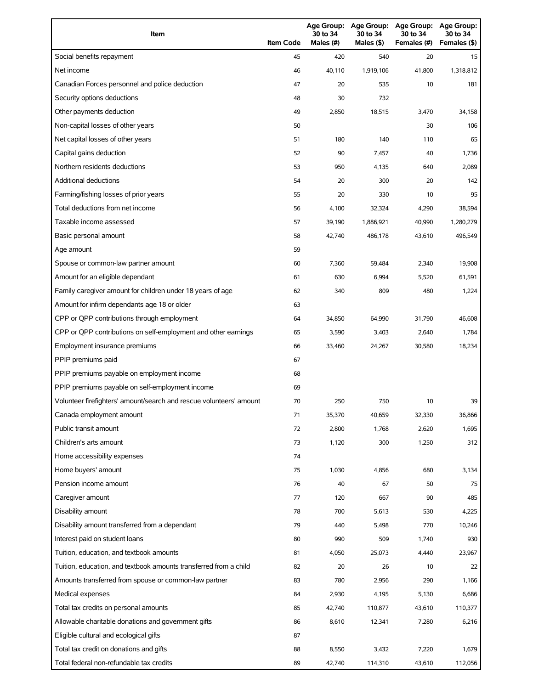| Item                                                                | <b>Item Code</b> | 30 to 34<br>Males (#) | 30 to 34<br>Males (\$) | Age Group: Age Group: Age Group:<br>30 to 34<br>Females (#) | Age Group:<br>30 to 34<br>Females (\$) |
|---------------------------------------------------------------------|------------------|-----------------------|------------------------|-------------------------------------------------------------|----------------------------------------|
| Social benefits repayment                                           | 45               | 420                   | 540                    | 20                                                          | 15                                     |
| Net income                                                          | 46               | 40.110                | 1,919,106              | 41.800                                                      | 1,318,812                              |
| Canadian Forces personnel and police deduction                      | 47               | 20                    | 535                    | 10                                                          | 181                                    |
| Security options deductions                                         | 48               | 30                    | 732                    |                                                             |                                        |
| Other payments deduction                                            | 49               | 2,850                 | 18,515                 | 3,470                                                       | 34,158                                 |
| Non-capital losses of other years                                   | 50               |                       |                        | 30                                                          | 106                                    |
| Net capital losses of other years                                   | 51               | 180                   | 140                    | 110                                                         | 65                                     |
| Capital gains deduction                                             | 52               | 90                    | 7,457                  | 40                                                          | 1,736                                  |
| Northern residents deductions                                       | 53               | 950                   | 4,135                  | 640                                                         | 2,089                                  |
| <b>Additional deductions</b>                                        | 54               | 20                    | 300                    | 20                                                          | 142                                    |
| Farming/fishing losses of prior years                               | 55               | 20                    | 330                    | 10                                                          | 95                                     |
| Total deductions from net income                                    | 56               | 4,100                 | 32,324                 | 4,290                                                       | 38,594                                 |
| Taxable income assessed                                             | 57               | 39,190                | 1,886,921              | 40,990                                                      | 1,280,279                              |
| Basic personal amount                                               | 58               | 42,740                | 486,178                | 43,610                                                      | 496,549                                |
| Age amount                                                          | 59               |                       |                        |                                                             |                                        |
| Spouse or common-law partner amount                                 | 60               | 7,360                 | 59.484                 | 2,340                                                       | 19,908                                 |
| Amount for an eligible dependant                                    | 61               | 630                   | 6,994                  | 5,520                                                       | 61,591                                 |
| Family caregiver amount for children under 18 years of age          | 62               | 340                   | 809                    | 480                                                         | 1,224                                  |
| Amount for infirm dependants age 18 or older                        | 63               |                       |                        |                                                             |                                        |
| CPP or QPP contributions through employment                         | 64               | 34,850                | 64,990                 | 31,790                                                      | 46,608                                 |
| CPP or QPP contributions on self-employment and other earnings      | 65               | 3,590                 | 3,403                  | 2,640                                                       | 1,784                                  |
| Employment insurance premiums                                       | 66               | 33,460                | 24,267                 | 30,580                                                      | 18,234                                 |
| PPIP premiums paid                                                  | 67               |                       |                        |                                                             |                                        |
| PPIP premiums payable on employment income                          | 68               |                       |                        |                                                             |                                        |
| PPIP premiums payable on self-employment income                     | 69               |                       |                        |                                                             |                                        |
| Volunteer firefighters' amount/search and rescue volunteers' amount | 70               | 250                   | 750                    | 10                                                          | 39                                     |
| Canada employment amount                                            | 71               | 35,370                | 40,659                 | 32,330                                                      | 36,866                                 |
| Public transit amount                                               | 72               | 2,800                 | 1,768                  | 2,620                                                       | 1,695                                  |
| Children's arts amount                                              | 73               | 1,120                 | 300                    | 1,250                                                       | 312                                    |
| Home accessibility expenses                                         | 74               |                       |                        |                                                             |                                        |
| Home buyers' amount                                                 | 75               | 1,030                 | 4,856                  | 680                                                         | 3,134                                  |
| Pension income amount                                               | 76               | 40                    | 67                     | 50                                                          | 75                                     |
| Caregiver amount                                                    | 77               | 120                   | 667                    | 90                                                          | 485                                    |
| Disability amount                                                   | 78               | 700                   | 5,613                  | 530                                                         | 4,225                                  |
| Disability amount transferred from a dependant                      | 79               | 440                   | 5,498                  | 770                                                         | 10,246                                 |
| Interest paid on student loans                                      | 80               | 990                   | 509                    | 1,740                                                       | 930                                    |
| Tuition, education, and textbook amounts                            | 81               | 4,050                 | 25,073                 | 4,440                                                       | 23,967                                 |
| Tuition, education, and textbook amounts transferred from a child   | 82               | 20                    | 26                     | 10                                                          | 22                                     |
| Amounts transferred from spouse or common-law partner               | 83               | 780                   | 2,956                  | 290                                                         | 1,166                                  |
| Medical expenses                                                    | 84               | 2,930                 | 4,195                  | 5,130                                                       | 6,686                                  |
| Total tax credits on personal amounts                               | 85               | 42,740                | 110,877                | 43,610                                                      | 110,377                                |
| Allowable charitable donations and government gifts                 | 86               | 8,610                 | 12,341                 | 7,280                                                       | 6,216                                  |
| Eligible cultural and ecological gifts                              | 87               |                       |                        |                                                             |                                        |
| Total tax credit on donations and gifts                             | 88               | 8,550                 | 3,432                  | 7,220                                                       | 1,679                                  |
| Total federal non-refundable tax credits                            | 89               | 42,740                | 114,310                | 43,610                                                      | 112,056                                |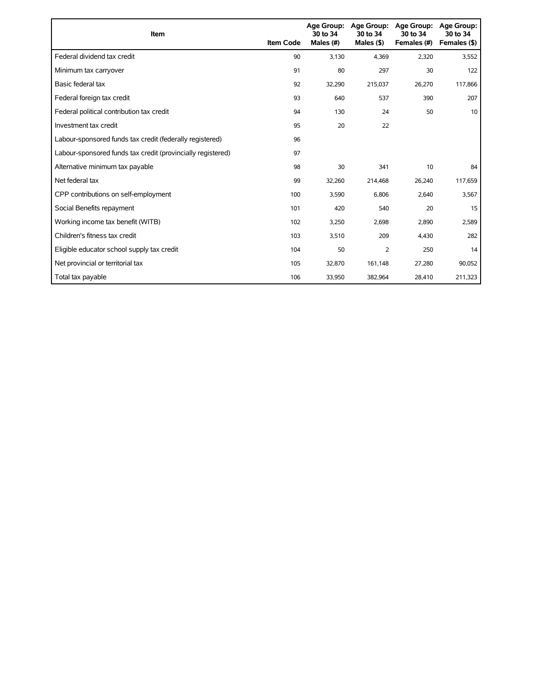| Item                                                        | <b>Item Code</b> | <b>Age Group:</b><br>30 to 34<br>Males (#) | <b>Age Group:</b><br>30 to 34<br>Males $($ \$) | <b>Age Group:</b><br>30 to 34<br>Females (#) | <b>Age Group:</b><br>30 to 34<br>Females (\$) |
|-------------------------------------------------------------|------------------|--------------------------------------------|------------------------------------------------|----------------------------------------------|-----------------------------------------------|
| Federal dividend tax credit                                 | 90               | 3,130                                      | 4,369                                          | 2,320                                        | 3,552                                         |
| Minimum tax carryover                                       | 91               | 80                                         | 297                                            | 30                                           | 122                                           |
| Basic federal tax                                           | 92               | 32,290                                     | 215,037                                        | 26,270                                       | 117,866                                       |
| Federal foreign tax credit                                  | 93               | 640                                        | 537                                            | 390                                          | 207                                           |
| Federal political contribution tax credit                   | 94               | 130                                        | 24                                             | 50                                           | 10                                            |
| Investment tax credit                                       | 95               | 20                                         | 22                                             |                                              |                                               |
| Labour-sponsored funds tax credit (federally registered)    | 96               |                                            |                                                |                                              |                                               |
| Labour-sponsored funds tax credit (provincially registered) | 97               |                                            |                                                |                                              |                                               |
| Alternative minimum tax payable                             | 98               | 30                                         | 341                                            | 10                                           | 84                                            |
| Net federal tax                                             | 99               | 32,260                                     | 214,468                                        | 26,240                                       | 117,659                                       |
| CPP contributions on self-employment                        | 100              | 3,590                                      | 6,806                                          | 2,640                                        | 3,567                                         |
| Social Benefits repayment                                   | 101              | 420                                        | 540                                            | 20                                           | 15                                            |
| Working income tax benefit (WITB)                           | 102              | 3,250                                      | 2,698                                          | 2,890                                        | 2,589                                         |
| Children's fitness tax credit                               | 103              | 3,510                                      | 209                                            | 4,430                                        | 282                                           |
| Eligible educator school supply tax credit                  | 104              | 50                                         | 2                                              | 250                                          | 14                                            |
| Net provincial or territorial tax                           | 105              | 32,870                                     | 161,148                                        | 27,280                                       | 90,052                                        |
| Total tax payable                                           | 106              | 33,950                                     | 382,964                                        | 28,410                                       | 211,323                                       |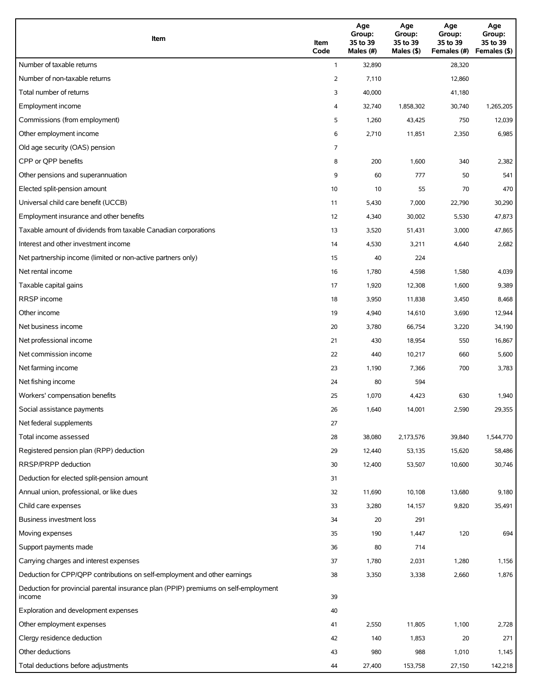| Item                                                                                          | Item<br>Code | Age<br>Group:<br>35 to 39<br>Males (#) | Age<br>Group:<br>35 to 39<br>Males (\$) | Age<br>Group:<br>35 to 39<br>Females (#) | Age<br>Group:<br>35 to 39<br>Females (\$) |
|-----------------------------------------------------------------------------------------------|--------------|----------------------------------------|-----------------------------------------|------------------------------------------|-------------------------------------------|
| Number of taxable returns                                                                     | $\mathbf{1}$ | 32,890                                 |                                         | 28,320                                   |                                           |
| Number of non-taxable returns                                                                 | 2            | 7,110                                  |                                         | 12,860                                   |                                           |
| Total number of returns                                                                       | 3            | 40,000                                 |                                         | 41,180                                   |                                           |
| Employment income                                                                             | 4            | 32,740                                 | 1,858,302                               | 30,740                                   | 1,265,205                                 |
| Commissions (from employment)                                                                 | 5            | 1,260                                  | 43,425                                  | 750                                      | 12,039                                    |
| Other employment income                                                                       | 6            | 2,710                                  | 11,851                                  | 2,350                                    | 6,985                                     |
| Old age security (OAS) pension                                                                | 7            |                                        |                                         |                                          |                                           |
| CPP or OPP benefits                                                                           | 8            | 200                                    | 1,600                                   | 340                                      | 2,382                                     |
| Other pensions and superannuation                                                             | 9            | 60                                     | 777                                     | 50                                       | 541                                       |
| Elected split-pension amount                                                                  | 10           | 10                                     | 55                                      | 70                                       | 470                                       |
| Universal child care benefit (UCCB)                                                           | 11           | 5,430                                  | 7,000                                   | 22,790                                   | 30,290                                    |
| Employment insurance and other benefits                                                       | 12           | 4,340                                  | 30,002                                  | 5,530                                    | 47,873                                    |
| Taxable amount of dividends from taxable Canadian corporations                                | 13           | 3,520                                  | 51,431                                  | 3,000                                    | 47,865                                    |
| Interest and other investment income                                                          | 14           | 4,530                                  | 3,211                                   | 4,640                                    | 2,682                                     |
| Net partnership income (limited or non-active partners only)                                  | 15           | 40                                     | 224                                     |                                          |                                           |
| Net rental income                                                                             | 16           | 1,780                                  | 4,598                                   | 1,580                                    | 4,039                                     |
| Taxable capital gains                                                                         | 17           | 1,920                                  | 12,308                                  | 1,600                                    | 9,389                                     |
| <b>RRSP</b> income                                                                            | 18           | 3,950                                  | 11,838                                  | 3,450                                    | 8,468                                     |
| Other income                                                                                  | 19           | 4,940                                  | 14,610                                  | 3,690                                    | 12,944                                    |
| Net business income                                                                           | 20           | 3,780                                  | 66,754                                  | 3,220                                    | 34,190                                    |
| Net professional income                                                                       | 21           | 430                                    | 18,954                                  | 550                                      | 16,867                                    |
| Net commission income                                                                         | 22           | 440                                    | 10,217                                  | 660                                      | 5,600                                     |
| Net farming income                                                                            | 23           | 1,190                                  | 7,366                                   | 700                                      | 3,783                                     |
| Net fishing income                                                                            | 24           | 80                                     | 594                                     |                                          |                                           |
| Workers' compensation benefits                                                                | 25           | 1,070                                  | 4,423                                   | 630                                      | 1,940                                     |
| Social assistance payments                                                                    | 26           | 1,640                                  | 14,001                                  | 2,590                                    | 29,355                                    |
| Net federal supplements                                                                       | 27           |                                        |                                         |                                          |                                           |
| Total income assessed                                                                         | 28           | 38,080                                 | 2,173,576                               | 39,840                                   | 1,544,770                                 |
| Registered pension plan (RPP) deduction                                                       | 29           | 12,440                                 | 53,135                                  | 15,620                                   | 58,486                                    |
| RRSP/PRPP deduction                                                                           | 30           | 12,400                                 | 53,507                                  | 10,600                                   | 30,746                                    |
| Deduction for elected split-pension amount                                                    | 31           |                                        |                                         |                                          |                                           |
| Annual union, professional, or like dues                                                      | 32           | 11,690                                 | 10,108                                  | 13,680                                   | 9,180                                     |
| Child care expenses                                                                           | 33           | 3,280                                  | 14,157                                  | 9,820                                    | 35,491                                    |
| <b>Business investment loss</b>                                                               | 34           | 20                                     | 291                                     |                                          |                                           |
| Moving expenses                                                                               | 35           | 190                                    | 1,447                                   | 120                                      | 694                                       |
| Support payments made                                                                         | 36           | 80                                     | 714                                     |                                          |                                           |
| Carrying charges and interest expenses                                                        | 37           | 1,780                                  | 2,031                                   | 1,280                                    | 1,156                                     |
| Deduction for CPP/QPP contributions on self-employment and other earnings                     | 38           | 3,350                                  | 3,338                                   | 2,660                                    | 1,876                                     |
| Deduction for provincial parental insurance plan (PPIP) premiums on self-employment<br>income | 39           |                                        |                                         |                                          |                                           |
| Exploration and development expenses                                                          | 40           |                                        |                                         |                                          |                                           |
| Other employment expenses                                                                     | 41           | 2,550                                  | 11,805                                  | 1,100                                    | 2,728                                     |
| Clergy residence deduction                                                                    | 42           | 140                                    | 1,853                                   | 20                                       | 271                                       |
| Other deductions                                                                              | 43           | 980                                    | 988                                     | 1,010                                    | 1,145                                     |
| Total deductions before adjustments                                                           | 44           | 27,400                                 | 153,758                                 | 27,150                                   | 142,218                                   |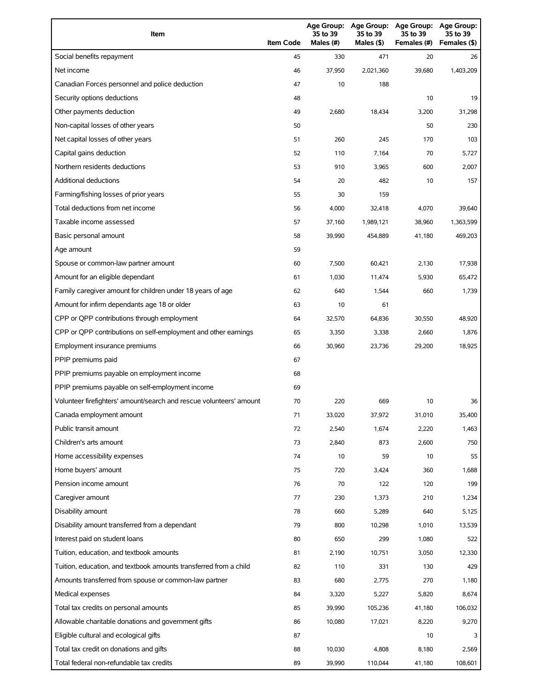| Item                                                                | <b>Item Code</b> | 35 to 39<br>Males (#) | 35 to 39<br>Males (\$) | Age Group: Age Group: Age Group:<br>35 to 39<br>Females (#) | Age Group:<br>35 to 39<br>Females (\$) |
|---------------------------------------------------------------------|------------------|-----------------------|------------------------|-------------------------------------------------------------|----------------------------------------|
| Social benefits repayment                                           | 45               | 330                   | 471                    | 20                                                          | 26                                     |
| Net income                                                          | 46               | 37,950                | 2,021,360              | 39,680                                                      | 1,403,209                              |
| Canadian Forces personnel and police deduction                      | 47               | 10                    | 188                    |                                                             |                                        |
| Security options deductions                                         | 48               |                       |                        | 10                                                          | 19                                     |
| Other payments deduction                                            | 49               | 2,680                 | 18,434                 | 3,200                                                       | 31,298                                 |
| Non-capital losses of other years                                   | 50               |                       |                        | 50                                                          | 230                                    |
| Net capital losses of other years                                   | 51               | 260                   | 245                    | 170                                                         | 103                                    |
| Capital gains deduction                                             | 52               | 110                   | 7,164                  | 70                                                          | 5,727                                  |
| Northern residents deductions                                       | 53               | 910                   | 3,965                  | 600                                                         | 2,007                                  |
| Additional deductions                                               | 54               | 20                    | 482                    | 10                                                          | 157                                    |
| Farming/fishing losses of prior years                               | 55               | 30                    | 159                    |                                                             |                                        |
| Total deductions from net income                                    | 56               | 4,000                 | 32,418                 | 4,070                                                       | 39,640                                 |
| Taxable income assessed                                             | 57               | 37,160                | 1,989,121              | 38,960                                                      | 1,363,599                              |
| Basic personal amount                                               | 58               | 39,990                | 454,889                | 41,180                                                      | 469,203                                |
| Age amount                                                          | 59               |                       |                        |                                                             |                                        |
| Spouse or common-law partner amount                                 | 60               | 7,500                 | 60,421                 | 2,130                                                       | 17,938                                 |
| Amount for an eligible dependant                                    | 61               | 1,030                 | 11,474                 | 5,930                                                       | 65,472                                 |
| Family caregiver amount for children under 18 years of age          | 62               | 640                   | 1,544                  | 660                                                         | 1,739                                  |
| Amount for infirm dependants age 18 or older                        | 63               | 10                    | 61                     |                                                             |                                        |
| CPP or QPP contributions through employment                         | 64               | 32,570                | 64,836                 | 30,550                                                      | 48,920                                 |
| CPP or QPP contributions on self-employment and other earnings      | 65               | 3,350                 | 3,338                  | 2,660                                                       | 1,876                                  |
| Employment insurance premiums                                       | 66               | 30,960                | 23,736                 | 29,200                                                      | 18,925                                 |
| PPIP premiums paid                                                  | 67               |                       |                        |                                                             |                                        |
| PPIP premiums payable on employment income                          | 68               |                       |                        |                                                             |                                        |
| PPIP premiums payable on self-employment income                     | 69               |                       |                        |                                                             |                                        |
| Volunteer firefighters' amount/search and rescue volunteers' amount | 70               | 220                   | 669                    | 10                                                          | 36                                     |
| Canada employment amount                                            | 71               | 33,020                | 37,972                 | 31,010                                                      | 35,400                                 |
| Public transit amount                                               | 72               | 2,540                 | 1,674                  | 2,220                                                       | 1,463                                  |
| Children's arts amount                                              | 73               | 2,840                 | 873                    | 2,600                                                       | 750                                    |
| Home accessibility expenses                                         | 74               | 10                    | 59                     | 10                                                          | 55                                     |
| Home buyers' amount                                                 | 75               | 720                   | 3,424                  | 360                                                         | 1,688                                  |
| Pension income amount                                               | 76               | 70                    | 122                    | 120                                                         | 199                                    |
| Caregiver amount                                                    | 77               | 230                   | 1,373                  | 210                                                         | 1,234                                  |
| Disability amount                                                   | 78               | 660                   | 5,289                  | 640                                                         | 5,125                                  |
| Disability amount transferred from a dependant                      | 79               | 800                   | 10,298                 | 1,010                                                       | 13,539                                 |
| Interest paid on student loans                                      | 80               | 650                   | 299                    | 1,080                                                       | 522                                    |
| Tuition, education, and textbook amounts                            | 81               | 2,190                 | 10,751                 | 3,050                                                       | 12,330                                 |
| Tuition, education, and textbook amounts transferred from a child   | 82               | 110                   | 331                    | 130                                                         | 429                                    |
| Amounts transferred from spouse or common-law partner               | 83               | 680                   | 2,775                  | 270                                                         | 1,180                                  |
| Medical expenses                                                    | 84               | 3,320                 | 5,227                  | 5,820                                                       | 8,674                                  |
| Total tax credits on personal amounts                               | 85               | 39,990                | 105,236                | 41,180                                                      | 106,032                                |
| Allowable charitable donations and government gifts                 | 86               | 10,080                | 17,021                 | 8,220                                                       | 9,270                                  |
| Eligible cultural and ecological gifts                              | 87               |                       |                        | 10                                                          |                                        |
| Total tax credit on donations and gifts                             | 88               | 10,030                | 4,808                  | 8,180                                                       | 2,569                                  |
| Total federal non-refundable tax credits                            | 89               | 39,990                | 110,044                | 41,180                                                      | 108,601                                |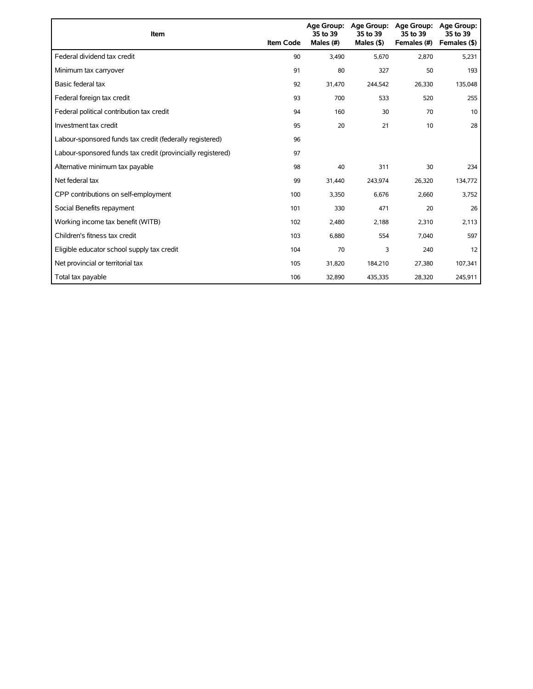| Item                                                        | <b>Item Code</b> | 35 to 39<br>Males (#) | Age Group: Age Group:<br>35 to 39<br>Males $($ \$) | <b>Age Group:</b><br>35 to 39<br>Females (#) | <b>Age Group:</b><br>35 to 39<br>Females (\$) |
|-------------------------------------------------------------|------------------|-----------------------|----------------------------------------------------|----------------------------------------------|-----------------------------------------------|
| Federal dividend tax credit                                 | 90               | 3,490                 | 5,670                                              | 2,870                                        | 5,231                                         |
| Minimum tax carryover                                       | 91               | 80                    | 327                                                | 50                                           | 193                                           |
| Basic federal tax                                           | 92               | 31,470                | 244,542                                            | 26,330                                       | 135,048                                       |
| Federal foreign tax credit                                  | 93               | 700                   | 533                                                | 520                                          | 255                                           |
| Federal political contribution tax credit                   | 94               | 160                   | 30                                                 | 70                                           | 10                                            |
| Investment tax credit                                       | 95               | 20                    | 21                                                 | 10                                           | 28                                            |
| Labour-sponsored funds tax credit (federally registered)    | 96               |                       |                                                    |                                              |                                               |
| Labour-sponsored funds tax credit (provincially registered) | 97               |                       |                                                    |                                              |                                               |
| Alternative minimum tax payable                             | 98               | 40                    | 311                                                | 30                                           | 234                                           |
| Net federal tax                                             | 99               | 31,440                | 243,974                                            | 26,320                                       | 134,772                                       |
| CPP contributions on self-employment                        | 100              | 3,350                 | 6,676                                              | 2,660                                        | 3,752                                         |
| Social Benefits repayment                                   | 101              | 330                   | 471                                                | 20                                           | 26                                            |
| Working income tax benefit (WITB)                           | 102              | 2,480                 | 2,188                                              | 2,310                                        | 2,113                                         |
| Children's fitness tax credit                               | 103              | 6,880                 | 554                                                | 7,040                                        | 597                                           |
| Eligible educator school supply tax credit                  | 104              | 70                    | 3                                                  | 240                                          | 12                                            |
| Net provincial or territorial tax                           | 105              | 31,820                | 184,210                                            | 27,380                                       | 107,341                                       |
| Total tax payable                                           | 106              | 32,890                | 435,335                                            | 28,320                                       | 245,911                                       |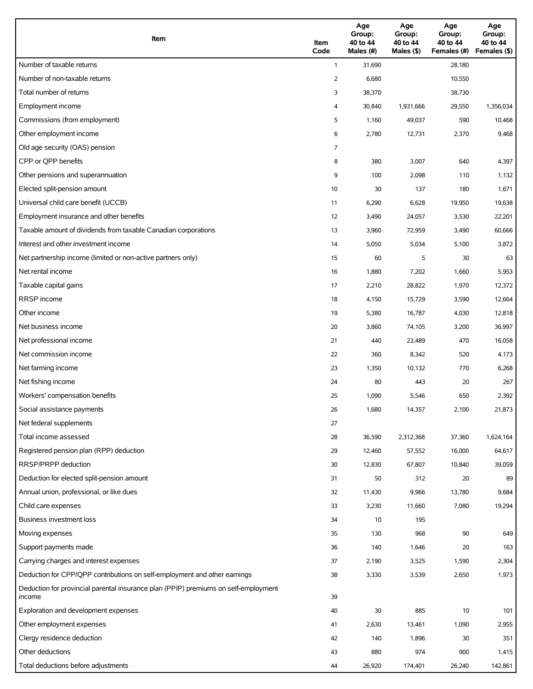| Item                                                                                          | Item<br>Code | Age<br>Group:<br>40 to 44<br>Males (#) | Age<br>Group:<br>40 to 44<br>Males (\$) | Age<br>Group:<br>40 to 44<br>Females (#) | Age<br>Group:<br>40 to 44<br>Females (\$) |
|-----------------------------------------------------------------------------------------------|--------------|----------------------------------------|-----------------------------------------|------------------------------------------|-------------------------------------------|
| Number of taxable returns                                                                     | $\mathbf{1}$ | 31,690                                 |                                         | 28,180                                   |                                           |
| Number of non-taxable returns                                                                 | 2            | 6,680                                  |                                         | 10,550                                   |                                           |
| Total number of returns                                                                       | 3            | 38,370                                 |                                         | 38,730                                   |                                           |
| Employment income                                                                             | 4            | 30,840                                 | 1,931,666                               | 29,550                                   | 1,356,034                                 |
| Commissions (from employment)                                                                 | 5            | 1,160                                  | 49,037                                  | 590                                      | 10,468                                    |
| Other employment income                                                                       | 6            | 2,780                                  | 12,731                                  | 2,370                                    | 9,468                                     |
| Old age security (OAS) pension                                                                | 7            |                                        |                                         |                                          |                                           |
| CPP or OPP benefits                                                                           | 8            | 380                                    | 3,007                                   | 640                                      | 4,397                                     |
| Other pensions and superannuation                                                             | 9            | 100                                    | 2,098                                   | 110                                      | 1,132                                     |
| Elected split-pension amount                                                                  | 10           | 30                                     | 137                                     | 180                                      | 1,671                                     |
| Universal child care benefit (UCCB)                                                           | 11           | 6,290                                  | 6,628                                   | 19,950                                   | 19,638                                    |
| Employment insurance and other benefits                                                       | 12           | 3,490                                  | 24,057                                  | 3,530                                    | 22,201                                    |
| Taxable amount of dividends from taxable Canadian corporations                                | 13           | 3,960                                  | 72,959                                  | 3,490                                    | 60,666                                    |
| Interest and other investment income                                                          | 14           | 5,050                                  | 5,034                                   | 5,100                                    | 3,872                                     |
| Net partnership income (limited or non-active partners only)                                  | 15           | 60                                     | 5                                       | 30                                       | 63                                        |
| Net rental income                                                                             | 16           | 1,880                                  | 7,202                                   | 1,660                                    | 5,953                                     |
| Taxable capital gains                                                                         | 17           | 2,210                                  | 28,822                                  | 1,970                                    | 12,372                                    |
| <b>RRSP</b> income                                                                            | 18           | 4,150                                  | 15,729                                  | 3,590                                    | 12,664                                    |
| Other income                                                                                  | 19           | 5,380                                  | 16,787                                  | 4,030                                    | 12,818                                    |
| Net business income                                                                           | 20           | 3,860                                  | 74,105                                  | 3,200                                    | 36,997                                    |
| Net professional income                                                                       | 21           | 440                                    | 23,489                                  | 470                                      | 16,058                                    |
| Net commission income                                                                         | 22           | 360                                    | 8,342                                   | 520                                      | 4,173                                     |
| Net farming income                                                                            | 23           | 1,350                                  | 10,132                                  | 770                                      | 6,268                                     |
| Net fishing income                                                                            | 24           | 80                                     | 443                                     | 20                                       | 267                                       |
| Workers' compensation benefits                                                                | 25           | 1,090                                  | 5,546                                   | 650                                      | 2,392                                     |
| Social assistance payments                                                                    | 26           | 1,680                                  | 14,357                                  | 2,100                                    | 21,873                                    |
| Net federal supplements                                                                       | 27           |                                        |                                         |                                          |                                           |
| Total income assessed                                                                         | 28           | 36,590                                 | 2,312,368                               | 37,360                                   | 1,624,164                                 |
| Registered pension plan (RPP) deduction                                                       | 29           | 12,460                                 | 57,552                                  | 16,000                                   | 64,617                                    |
| RRSP/PRPP deduction                                                                           | 30           | 12,830                                 | 67,807                                  | 10,840                                   | 39,059                                    |
| Deduction for elected split-pension amount                                                    | 31           | 50                                     | 312                                     | 20                                       | 89                                        |
| Annual union, professional, or like dues                                                      | 32           | 11,430                                 | 9,966                                   | 13,780                                   | 9,684                                     |
| Child care expenses                                                                           | 33           | 3,230                                  | 11,660                                  | 7,080                                    | 19,294                                    |
| Business investment loss                                                                      | 34           | 10                                     | 195                                     |                                          |                                           |
| Moving expenses                                                                               | 35           | 130                                    | 968                                     | 90                                       | 649                                       |
| Support payments made                                                                         | 36           | 140                                    | 1,646                                   | 20                                       | 163                                       |
| Carrying charges and interest expenses                                                        | 37           | 2,190                                  | 3,525                                   | 1,590                                    | 2,304                                     |
| Deduction for CPP/QPP contributions on self-employment and other earnings                     | 38           | 3,330                                  | 3,539                                   | 2,650                                    | 1,973                                     |
| Deduction for provincial parental insurance plan (PPIP) premiums on self-employment<br>income | 39           |                                        |                                         |                                          |                                           |
| Exploration and development expenses                                                          | 40           | 30                                     | 885                                     | 10                                       | 101                                       |
| Other employment expenses                                                                     | 41           | 2,630                                  | 13,461                                  | 1,090                                    | 2,955                                     |
| Clergy residence deduction                                                                    | 42           | 140                                    | 1,896                                   | 30                                       | 351                                       |
| Other deductions                                                                              | 43           | 880                                    | 974                                     | 900                                      | 1,415                                     |
| Total deductions before adjustments                                                           | 44           | 26,920                                 | 174,401                                 | 26,240                                   | 142,861                                   |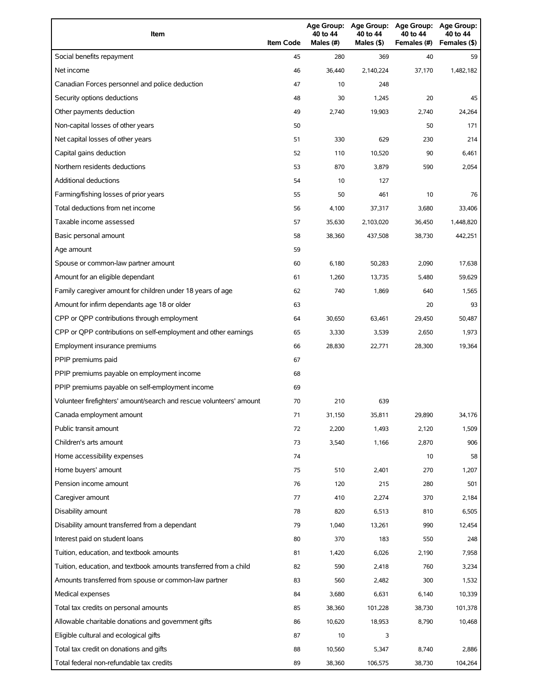| Item                                                                | <b>Item Code</b> | 40 to 44<br>Males (#) | 40 to 44<br>Males (\$) | Age Group: Age Group: Age Group:<br>40 to 44<br>Females (#) | Age Group:<br>40 to 44<br>Females (\$) |
|---------------------------------------------------------------------|------------------|-----------------------|------------------------|-------------------------------------------------------------|----------------------------------------|
| Social benefits repayment                                           | 45               | 280                   | 369                    | 40                                                          | 59                                     |
| Net income                                                          | 46               | 36,440                | 2,140,224              | 37,170                                                      | 1,482,182                              |
| Canadian Forces personnel and police deduction                      | 47               | 10                    | 248                    |                                                             |                                        |
| Security options deductions                                         | 48               | 30                    | 1,245                  | 20                                                          | 45                                     |
| Other payments deduction                                            | 49               | 2,740                 | 19,903                 | 2,740                                                       | 24,264                                 |
| Non-capital losses of other years                                   | 50               |                       |                        | 50                                                          | 171                                    |
| Net capital losses of other years                                   | 51               | 330                   | 629                    | 230                                                         | 214                                    |
| Capital gains deduction                                             | 52               | 110                   | 10,520                 | 90                                                          | 6,461                                  |
| Northern residents deductions                                       | 53               | 870                   | 3,879                  | 590                                                         | 2,054                                  |
| Additional deductions                                               | 54               | 10                    | 127                    |                                                             |                                        |
| Farming/fishing losses of prior years                               | 55               | 50                    | 461                    | 10                                                          | 76                                     |
| Total deductions from net income                                    | 56               | 4,100                 | 37,317                 | 3,680                                                       | 33,406                                 |
| Taxable income assessed                                             | 57               | 35,630                | 2,103,020              | 36,450                                                      | 1,448,820                              |
| Basic personal amount                                               | 58               | 38,360                | 437,508                | 38,730                                                      | 442,251                                |
| Age amount                                                          | 59               |                       |                        |                                                             |                                        |
| Spouse or common-law partner amount                                 | 60               | 6,180                 | 50,283                 | 2,090                                                       | 17,638                                 |
| Amount for an eligible dependant                                    | 61               | 1,260                 | 13,735                 | 5,480                                                       | 59,629                                 |
| Family caregiver amount for children under 18 years of age          | 62               | 740                   | 1,869                  | 640                                                         | 1,565                                  |
| Amount for infirm dependants age 18 or older                        | 63               |                       |                        | 20                                                          | 93                                     |
| CPP or QPP contributions through employment                         | 64               | 30,650                | 63,461                 | 29,450                                                      | 50,487                                 |
| CPP or QPP contributions on self-employment and other earnings      | 65               | 3,330                 | 3,539                  | 2,650                                                       | 1,973                                  |
| Employment insurance premiums                                       | 66               | 28,830                | 22,771                 | 28,300                                                      | 19,364                                 |
| PPIP premiums paid                                                  | 67               |                       |                        |                                                             |                                        |
| PPIP premiums payable on employment income                          | 68               |                       |                        |                                                             |                                        |
| PPIP premiums payable on self-employment income                     | 69               |                       |                        |                                                             |                                        |
| Volunteer firefighters' amount/search and rescue volunteers' amount | 70               | 210                   | 639                    |                                                             |                                        |
| Canada employment amount                                            | 71               | 31,150                | 35,811                 | 29,890                                                      | 34,176                                 |
| Public transit amount                                               | 72               | 2,200                 | 1,493                  | 2,120                                                       | 1,509                                  |
| Children's arts amount                                              | 73               | 3,540                 | 1,166                  | 2,870                                                       | 906                                    |
| Home accessibility expenses                                         | 74               |                       |                        | 10                                                          | 58                                     |
| Home buyers' amount                                                 | 75               | 510                   | 2,401                  | 270                                                         | 1,207                                  |
| Pension income amount                                               | 76               | 120                   | 215                    | 280                                                         | 501                                    |
| Caregiver amount                                                    | 77               | 410                   | 2,274                  | 370                                                         | 2,184                                  |
| Disability amount                                                   | 78               | 820                   | 6,513                  | 810                                                         | 6,505                                  |
| Disability amount transferred from a dependant                      | 79               | 1,040                 | 13,261                 | 990                                                         | 12,454                                 |
| Interest paid on student loans                                      | 80               | 370                   | 183                    | 550                                                         | 248                                    |
| Tuition, education, and textbook amounts                            | 81               | 1,420                 | 6,026                  | 2,190                                                       | 7,958                                  |
| Tuition, education, and textbook amounts transferred from a child   | 82               | 590                   | 2,418                  | 760                                                         | 3,234                                  |
| Amounts transferred from spouse or common-law partner               | 83               | 560                   | 2,482                  | 300                                                         | 1,532                                  |
| Medical expenses                                                    | 84               | 3,680                 | 6,631                  | 6,140                                                       | 10,339                                 |
| Total tax credits on personal amounts                               | 85               | 38,360                | 101,228                | 38,730                                                      | 101,378                                |
| Allowable charitable donations and government gifts                 | 86               | 10,620                | 18,953                 | 8,790                                                       | 10,468                                 |
| Eligible cultural and ecological gifts                              | 87               | 10                    | 3                      |                                                             |                                        |
| Total tax credit on donations and gifts                             | 88               | 10,560                | 5,347                  | 8,740                                                       | 2,886                                  |
| Total federal non-refundable tax credits                            | 89               | 38,360                | 106,575                | 38,730                                                      | 104,264                                |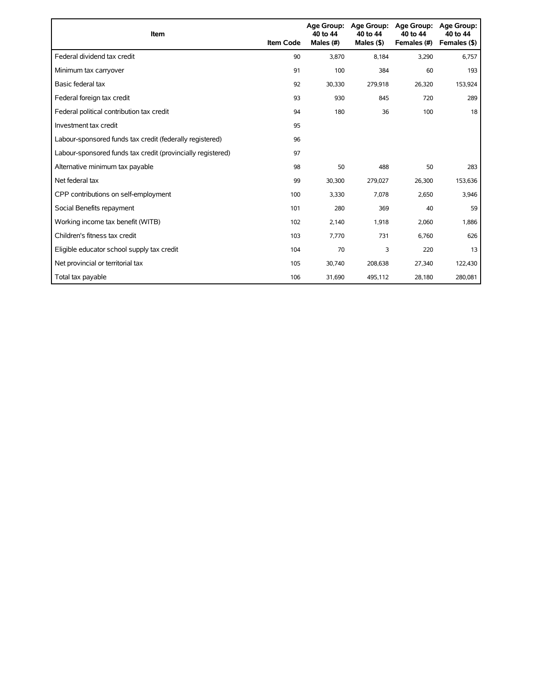| <b>Item</b>                                                 | <b>Item Code</b> | <b>Age Group:</b><br>40 to 44<br>Males (#) | <b>Age Group:</b><br>40 to 44<br>Males $($ \$) | <b>Age Group:</b><br>40 to 44<br>Females (#) | <b>Age Group:</b><br>40 to 44<br>Females (\$) |
|-------------------------------------------------------------|------------------|--------------------------------------------|------------------------------------------------|----------------------------------------------|-----------------------------------------------|
| Federal dividend tax credit                                 | 90               | 3,870                                      | 8,184                                          | 3,290                                        | 6,757                                         |
| Minimum tax carryover                                       | 91               | 100                                        | 384                                            | 60                                           | 193                                           |
| Basic federal tax                                           | 92               | 30,330                                     | 279,918                                        | 26,320                                       | 153,924                                       |
| Federal foreign tax credit                                  | 93               | 930                                        | 845                                            | 720                                          | 289                                           |
| Federal political contribution tax credit                   | 94               | 180                                        | 36                                             | 100                                          | 18                                            |
| Investment tax credit                                       | 95               |                                            |                                                |                                              |                                               |
| Labour-sponsored funds tax credit (federally registered)    | 96               |                                            |                                                |                                              |                                               |
| Labour-sponsored funds tax credit (provincially registered) | 97               |                                            |                                                |                                              |                                               |
| Alternative minimum tax payable                             | 98               | 50                                         | 488                                            | 50                                           | 283                                           |
| Net federal tax                                             | 99               | 30,300                                     | 279,027                                        | 26,300                                       | 153,636                                       |
| CPP contributions on self-employment                        | 100              | 3,330                                      | 7,078                                          | 2,650                                        | 3,946                                         |
| Social Benefits repayment                                   | 101              | 280                                        | 369                                            | 40                                           | 59                                            |
| Working income tax benefit (WITB)                           | 102              | 2,140                                      | 1,918                                          | 2,060                                        | 1,886                                         |
| Children's fitness tax credit                               | 103              | 7,770                                      | 731                                            | 6,760                                        | 626                                           |
| Eligible educator school supply tax credit                  | 104              | 70                                         | 3                                              | 220                                          | 13                                            |
| Net provincial or territorial tax                           | 105              | 30,740                                     | 208,638                                        | 27,340                                       | 122,430                                       |
| Total tax payable                                           | 106              | 31,690                                     | 495,112                                        | 28,180                                       | 280,081                                       |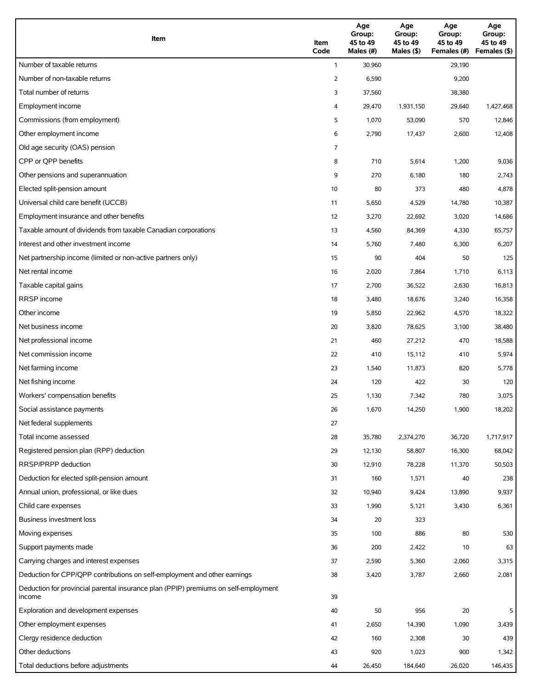| Item                                                                                          | Item<br>Code | Age<br>Group:<br>45 to 49<br>Males (#) | Age<br>Group:<br>45 to 49<br>Males (\$) | Age<br>Group:<br>45 to 49<br>Females (#) | Age<br>Group:<br>45 to 49<br>Females (\$) |
|-----------------------------------------------------------------------------------------------|--------------|----------------------------------------|-----------------------------------------|------------------------------------------|-------------------------------------------|
| Number of taxable returns                                                                     | $\mathbf{1}$ | 30,960                                 |                                         | 29,190                                   |                                           |
| Number of non-taxable returns                                                                 | 2            | 6,590                                  |                                         | 9,200                                    |                                           |
| Total number of returns                                                                       | 3            | 37,560                                 |                                         | 38,380                                   |                                           |
| Employment income                                                                             | 4            | 29,470                                 | 1,931,150                               | 29,640                                   | 1,427,468                                 |
| Commissions (from employment)                                                                 | 5            | 1,070                                  | 53,090                                  | 570                                      | 12,846                                    |
| Other employment income                                                                       | 6            | 2,790                                  | 17,437                                  | 2,600                                    | 12,408                                    |
| Old age security (OAS) pension                                                                | 7            |                                        |                                         |                                          |                                           |
| CPP or OPP benefits                                                                           | 8            | 710                                    | 5,614                                   | 1,200                                    | 9,036                                     |
| Other pensions and superannuation                                                             | 9            | 270                                    | 6,180                                   | 180                                      | 2,743                                     |
| Elected split-pension amount                                                                  | 10           | 80                                     | 373                                     | 480                                      | 4,878                                     |
| Universal child care benefit (UCCB)                                                           | 11           | 5,650                                  | 4,529                                   | 14,780                                   | 10,387                                    |
| Employment insurance and other benefits                                                       | 12           | 3,270                                  | 22,692                                  | 3,020                                    | 14,686                                    |
| Taxable amount of dividends from taxable Canadian corporations                                | 13           | 4,560                                  | 84,369                                  | 4,330                                    | 65,757                                    |
| Interest and other investment income                                                          | 14           | 5,760                                  | 7,480                                   | 6,300                                    | 6,207                                     |
| Net partnership income (limited or non-active partners only)                                  | 15           | 90                                     | 404                                     | 50                                       | 125                                       |
| Net rental income                                                                             | 16           | 2,020                                  | 7,864                                   | 1,710                                    | 6,113                                     |
| Taxable capital gains                                                                         | 17           | 2,700                                  | 36,522                                  | 2,630                                    | 16,813                                    |
| <b>RRSP</b> income                                                                            | 18           | 3,480                                  | 18,676                                  | 3,240                                    | 16,358                                    |
| Other income                                                                                  | 19           | 5,850                                  | 22,962                                  | 4,570                                    | 18,322                                    |
| Net business income                                                                           | 20           | 3,820                                  | 78,625                                  | 3,100                                    | 38,480                                    |
| Net professional income                                                                       | 21           | 460                                    | 27,212                                  | 470                                      | 18,588                                    |
| Net commission income                                                                         | 22           | 410                                    | 15,112                                  | 410                                      | 5,974                                     |
| Net farming income                                                                            | 23           | 1,540                                  | 11,873                                  | 820                                      | 5,778                                     |
| Net fishing income                                                                            | 24           | 120                                    | 422                                     | 30                                       | 120                                       |
| Workers' compensation benefits                                                                | 25           | 1,130                                  | 7,342                                   | 780                                      | 3,075                                     |
| Social assistance payments                                                                    | 26           | 1,670                                  | 14,250                                  | 1,900                                    | 18,202                                    |
| Net federal supplements                                                                       | 27           |                                        |                                         |                                          |                                           |
| Total income assessed                                                                         | 28           | 35,780                                 | 2,374,270                               | 36,720                                   | 1,717,917                                 |
| Registered pension plan (RPP) deduction                                                       | 29           | 12,130                                 | 58,807                                  | 16,300                                   | 68,042                                    |
| RRSP/PRPP deduction                                                                           | 30           | 12,910                                 | 78,228                                  | 11,370                                   | 50,503                                    |
| Deduction for elected split-pension amount                                                    | 31           | 160                                    | 1,571                                   | 40                                       | 238                                       |
| Annual union, professional, or like dues                                                      | 32           | 10,940                                 | 9,424                                   | 13,890                                   | 9,937                                     |
| Child care expenses                                                                           | 33           | 1,990                                  | 5,121                                   | 3,430                                    | 6,361                                     |
| Business investment loss                                                                      | 34           | 20                                     | 323                                     |                                          |                                           |
| Moving expenses                                                                               | 35           | 100                                    | 886                                     | 80                                       | 530                                       |
| Support payments made                                                                         | 36           | 200                                    | 2,422                                   | 10                                       | 63                                        |
| Carrying charges and interest expenses                                                        | 37           | 2,590                                  | 5,360                                   | 2,060                                    | 3,315                                     |
| Deduction for CPP/QPP contributions on self-employment and other earnings                     | 38           | 3,420                                  | 3,787                                   | 2,660                                    | 2,081                                     |
| Deduction for provincial parental insurance plan (PPIP) premiums on self-employment<br>income | 39           |                                        |                                         |                                          |                                           |
| Exploration and development expenses                                                          | 40           | 50                                     | 956                                     | 20                                       | 5                                         |
| Other employment expenses                                                                     | 41           | 2,650                                  | 14,390                                  | 1,090                                    | 3,439                                     |
| Clergy residence deduction                                                                    | 42           | 160                                    | 2,308                                   | 30                                       | 439                                       |
| Other deductions                                                                              | 43           | 920                                    | 1,023                                   | 900                                      | 1,342                                     |
| Total deductions before adjustments                                                           | 44           | 26,450                                 | 184,640                                 | 26,020                                   | 146,435                                   |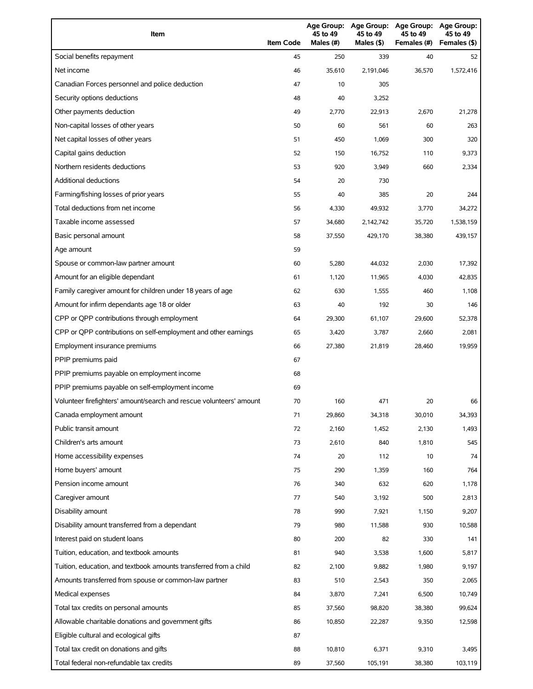| Item                                                                | <b>Item Code</b> | 45 to 49<br>Males (#) | 45 to 49<br>Males (\$) | Age Group: Age Group: Age Group:<br>45 to 49<br>Females (#) | Age Group:<br>45 to 49<br>Females (\$) |
|---------------------------------------------------------------------|------------------|-----------------------|------------------------|-------------------------------------------------------------|----------------------------------------|
| Social benefits repayment                                           | 45               | 250                   | 339                    | 40                                                          | 52                                     |
| Net income                                                          | 46               | 35,610                | 2,191,046              | 36,570                                                      | 1,572,416                              |
| Canadian Forces personnel and police deduction                      | 47               | 10                    | 305                    |                                                             |                                        |
| Security options deductions                                         | 48               | 40                    | 3,252                  |                                                             |                                        |
| Other payments deduction                                            | 49               | 2,770                 | 22,913                 | 2,670                                                       | 21,278                                 |
| Non-capital losses of other years                                   | 50               | 60                    | 561                    | 60                                                          | 263                                    |
| Net capital losses of other years                                   | 51               | 450                   | 1,069                  | 300                                                         | 320                                    |
| Capital gains deduction                                             | 52               | 150                   | 16,752                 | 110                                                         | 9,373                                  |
| Northern residents deductions                                       | 53               | 920                   | 3,949                  | 660                                                         | 2,334                                  |
| Additional deductions                                               | 54               | 20                    | 730                    |                                                             |                                        |
| Farming/fishing losses of prior years                               | 55               | 40                    | 385                    | 20                                                          | 244                                    |
| Total deductions from net income                                    | 56               | 4,330                 | 49,932                 | 3,770                                                       | 34,272                                 |
| Taxable income assessed                                             | 57               | 34,680                | 2,142,742              | 35,720                                                      | 1,538,159                              |
| Basic personal amount                                               | 58               | 37,550                | 429,170                | 38,380                                                      | 439,157                                |
| Age amount                                                          | 59               |                       |                        |                                                             |                                        |
| Spouse or common-law partner amount                                 | 60               | 5,280                 | 44,032                 | 2,030                                                       | 17,392                                 |
| Amount for an eligible dependant                                    | 61               | 1,120                 | 11,965                 | 4,030                                                       | 42,835                                 |
| Family caregiver amount for children under 18 years of age          | 62               | 630                   | 1,555                  | 460                                                         | 1,108                                  |
| Amount for infirm dependants age 18 or older                        | 63               | 40                    | 192                    | 30                                                          | 146                                    |
| CPP or QPP contributions through employment                         | 64               | 29,300                | 61,107                 | 29,600                                                      | 52,378                                 |
| CPP or QPP contributions on self-employment and other earnings      | 65               | 3,420                 | 3,787                  | 2,660                                                       | 2,081                                  |
| Employment insurance premiums                                       | 66               | 27,380                | 21,819                 | 28,460                                                      | 19,959                                 |
| PPIP premiums paid                                                  | 67               |                       |                        |                                                             |                                        |
| PPIP premiums payable on employment income                          | 68               |                       |                        |                                                             |                                        |
| PPIP premiums payable on self-employment income                     | 69               |                       |                        |                                                             |                                        |
| Volunteer firefighters' amount/search and rescue volunteers' amount | 70               | 160                   | 471                    | 20                                                          | 66                                     |
| Canada employment amount                                            | 71               | 29,860                | 34,318                 | 30,010                                                      | 34,393                                 |
| Public transit amount                                               | 72               | 2,160                 | 1,452                  | 2,130                                                       | 1,493                                  |
| Children's arts amount                                              | 73               | 2,610                 | 840                    | 1,810                                                       | 545                                    |
| Home accessibility expenses                                         | 74               | 20                    | 112                    | 10                                                          | 74                                     |
| Home buyers' amount                                                 | 75               | 290                   | 1,359                  | 160                                                         | 764                                    |
| Pension income amount                                               | 76               | 340                   | 632                    | 620                                                         | 1,178                                  |
| Caregiver amount                                                    | 77               | 540                   | 3,192                  | 500                                                         | 2,813                                  |
| Disability amount                                                   | 78               | 990                   | 7,921                  | 1,150                                                       | 9,207                                  |
| Disability amount transferred from a dependant                      | 79               | 980                   | 11,588                 | 930                                                         | 10,588                                 |
| Interest paid on student loans                                      | 80               | 200                   | 82                     | 330                                                         | 141                                    |
| Tuition, education, and textbook amounts                            | 81               | 940                   | 3,538                  | 1,600                                                       | 5,817                                  |
| Tuition, education, and textbook amounts transferred from a child   | 82               | 2,100                 | 9,882                  | 1,980                                                       | 9,197                                  |
| Amounts transferred from spouse or common-law partner               | 83               | 510                   | 2,543                  | 350                                                         | 2,065                                  |
| Medical expenses                                                    | 84               | 3,870                 | 7,241                  | 6,500                                                       | 10,749                                 |
| Total tax credits on personal amounts                               | 85               | 37,560                | 98,820                 | 38,380                                                      | 99,624                                 |
| Allowable charitable donations and government gifts                 | 86               | 10,850                | 22,287                 | 9,350                                                       | 12,598                                 |
| Eligible cultural and ecological gifts                              | 87               |                       |                        |                                                             |                                        |
| Total tax credit on donations and gifts                             | 88               | 10,810                | 6,371                  | 9,310                                                       | 3,495                                  |
| Total federal non-refundable tax credits                            | 89               | 37,560                | 105,191                | 38,380                                                      | 103,119                                |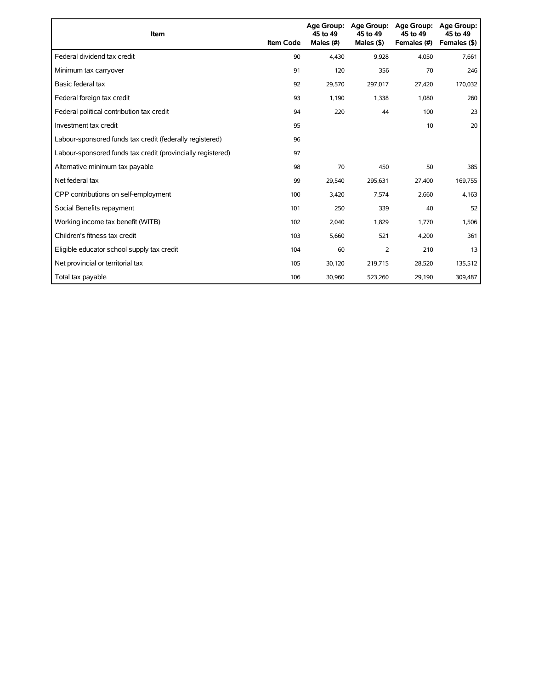| Item                                                        | <b>Item Code</b> | 45 to 49<br>Males (#) | Age Group: Age Group:<br>45 to 49<br>Males $($ \$) | <b>Age Group:</b><br>45 to 49<br>Females (#) | <b>Age Group:</b><br>45 to 49<br>Females (\$) |
|-------------------------------------------------------------|------------------|-----------------------|----------------------------------------------------|----------------------------------------------|-----------------------------------------------|
| Federal dividend tax credit                                 | 90               | 4.430                 | 9,928                                              | 4,050                                        | 7,661                                         |
| Minimum tax carryover                                       | 91               | 120                   | 356                                                | 70                                           | 246                                           |
| Basic federal tax                                           | 92               | 29,570                | 297,017                                            | 27,420                                       | 170,032                                       |
| Federal foreign tax credit                                  | 93               | 1,190                 | 1,338                                              | 1,080                                        | 260                                           |
| Federal political contribution tax credit                   | 94               | 220                   | 44                                                 | 100                                          | 23                                            |
| Investment tax credit                                       | 95               |                       |                                                    | 10                                           | 20                                            |
| Labour-sponsored funds tax credit (federally registered)    | 96               |                       |                                                    |                                              |                                               |
| Labour-sponsored funds tax credit (provincially registered) | 97               |                       |                                                    |                                              |                                               |
| Alternative minimum tax payable                             | 98               | 70                    | 450                                                | 50                                           | 385                                           |
| Net federal tax                                             | 99               | 29,540                | 295,631                                            | 27,400                                       | 169,755                                       |
| CPP contributions on self-employment                        | 100              | 3,420                 | 7,574                                              | 2,660                                        | 4,163                                         |
| Social Benefits repayment                                   | 101              | 250                   | 339                                                | 40                                           | 52                                            |
| Working income tax benefit (WITB)                           | 102              | 2,040                 | 1,829                                              | 1,770                                        | 1,506                                         |
| Children's fitness tax credit                               | 103              | 5,660                 | 521                                                | 4,200                                        | 361                                           |
| Eligible educator school supply tax credit                  | 104              | 60                    | 2                                                  | 210                                          | 13                                            |
| Net provincial or territorial tax                           | 105              | 30,120                | 219,715                                            | 28,520                                       | 135,512                                       |
| Total tax payable                                           | 106              | 30,960                | 523,260                                            | 29,190                                       | 309,487                                       |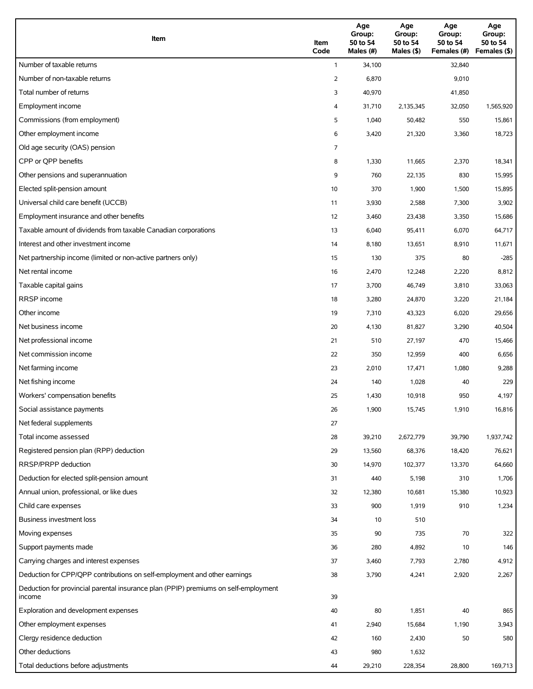| Item                                                                                          | Item<br>Code | Age<br>Group:<br>50 to 54<br>Males (#) | Age<br>Group:<br>50 to 54<br>Males (\$) | Age<br>Group:<br>50 to 54<br>Females (#) | Age<br>Group:<br>50 to 54<br>Females (\$) |
|-----------------------------------------------------------------------------------------------|--------------|----------------------------------------|-----------------------------------------|------------------------------------------|-------------------------------------------|
| Number of taxable returns                                                                     | $\mathbf{1}$ | 34,100                                 |                                         | 32,840                                   |                                           |
| Number of non-taxable returns                                                                 | 2            | 6,870                                  |                                         | 9,010                                    |                                           |
| Total number of returns                                                                       | 3            | 40,970                                 |                                         | 41,850                                   |                                           |
| Employment income                                                                             | 4            | 31,710                                 | 2,135,345                               | 32,050                                   | 1,565,920                                 |
| Commissions (from employment)                                                                 | 5            | 1,040                                  | 50,482                                  | 550                                      | 15,861                                    |
| Other employment income                                                                       | 6            | 3,420                                  | 21,320                                  | 3,360                                    | 18,723                                    |
| Old age security (OAS) pension                                                                | 7            |                                        |                                         |                                          |                                           |
| CPP or OPP benefits                                                                           | 8            | 1,330                                  | 11,665                                  | 2,370                                    | 18,341                                    |
| Other pensions and superannuation                                                             | 9            | 760                                    | 22,135                                  | 830                                      | 15,995                                    |
| Elected split-pension amount                                                                  | 10           | 370                                    | 1,900                                   | 1,500                                    | 15,895                                    |
| Universal child care benefit (UCCB)                                                           | 11           | 3,930                                  | 2,588                                   | 7,300                                    | 3,902                                     |
| Employment insurance and other benefits                                                       | 12           | 3,460                                  | 23,438                                  | 3,350                                    | 15,686                                    |
| Taxable amount of dividends from taxable Canadian corporations                                | 13           | 6,040                                  | 95,411                                  | 6,070                                    | 64,717                                    |
| Interest and other investment income                                                          | 14           | 8,180                                  | 13,651                                  | 8,910                                    | 11,671                                    |
| Net partnership income (limited or non-active partners only)                                  | 15           | 130                                    | 375                                     | 80                                       | $-285$                                    |
| Net rental income                                                                             | 16           | 2,470                                  | 12,248                                  | 2,220                                    | 8,812                                     |
| Taxable capital gains                                                                         | 17           | 3,700                                  | 46,749                                  | 3,810                                    | 33,063                                    |
| <b>RRSP</b> income                                                                            | 18           | 3,280                                  | 24,870                                  | 3,220                                    | 21,184                                    |
| Other income                                                                                  | 19           | 7,310                                  | 43,323                                  | 6,020                                    | 29,656                                    |
| Net business income                                                                           | 20           | 4,130                                  | 81,827                                  | 3,290                                    | 40,504                                    |
| Net professional income                                                                       | 21           | 510                                    | 27,197                                  | 470                                      | 15,466                                    |
| Net commission income                                                                         | 22           | 350                                    | 12,959                                  | 400                                      | 6,656                                     |
| Net farming income                                                                            | 23           | 2,010                                  | 17,471                                  | 1,080                                    | 9,288                                     |
| Net fishing income                                                                            | 24           | 140                                    | 1,028                                   | 40                                       | 229                                       |
| Workers' compensation benefits                                                                | 25           | 1,430                                  | 10,918                                  | 950                                      | 4,197                                     |
| Social assistance payments                                                                    | 26           | 1,900                                  | 15,745                                  | 1,910                                    | 16,816                                    |
| Net federal supplements                                                                       | 27           |                                        |                                         |                                          |                                           |
| Total income assessed                                                                         | 28           | 39,210                                 | 2,672,779                               | 39,790                                   | 1,937,742                                 |
| Registered pension plan (RPP) deduction                                                       | 29           | 13,560                                 | 68,376                                  | 18,420                                   | 76,621                                    |
| RRSP/PRPP deduction                                                                           | 30           | 14,970                                 | 102,377                                 | 13,370                                   | 64,660                                    |
| Deduction for elected split-pension amount                                                    | 31           | 440                                    | 5,198                                   | 310                                      | 1,706                                     |
| Annual union, professional, or like dues                                                      | 32           | 12,380                                 | 10,681                                  | 15,380                                   | 10,923                                    |
| Child care expenses                                                                           | 33           | 900                                    | 1,919                                   | 910                                      | 1,234                                     |
| Business investment loss                                                                      | 34           | 10                                     | 510                                     |                                          |                                           |
| Moving expenses                                                                               | 35           | 90                                     | 735                                     | 70                                       | 322                                       |
| Support payments made                                                                         | 36           | 280                                    | 4,892                                   | 10                                       | 146                                       |
| Carrying charges and interest expenses                                                        | 37           | 3,460                                  | 7,793                                   | 2,780                                    | 4,912                                     |
| Deduction for CPP/QPP contributions on self-employment and other earnings                     | 38           | 3,790                                  | 4,241                                   | 2,920                                    | 2,267                                     |
| Deduction for provincial parental insurance plan (PPIP) premiums on self-employment<br>income | 39           |                                        |                                         |                                          |                                           |
| Exploration and development expenses                                                          | 40           | 80                                     | 1,851                                   | 40                                       | 865                                       |
| Other employment expenses                                                                     | 41           | 2,940                                  | 15,684                                  | 1,190                                    | 3,943                                     |
| Clergy residence deduction                                                                    | 42           | 160                                    | 2,430                                   | 50                                       | 580                                       |
| Other deductions                                                                              | 43           | 980                                    | 1,632                                   |                                          |                                           |
| Total deductions before adjustments                                                           | 44           | 29,210                                 | 228,354                                 | 28,800                                   | 169,713                                   |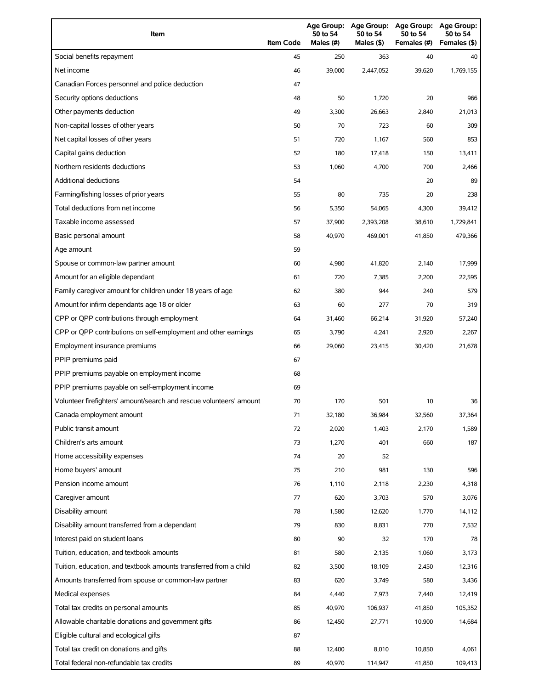| Item                                                                | <b>Item Code</b> | 50 to 54<br>Males (#) | 50 to 54<br>Males (\$) | Age Group: Age Group: Age Group:<br>50 to 54<br>Females (#) | Age Group:<br>50 to 54<br>Females (\$) |
|---------------------------------------------------------------------|------------------|-----------------------|------------------------|-------------------------------------------------------------|----------------------------------------|
| Social benefits repayment                                           | 45               | 250                   | 363                    | 40                                                          | 40                                     |
| Net income                                                          | 46               | 39,000                | 2,447,052              | 39,620                                                      | 1,769,155                              |
| Canadian Forces personnel and police deduction                      | 47               |                       |                        |                                                             |                                        |
| Security options deductions                                         | 48               | 50                    | 1,720                  | 20                                                          | 966                                    |
| Other payments deduction                                            | 49               | 3,300                 | 26,663                 | 2,840                                                       | 21,013                                 |
| Non-capital losses of other years                                   | 50               | 70                    | 723                    | 60                                                          | 309                                    |
| Net capital losses of other years                                   | 51               | 720                   | 1,167                  | 560                                                         | 853                                    |
| Capital gains deduction                                             | 52               | 180                   | 17,418                 | 150                                                         | 13,411                                 |
| Northern residents deductions                                       | 53               | 1,060                 | 4,700                  | 700                                                         | 2,466                                  |
| Additional deductions                                               | 54               |                       |                        | 20                                                          | 89                                     |
| Farming/fishing losses of prior years                               | 55               | 80                    | 735                    | 20                                                          | 238                                    |
| Total deductions from net income                                    | 56               | 5,350                 | 54,065                 | 4,300                                                       | 39,412                                 |
| Taxable income assessed                                             | 57               | 37,900                | 2,393,208              | 38,610                                                      | 1,729,841                              |
| Basic personal amount                                               | 58               | 40,970                | 469,001                | 41,850                                                      | 479,366                                |
| Age amount                                                          | 59               |                       |                        |                                                             |                                        |
| Spouse or common-law partner amount                                 | 60               | 4,980                 | 41,820                 | 2,140                                                       | 17,999                                 |
| Amount for an eligible dependant                                    | 61               | 720                   | 7,385                  | 2,200                                                       | 22,595                                 |
| Family caregiver amount for children under 18 years of age          | 62               | 380                   | 944                    | 240                                                         | 579                                    |
| Amount for infirm dependants age 18 or older                        | 63               | 60                    | 277                    | 70                                                          | 319                                    |
| CPP or QPP contributions through employment                         | 64               | 31,460                | 66,214                 | 31,920                                                      | 57,240                                 |
| CPP or QPP contributions on self-employment and other earnings      | 65               | 3,790                 | 4,241                  | 2,920                                                       | 2,267                                  |
| Employment insurance premiums                                       | 66               | 29,060                | 23,415                 | 30,420                                                      | 21,678                                 |
| PPIP premiums paid                                                  | 67               |                       |                        |                                                             |                                        |
| PPIP premiums payable on employment income                          | 68               |                       |                        |                                                             |                                        |
| PPIP premiums payable on self-employment income                     | 69               |                       |                        |                                                             |                                        |
| Volunteer firefighters' amount/search and rescue volunteers' amount | 70               | 170                   | 501                    | 10                                                          | 36                                     |
| Canada employment amount                                            | 71               | 32,180                | 36,984                 | 32,560                                                      | 37,364                                 |
| Public transit amount                                               | 72               | 2,020                 | 1,403                  | 2,170                                                       | 1,589                                  |
| Children's arts amount                                              | 73               | 1,270                 | 401                    | 660                                                         | 187                                    |
| Home accessibility expenses                                         | 74               | 20                    | 52                     |                                                             |                                        |
| Home buyers' amount                                                 | 75               | 210                   | 981                    | 130                                                         | 596                                    |
| Pension income amount                                               | 76               | 1,110                 | 2,118                  | 2,230                                                       | 4,318                                  |
| Caregiver amount                                                    | 77               | 620                   | 3,703                  | 570                                                         | 3,076                                  |
| Disability amount                                                   | 78               | 1,580                 | 12,620                 | 1,770                                                       | 14,112                                 |
| Disability amount transferred from a dependant                      | 79               | 830                   | 8,831                  | 770                                                         | 7,532                                  |
| Interest paid on student loans                                      | 80               | 90                    | 32                     | 170                                                         | 78                                     |
| Tuition, education, and textbook amounts                            | 81               | 580                   | 2,135                  | 1,060                                                       | 3,173                                  |
| Tuition, education, and textbook amounts transferred from a child   | 82               | 3,500                 | 18,109                 | 2,450                                                       | 12,316                                 |
| Amounts transferred from spouse or common-law partner               | 83               | 620                   | 3,749                  | 580                                                         | 3,436                                  |
| Medical expenses                                                    | 84               | 4,440                 | 7,973                  | 7,440                                                       | 12,419                                 |
| Total tax credits on personal amounts                               | 85               | 40,970                | 106,937                | 41,850                                                      | 105,352                                |
| Allowable charitable donations and government gifts                 | 86               | 12,450                | 27,771                 | 10,900                                                      | 14,684                                 |
| Eligible cultural and ecological gifts                              | 87               |                       |                        |                                                             |                                        |
| Total tax credit on donations and gifts                             | 88               | 12,400                | 8,010                  | 10,850                                                      | 4,061                                  |
| Total federal non-refundable tax credits                            | 89               | 40,970                | 114,947                | 41,850                                                      | 109,413                                |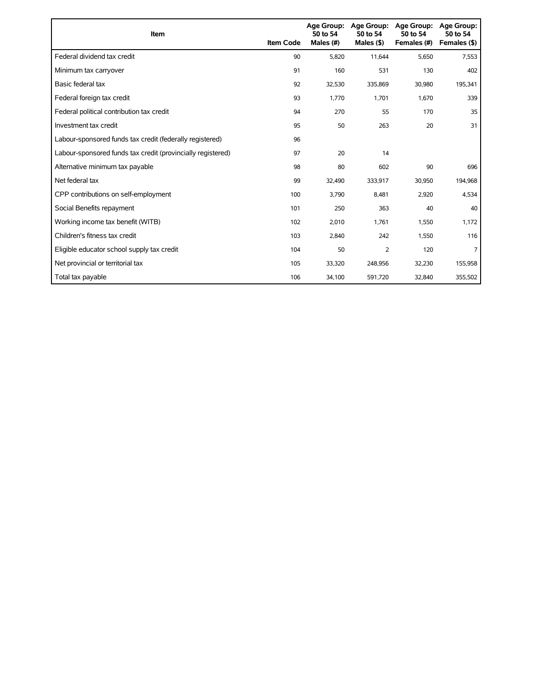| Item                                                        | <b>Item Code</b> | 50 to 54<br>Males (#) | Age Group: Age Group:<br>50 to 54<br>Males $($ \$) | <b>Age Group:</b><br>50 to 54<br>Females (#) | <b>Age Group:</b><br>50 to 54<br>Females (\$) |
|-------------------------------------------------------------|------------------|-----------------------|----------------------------------------------------|----------------------------------------------|-----------------------------------------------|
| Federal dividend tax credit                                 | 90               | 5,820                 | 11,644                                             | 5,650                                        | 7,553                                         |
| Minimum tax carryover                                       | 91               | 160                   | 531                                                | 130                                          | 402                                           |
| Basic federal tax                                           | 92               | 32,530                | 335,869                                            | 30,980                                       | 195,341                                       |
| Federal foreign tax credit                                  | 93               | 1,770                 | 1,701                                              | 1,670                                        | 339                                           |
| Federal political contribution tax credit                   | 94               | 270                   | 55                                                 | 170                                          | 35                                            |
| Investment tax credit                                       | 95               | 50                    | 263                                                | 20                                           | 31                                            |
| Labour-sponsored funds tax credit (federally registered)    | 96               |                       |                                                    |                                              |                                               |
| Labour-sponsored funds tax credit (provincially registered) | 97               | 20                    | 14                                                 |                                              |                                               |
| Alternative minimum tax payable                             | 98               | 80                    | 602                                                | 90                                           | 696                                           |
| Net federal tax                                             | 99               | 32,490                | 333,917                                            | 30,950                                       | 194,968                                       |
| CPP contributions on self-employment                        | 100              | 3,790                 | 8,481                                              | 2,920                                        | 4,534                                         |
| Social Benefits repayment                                   | 101              | 250                   | 363                                                | 40                                           | 40                                            |
| Working income tax benefit (WITB)                           | 102              | 2,010                 | 1,761                                              | 1,550                                        | 1,172                                         |
| Children's fitness tax credit                               | 103              | 2,840                 | 242                                                | 1,550                                        | 116                                           |
| Eligible educator school supply tax credit                  | 104              | 50                    | 2                                                  | 120                                          | 7                                             |
| Net provincial or territorial tax                           | 105              | 33,320                | 248,956                                            | 32,230                                       | 155,958                                       |
| Total tax payable                                           | 106              | 34,100                | 591,720                                            | 32,840                                       | 355,502                                       |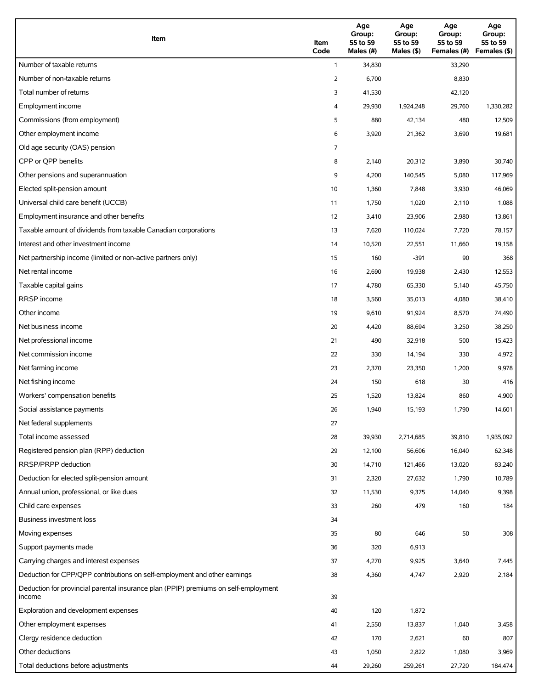| Item                                                                                          | Item<br>Code | Age<br>Group:<br>55 to 59<br>Males (#) | Age<br>Group:<br>55 to 59<br>Males (\$) | Age<br>Group:<br>55 to 59<br>Females (#) | Age<br>Group:<br>55 to 59<br>Females (\$) |
|-----------------------------------------------------------------------------------------------|--------------|----------------------------------------|-----------------------------------------|------------------------------------------|-------------------------------------------|
| Number of taxable returns                                                                     | $\mathbf{1}$ | 34,830                                 |                                         | 33,290                                   |                                           |
| Number of non-taxable returns                                                                 | 2            | 6,700                                  |                                         | 8,830                                    |                                           |
| Total number of returns                                                                       | 3            | 41,530                                 |                                         | 42,120                                   |                                           |
| Employment income                                                                             | 4            | 29,930                                 | 1,924,248                               | 29,760                                   | 1,330,282                                 |
| Commissions (from employment)                                                                 | 5            | 880                                    | 42,134                                  | 480                                      | 12,509                                    |
| Other employment income                                                                       | 6            | 3,920                                  | 21,362                                  | 3,690                                    | 19,681                                    |
| Old age security (OAS) pension                                                                | 7            |                                        |                                         |                                          |                                           |
| CPP or OPP benefits                                                                           | 8            | 2,140                                  | 20,312                                  | 3,890                                    | 30,740                                    |
| Other pensions and superannuation                                                             | 9            | 4,200                                  | 140,545                                 | 5,080                                    | 117,969                                   |
| Elected split-pension amount                                                                  | 10           | 1,360                                  | 7,848                                   | 3,930                                    | 46,069                                    |
| Universal child care benefit (UCCB)                                                           | 11           | 1,750                                  | 1,020                                   | 2,110                                    | 1,088                                     |
| Employment insurance and other benefits                                                       | 12           | 3,410                                  | 23,906                                  | 2,980                                    | 13,861                                    |
| Taxable amount of dividends from taxable Canadian corporations                                | 13           | 7,620                                  | 110,024                                 | 7,720                                    | 78,157                                    |
| Interest and other investment income                                                          | 14           | 10,520                                 | 22,551                                  | 11,660                                   | 19,158                                    |
| Net partnership income (limited or non-active partners only)                                  | 15           | 160                                    | $-391$                                  | 90                                       | 368                                       |
| Net rental income                                                                             | 16           | 2,690                                  | 19,938                                  | 2,430                                    | 12,553                                    |
| Taxable capital gains                                                                         | 17           | 4,780                                  | 65,330                                  | 5,140                                    | 45,750                                    |
| <b>RRSP</b> income                                                                            | 18           | 3,560                                  | 35,013                                  | 4,080                                    | 38,410                                    |
| Other income                                                                                  | 19           | 9,610                                  | 91,924                                  | 8,570                                    | 74,490                                    |
| Net business income                                                                           | 20           | 4,420                                  | 88,694                                  | 3,250                                    | 38,250                                    |
| Net professional income                                                                       | 21           | 490                                    | 32,918                                  | 500                                      | 15,423                                    |
| Net commission income                                                                         | 22           | 330                                    | 14,194                                  | 330                                      | 4,972                                     |
| Net farming income                                                                            | 23           | 2,370                                  | 23,350                                  | 1,200                                    | 9,978                                     |
| Net fishing income                                                                            | 24           | 150                                    | 618                                     | 30                                       | 416                                       |
| Workers' compensation benefits                                                                | 25           | 1,520                                  | 13,824                                  | 860                                      | 4,900                                     |
| Social assistance payments                                                                    | 26           | 1,940                                  | 15,193                                  | 1,790                                    | 14,601                                    |
| Net federal supplements                                                                       | 27           |                                        |                                         |                                          |                                           |
| Total income assessed                                                                         | 28           | 39,930                                 | 2,714,685                               | 39,810                                   | 1,935,092                                 |
| Registered pension plan (RPP) deduction                                                       | 29           | 12,100                                 | 56,606                                  | 16,040                                   | 62,348                                    |
| RRSP/PRPP deduction                                                                           | 30           | 14,710                                 | 121,466                                 | 13,020                                   | 83,240                                    |
| Deduction for elected split-pension amount                                                    | 31           | 2,320                                  | 27,632                                  | 1,790                                    | 10,789                                    |
| Annual union, professional, or like dues                                                      | 32           | 11,530                                 | 9,375                                   | 14,040                                   | 9,398                                     |
| Child care expenses                                                                           | 33           | 260                                    | 479                                     | 160                                      | 184                                       |
| Business investment loss                                                                      | 34           |                                        |                                         |                                          |                                           |
| Moving expenses                                                                               | 35           | 80                                     | 646                                     | 50                                       | 308                                       |
| Support payments made                                                                         | 36           | 320                                    | 6,913                                   |                                          |                                           |
| Carrying charges and interest expenses                                                        | 37           | 4,270                                  | 9,925                                   | 3,640                                    | 7,445                                     |
| Deduction for CPP/QPP contributions on self-employment and other earnings                     | 38           | 4,360                                  | 4,747                                   | 2,920                                    | 2,184                                     |
| Deduction for provincial parental insurance plan (PPIP) premiums on self-employment<br>income | 39           |                                        |                                         |                                          |                                           |
| Exploration and development expenses                                                          | 40           | 120                                    | 1,872                                   |                                          |                                           |
| Other employment expenses                                                                     | 41           | 2,550                                  | 13,837                                  | 1,040                                    | 3,458                                     |
| Clergy residence deduction                                                                    | 42           | 170                                    | 2,621                                   | 60                                       | 807                                       |
| Other deductions                                                                              | 43           | 1,050                                  | 2,822                                   | 1,080                                    | 3,969                                     |
| Total deductions before adjustments                                                           | 44           | 29,260                                 | 259,261                                 | 27,720                                   | 184,474                                   |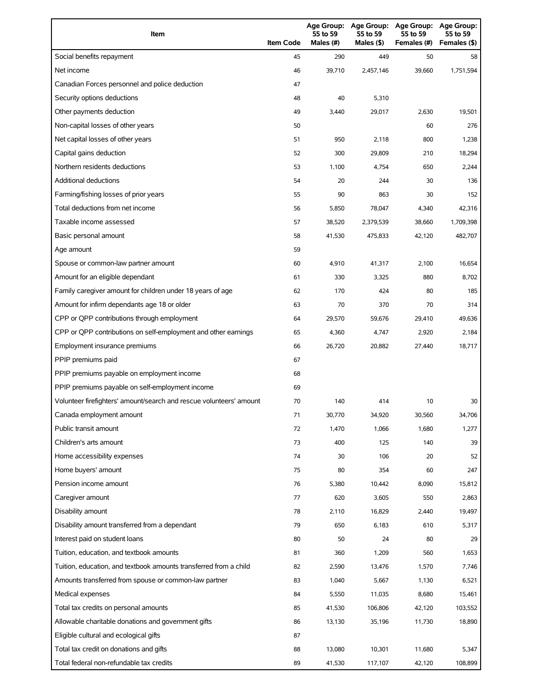| Item                                                                | <b>Item Code</b> | 55 to 59<br>Males (#) | 55 to 59<br>Males (\$) | Age Group: Age Group: Age Group:<br>55 to 59<br>Females (#) | Age Group:<br>55 to 59<br>Females (\$) |
|---------------------------------------------------------------------|------------------|-----------------------|------------------------|-------------------------------------------------------------|----------------------------------------|
| Social benefits repayment                                           | 45               | 290                   | 449                    | 50                                                          | 58                                     |
| Net income                                                          | 46               | 39,710                | 2,457,146              | 39,660                                                      | 1,751,594                              |
| Canadian Forces personnel and police deduction                      | 47               |                       |                        |                                                             |                                        |
| Security options deductions                                         | 48               | 40                    | 5,310                  |                                                             |                                        |
| Other payments deduction                                            | 49               | 3,440                 | 29,017                 | 2,630                                                       | 19,501                                 |
| Non-capital losses of other years                                   | 50               |                       |                        | 60                                                          | 276                                    |
| Net capital losses of other years                                   | 51               | 950                   | 2,118                  | 800                                                         | 1,238                                  |
| Capital gains deduction                                             | 52               | 300                   | 29,809                 | 210                                                         | 18,294                                 |
| Northern residents deductions                                       | 53               | 1,100                 | 4,754                  | 650                                                         | 2,244                                  |
| Additional deductions                                               | 54               | 20                    | 244                    | 30                                                          | 136                                    |
| Farming/fishing losses of prior years                               | 55               | 90                    | 863                    | 30                                                          | 152                                    |
| Total deductions from net income                                    | 56               | 5,850                 | 78,047                 | 4,340                                                       | 42,316                                 |
| Taxable income assessed                                             | 57               | 38,520                | 2,379,539              | 38,660                                                      | 1,709,398                              |
| Basic personal amount                                               | 58               | 41,530                | 475,833                | 42,120                                                      | 482,707                                |
| Age amount                                                          | 59               |                       |                        |                                                             |                                        |
| Spouse or common-law partner amount                                 | 60               | 4,910                 | 41,317                 | 2,100                                                       | 16,654                                 |
| Amount for an eligible dependant                                    | 61               | 330                   | 3,325                  | 880                                                         | 8,702                                  |
| Family caregiver amount for children under 18 years of age          | 62               | 170                   | 424                    | 80                                                          | 185                                    |
| Amount for infirm dependants age 18 or older                        | 63               | 70                    | 370                    | 70                                                          | 314                                    |
| CPP or QPP contributions through employment                         | 64               | 29,570                | 59,676                 | 29,410                                                      | 49,636                                 |
| CPP or QPP contributions on self-employment and other earnings      | 65               | 4,360                 | 4,747                  | 2,920                                                       | 2,184                                  |
| Employment insurance premiums                                       | 66               | 26,720                | 20,882                 | 27,440                                                      | 18,717                                 |
| PPIP premiums paid                                                  | 67               |                       |                        |                                                             |                                        |
| PPIP premiums payable on employment income                          | 68               |                       |                        |                                                             |                                        |
| PPIP premiums payable on self-employment income                     | 69               |                       |                        |                                                             |                                        |
| Volunteer firefighters' amount/search and rescue volunteers' amount | 70               | 140                   | 414                    | 10                                                          | 30                                     |
| Canada employment amount                                            | 71               | 30,770                | 34,920                 | 30,560                                                      | 34,706                                 |
| Public transit amount                                               | 72               | 1,470                 | 1,066                  | 1,680                                                       | 1,277                                  |
| Children's arts amount                                              | 73               | 400                   | 125                    | 140                                                         | 39                                     |
| Home accessibility expenses                                         | 74               | 30                    | 106                    | 20                                                          | 52                                     |
| Home buyers' amount                                                 | 75               | 80                    | 354                    | 60                                                          | 247                                    |
| Pension income amount                                               | 76               | 5,380                 | 10,442                 | 8,090                                                       | 15,812                                 |
| Caregiver amount                                                    | 77               | 620                   | 3,605                  | 550                                                         | 2,863                                  |
| Disability amount                                                   | 78               | 2,110                 | 16,829                 | 2,440                                                       | 19,497                                 |
| Disability amount transferred from a dependant                      | 79               | 650                   | 6,183                  | 610                                                         | 5,317                                  |
| Interest paid on student loans                                      | 80               | 50                    | 24                     | 80                                                          | 29                                     |
| Tuition, education, and textbook amounts                            | 81               | 360                   | 1,209                  | 560                                                         | 1,653                                  |
| Tuition, education, and textbook amounts transferred from a child   | 82               | 2,590                 | 13,476                 | 1,570                                                       | 7,746                                  |
| Amounts transferred from spouse or common-law partner               | 83               | 1,040                 | 5,667                  | 1,130                                                       | 6,521                                  |
| Medical expenses                                                    | 84               | 5,550                 | 11,035                 | 8,680                                                       | 15,461                                 |
| Total tax credits on personal amounts                               | 85               | 41,530                | 106,806                | 42,120                                                      | 103,552                                |
| Allowable charitable donations and government gifts                 | 86               | 13,130                | 35,196                 | 11,730                                                      | 18,890                                 |
| Eligible cultural and ecological gifts                              | 87               |                       |                        |                                                             |                                        |
| Total tax credit on donations and gifts                             | 88               | 13,080                | 10,301                 | 11,680                                                      | 5,347                                  |
| Total federal non-refundable tax credits                            | 89               | 41,530                | 117,107                | 42,120                                                      | 108,899                                |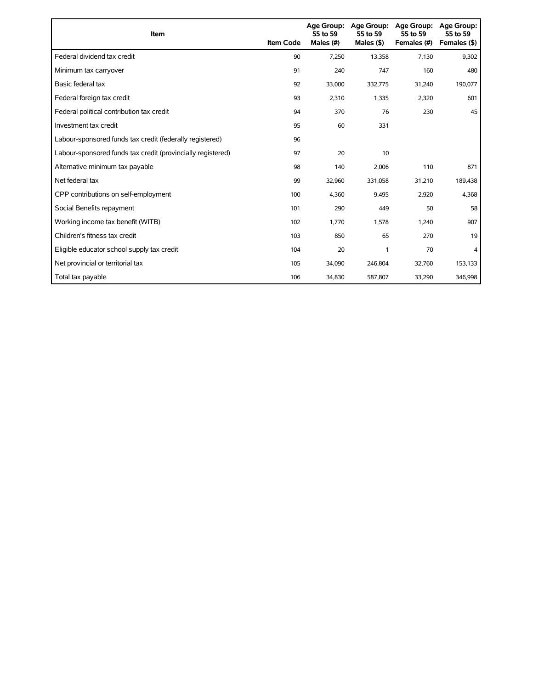| Item                                                        | <b>Item Code</b> | 55 to 59<br>Males (#) | Age Group: Age Group:<br>55 to 59<br>Males $(§)$ | Age Group:<br>55 to 59<br>Females (#) | Age Group:<br>55 to 59<br>Females (\$) |
|-------------------------------------------------------------|------------------|-----------------------|--------------------------------------------------|---------------------------------------|----------------------------------------|
| Federal dividend tax credit                                 | 90               | 7,250                 | 13,358                                           | 7,130                                 | 9,302                                  |
| Minimum tax carryover                                       | 91               | 240                   | 747                                              | 160                                   | 480                                    |
| Basic federal tax                                           | 92               | 33,000                | 332,775                                          | 31,240                                | 190,077                                |
| Federal foreign tax credit                                  | 93               | 2,310                 | 1,335                                            | 2,320                                 | 601                                    |
| Federal political contribution tax credit                   | 94               | 370                   | 76                                               | 230                                   | 45                                     |
| Investment tax credit                                       | 95               | 60                    | 331                                              |                                       |                                        |
| Labour-sponsored funds tax credit (federally registered)    | 96               |                       |                                                  |                                       |                                        |
| Labour-sponsored funds tax credit (provincially registered) | 97               | 20                    | 10                                               |                                       |                                        |
| Alternative minimum tax payable                             | 98               | 140                   | 2,006                                            | 110                                   | 871                                    |
| Net federal tax                                             | 99               | 32,960                | 331,058                                          | 31,210                                | 189,438                                |
| CPP contributions on self-employment                        | 100              | 4,360                 | 9,495                                            | 2,920                                 | 4,368                                  |
| Social Benefits repayment                                   | 101              | 290                   | 449                                              | 50                                    | 58                                     |
| Working income tax benefit (WITB)                           | 102              | 1,770                 | 1,578                                            | 1,240                                 | 907                                    |
| Children's fitness tax credit                               | 103              | 850                   | 65                                               | 270                                   | 19                                     |
| Eligible educator school supply tax credit                  | 104              | 20                    | 1                                                | 70                                    | 4                                      |
| Net provincial or territorial tax                           | 105              | 34,090                | 246,804                                          | 32,760                                | 153,133                                |
| Total tax payable                                           | 106              | 34,830                | 587,807                                          | 33,290                                | 346,998                                |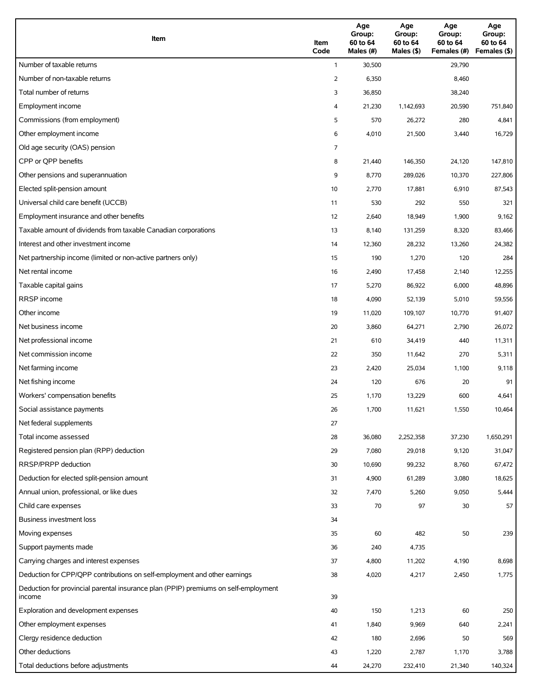| Item                                                                                          | Item<br>Code | Age<br>Group:<br>60 to 64<br>Males (#) | Age<br>Group:<br>60 to 64<br>Males (\$) | Age<br>Group:<br>60 to 64<br>Females (#) | Age<br>Group:<br>60 to 64<br>Females (\$) |
|-----------------------------------------------------------------------------------------------|--------------|----------------------------------------|-----------------------------------------|------------------------------------------|-------------------------------------------|
| Number of taxable returns                                                                     | $\mathbf{1}$ | 30,500                                 |                                         | 29,790                                   |                                           |
| Number of non-taxable returns                                                                 | 2            | 6,350                                  |                                         | 8,460                                    |                                           |
| Total number of returns                                                                       | 3            | 36,850                                 |                                         | 38,240                                   |                                           |
| Employment income                                                                             | 4            | 21,230                                 | 1,142,693                               | 20,590                                   | 751,840                                   |
| Commissions (from employment)                                                                 | 5            | 570                                    | 26,272                                  | 280                                      | 4,841                                     |
| Other employment income                                                                       | 6            | 4,010                                  | 21,500                                  | 3,440                                    | 16,729                                    |
| Old age security (OAS) pension                                                                | 7            |                                        |                                         |                                          |                                           |
| CPP or OPP benefits                                                                           | 8            | 21,440                                 | 146,350                                 | 24,120                                   | 147,810                                   |
| Other pensions and superannuation                                                             | 9            | 8,770                                  | 289,026                                 | 10,370                                   | 227,806                                   |
| Elected split-pension amount                                                                  | 10           | 2,770                                  | 17,881                                  | 6,910                                    | 87,543                                    |
| Universal child care benefit (UCCB)                                                           | 11           | 530                                    | 292                                     | 550                                      | 321                                       |
| Employment insurance and other benefits                                                       | 12           | 2,640                                  | 18,949                                  | 1,900                                    | 9,162                                     |
| Taxable amount of dividends from taxable Canadian corporations                                | 13           | 8,140                                  | 131,259                                 | 8,320                                    | 83,466                                    |
| Interest and other investment income                                                          | 14           | 12,360                                 | 28,232                                  | 13,260                                   | 24,382                                    |
| Net partnership income (limited or non-active partners only)                                  | 15           | 190                                    | 1,270                                   | 120                                      | 284                                       |
| Net rental income                                                                             | 16           | 2,490                                  | 17,458                                  | 2,140                                    | 12,255                                    |
| Taxable capital gains                                                                         | 17           | 5,270                                  | 86,922                                  | 6,000                                    | 48,896                                    |
| <b>RRSP</b> income                                                                            | 18           | 4,090                                  | 52,139                                  | 5,010                                    | 59,556                                    |
| Other income                                                                                  | 19           | 11,020                                 | 109,107                                 | 10,770                                   | 91,407                                    |
| Net business income                                                                           | 20           | 3,860                                  | 64,271                                  | 2,790                                    | 26,072                                    |
| Net professional income                                                                       | 21           | 610                                    | 34,419                                  | 440                                      | 11,311                                    |
| Net commission income                                                                         | 22           | 350                                    | 11,642                                  | 270                                      | 5,311                                     |
| Net farming income                                                                            | 23           | 2,420                                  | 25,034                                  | 1,100                                    | 9,118                                     |
| Net fishing income                                                                            | 24           | 120                                    | 676                                     | 20                                       | 91                                        |
| Workers' compensation benefits                                                                | 25           | 1,170                                  | 13,229                                  | 600                                      | 4,641                                     |
| Social assistance payments                                                                    | 26           | 1,700                                  | 11,621                                  | 1,550                                    | 10,464                                    |
| Net federal supplements                                                                       | 27           |                                        |                                         |                                          |                                           |
| Total income assessed                                                                         | 28           | 36,080                                 | 2,252,358                               | 37,230                                   | 1,650,291                                 |
| Registered pension plan (RPP) deduction                                                       | 29           | 7,080                                  | 29,018                                  | 9,120                                    | 31,047                                    |
| RRSP/PRPP deduction                                                                           | 30           | 10,690                                 | 99,232                                  | 8,760                                    | 67,472                                    |
| Deduction for elected split-pension amount                                                    | 31           | 4,900                                  | 61,289                                  | 3,080                                    | 18,625                                    |
| Annual union, professional, or like dues                                                      | 32           | 7,470                                  | 5,260                                   | 9,050                                    | 5,444                                     |
| Child care expenses                                                                           | 33           | 70                                     | 97                                      | 30                                       | 57                                        |
| Business investment loss                                                                      | 34           |                                        |                                         |                                          |                                           |
| Moving expenses                                                                               | 35           | 60                                     | 482                                     | 50                                       | 239                                       |
| Support payments made                                                                         | 36           | 240                                    | 4,735                                   |                                          |                                           |
| Carrying charges and interest expenses                                                        | 37           | 4,800                                  | 11,202                                  | 4,190                                    | 8,698                                     |
| Deduction for CPP/QPP contributions on self-employment and other earnings                     | 38           | 4,020                                  | 4,217                                   | 2,450                                    | 1,775                                     |
| Deduction for provincial parental insurance plan (PPIP) premiums on self-employment<br>income | 39           |                                        |                                         |                                          |                                           |
| Exploration and development expenses                                                          | 40           | 150                                    | 1,213                                   | 60                                       | 250                                       |
| Other employment expenses                                                                     | 41           | 1,840                                  | 9,969                                   | 640                                      | 2,241                                     |
| Clergy residence deduction                                                                    | 42           | 180                                    | 2,696                                   | 50                                       | 569                                       |
| Other deductions                                                                              | 43           | 1,220                                  | 2,787                                   | 1,170                                    | 3,788                                     |
| Total deductions before adjustments                                                           | 44           | 24,270                                 | 232,410                                 | 21,340                                   | 140,324                                   |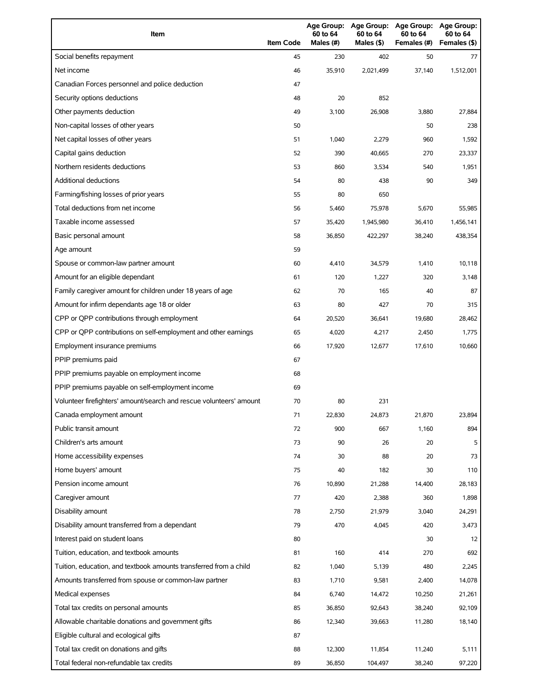| Item                                                                | <b>Item Code</b> | 60 to 64<br>Males (#) | 60 to 64<br>Males (\$) | Age Group: Age Group: Age Group:<br>60 to 64<br>Females (#) | Age Group:<br>60 to 64<br>Females (\$) |
|---------------------------------------------------------------------|------------------|-----------------------|------------------------|-------------------------------------------------------------|----------------------------------------|
| Social benefits repayment                                           | 45               | 230                   | 402                    | 50                                                          | 77                                     |
| Net income                                                          | 46               | 35,910                | 2,021,499              | 37,140                                                      | 1,512,001                              |
| Canadian Forces personnel and police deduction                      | 47               |                       |                        |                                                             |                                        |
| Security options deductions                                         | 48               | 20                    | 852                    |                                                             |                                        |
| Other payments deduction                                            | 49               | 3,100                 | 26,908                 | 3,880                                                       | 27,884                                 |
| Non-capital losses of other years                                   | 50               |                       |                        | 50                                                          | 238                                    |
| Net capital losses of other years                                   | 51               | 1,040                 | 2,279                  | 960                                                         | 1,592                                  |
| Capital gains deduction                                             | 52               | 390                   | 40,665                 | 270                                                         | 23,337                                 |
| Northern residents deductions                                       | 53               | 860                   | 3,534                  | 540                                                         | 1,951                                  |
| Additional deductions                                               | 54               | 80                    | 438                    | 90                                                          | 349                                    |
| Farming/fishing losses of prior years                               | 55               | 80                    | 650                    |                                                             |                                        |
| Total deductions from net income                                    | 56               | 5,460                 | 75,978                 | 5,670                                                       | 55,985                                 |
| Taxable income assessed                                             | 57               | 35,420                | 1,945,980              | 36,410                                                      | 1,456,141                              |
| Basic personal amount                                               | 58               | 36.850                | 422,297                | 38,240                                                      | 438,354                                |
| Age amount                                                          | 59               |                       |                        |                                                             |                                        |
| Spouse or common-law partner amount                                 | 60               | 4,410                 | 34,579                 | 1,410                                                       | 10,118                                 |
| Amount for an eligible dependant                                    | 61               | 120                   | 1,227                  | 320                                                         | 3,148                                  |
| Family caregiver amount for children under 18 years of age          | 62               | 70                    | 165                    | 40                                                          | 87                                     |
| Amount for infirm dependants age 18 or older                        | 63               | 80                    | 427                    | 70                                                          | 315                                    |
| CPP or QPP contributions through employment                         | 64               | 20,520                | 36,641                 | 19,680                                                      | 28,462                                 |
| CPP or QPP contributions on self-employment and other earnings      | 65               | 4,020                 | 4,217                  | 2,450                                                       | 1,775                                  |
| Employment insurance premiums                                       | 66               | 17,920                | 12,677                 | 17,610                                                      | 10,660                                 |
| PPIP premiums paid                                                  | 67               |                       |                        |                                                             |                                        |
| PPIP premiums payable on employment income                          | 68               |                       |                        |                                                             |                                        |
| PPIP premiums payable on self-employment income                     | 69               |                       |                        |                                                             |                                        |
| Volunteer firefighters' amount/search and rescue volunteers' amount | 70               | 80                    | 231                    |                                                             |                                        |
| Canada employment amount                                            | 71               | 22,830                | 24,873                 | 21,870                                                      | 23,894                                 |
| Public transit amount                                               | 72               | 900                   | 667                    | 1,160                                                       | 894                                    |
| Children's arts amount                                              | 73               | 90                    | 26                     | 20                                                          | 5                                      |
| Home accessibility expenses                                         | 74               | 30                    | 88                     | 20                                                          | 73                                     |
| Home buyers' amount                                                 | 75               | 40                    | 182                    | 30                                                          | 110                                    |
| Pension income amount                                               | 76               | 10,890                | 21,288                 | 14,400                                                      | 28,183                                 |
| Caregiver amount                                                    | 77               | 420                   | 2,388                  | 360                                                         | 1,898                                  |
| Disability amount                                                   | 78               | 2,750                 | 21,979                 | 3,040                                                       | 24,291                                 |
| Disability amount transferred from a dependant                      | 79               | 470                   | 4,045                  | 420                                                         | 3,473                                  |
| Interest paid on student loans                                      | 80               |                       |                        | 30                                                          | 12                                     |
| Tuition, education, and textbook amounts                            | 81               | 160                   | 414                    | 270                                                         | 692                                    |
| Tuition, education, and textbook amounts transferred from a child   | 82               | 1,040                 | 5,139                  | 480                                                         | 2,245                                  |
| Amounts transferred from spouse or common-law partner               | 83               | 1,710                 | 9,581                  | 2,400                                                       | 14,078                                 |
| Medical expenses                                                    | 84               | 6,740                 | 14,472                 | 10,250                                                      | 21,261                                 |
| Total tax credits on personal amounts                               | 85               | 36,850                | 92,643                 | 38,240                                                      | 92,109                                 |
| Allowable charitable donations and government gifts                 | 86               | 12,340                | 39,663                 | 11,280                                                      | 18,140                                 |
| Eligible cultural and ecological gifts                              | 87               |                       |                        |                                                             |                                        |
| Total tax credit on donations and gifts                             | 88               | 12,300                | 11,854                 | 11,240                                                      | 5,111                                  |
| Total federal non-refundable tax credits                            | 89               | 36,850                | 104,497                | 38,240                                                      | 97,220                                 |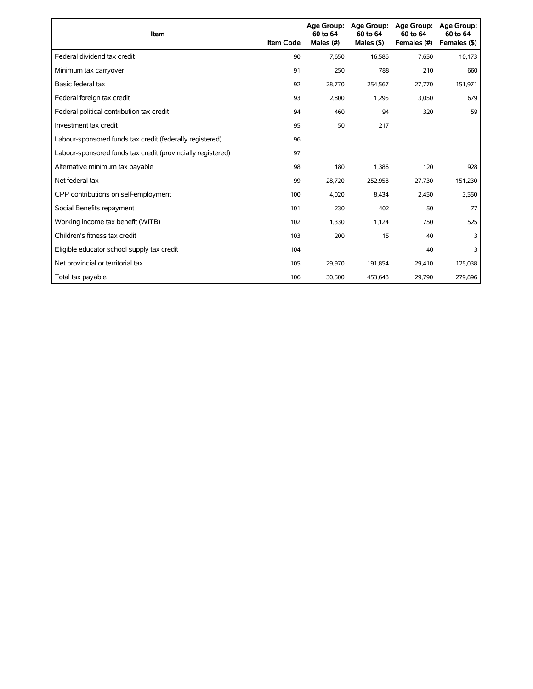| Item                                                        | <b>Item Code</b> | 60 to 64<br>Males (#) | Age Group: Age Group:<br>60 to 64<br>Males $($ \$) | <b>Age Group:</b><br>60 to 64<br>Females (#) | <b>Age Group:</b><br>60 to 64<br>Females (\$) |
|-------------------------------------------------------------|------------------|-----------------------|----------------------------------------------------|----------------------------------------------|-----------------------------------------------|
| Federal dividend tax credit                                 | 90               | 7,650                 | 16,586                                             | 7,650                                        | 10,173                                        |
| Minimum tax carryover                                       | 91               | 250                   | 788                                                | 210                                          | 660                                           |
| Basic federal tax                                           | 92               | 28.770                | 254,567                                            | 27,770                                       | 151,971                                       |
| Federal foreign tax credit                                  | 93               | 2,800                 | 1,295                                              | 3,050                                        | 679                                           |
| Federal political contribution tax credit                   | 94               | 460                   | 94                                                 | 320                                          | 59                                            |
| Investment tax credit                                       | 95               | 50                    | 217                                                |                                              |                                               |
| Labour-sponsored funds tax credit (federally registered)    | 96               |                       |                                                    |                                              |                                               |
| Labour-sponsored funds tax credit (provincially registered) | 97               |                       |                                                    |                                              |                                               |
| Alternative minimum tax payable                             | 98               | 180                   | 1,386                                              | 120                                          | 928                                           |
| Net federal tax                                             | 99               | 28,720                | 252,958                                            | 27,730                                       | 151,230                                       |
| CPP contributions on self-employment                        | 100              | 4,020                 | 8,434                                              | 2,450                                        | 3,550                                         |
| Social Benefits repayment                                   | 101              | 230                   | 402                                                | 50                                           | 77                                            |
| Working income tax benefit (WITB)                           | 102              | 1,330                 | 1,124                                              | 750                                          | 525                                           |
| Children's fitness tax credit                               | 103              | 200                   | 15                                                 | 40                                           | 3                                             |
| Eligible educator school supply tax credit                  | 104              |                       |                                                    | 40                                           | 3                                             |
| Net provincial or territorial tax                           | 105              | 29,970                | 191,854                                            | 29,410                                       | 125,038                                       |
| Total tax payable                                           | 106              | 30,500                | 453,648                                            | 29,790                                       | 279,896                                       |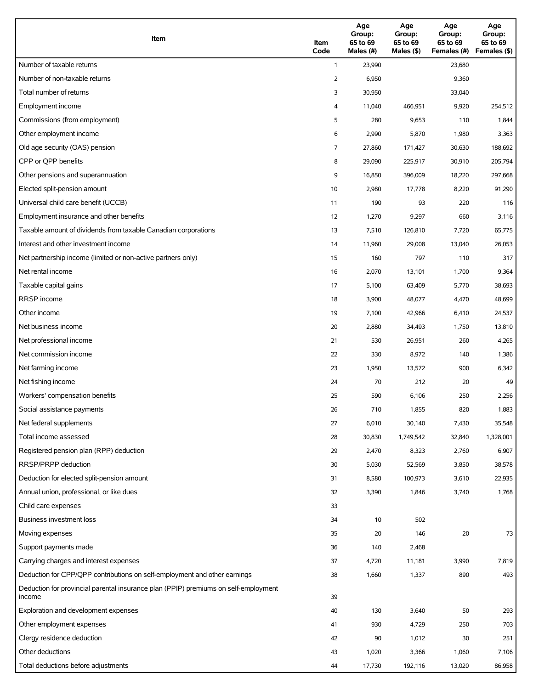| Item                                                                                          | Item<br>Code | Age<br>Group:<br>65 to 69<br>Males (#) | Age<br>Group:<br>65 to 69<br>Males $(\$)$ | Age<br>Group:<br>65 to 69<br>Females (#) | Age<br>Group:<br>65 to 69<br>Females (\$) |
|-----------------------------------------------------------------------------------------------|--------------|----------------------------------------|-------------------------------------------|------------------------------------------|-------------------------------------------|
| Number of taxable returns                                                                     | $\mathbf{1}$ | 23,990                                 |                                           | 23,680                                   |                                           |
| Number of non-taxable returns                                                                 | 2            | 6,950                                  |                                           | 9,360                                    |                                           |
| Total number of returns                                                                       | 3            | 30,950                                 |                                           | 33,040                                   |                                           |
| Employment income                                                                             | 4            | 11,040                                 | 466,951                                   | 9,920                                    | 254,512                                   |
| Commissions (from employment)                                                                 | 5            | 280                                    | 9,653                                     | 110                                      | 1,844                                     |
| Other employment income                                                                       | 6            | 2,990                                  | 5,870                                     | 1,980                                    | 3,363                                     |
| Old age security (OAS) pension                                                                | 7            | 27,860                                 | 171,427                                   | 30,630                                   | 188,692                                   |
| CPP or QPP benefits                                                                           | 8            | 29,090                                 | 225,917                                   | 30,910                                   | 205,794                                   |
| Other pensions and superannuation                                                             | 9            | 16,850                                 | 396,009                                   | 18,220                                   | 297,668                                   |
| Elected split-pension amount                                                                  | 10           | 2,980                                  | 17,778                                    | 8,220                                    | 91,290                                    |
| Universal child care benefit (UCCB)                                                           | 11           | 190                                    | 93                                        | 220                                      | 116                                       |
| Employment insurance and other benefits                                                       | 12           | 1,270                                  | 9,297                                     | 660                                      | 3,116                                     |
| Taxable amount of dividends from taxable Canadian corporations                                | 13           | 7,510                                  | 126,810                                   | 7,720                                    | 65,775                                    |
| Interest and other investment income                                                          | 14           | 11,960                                 | 29,008                                    | 13,040                                   | 26,053                                    |
| Net partnership income (limited or non-active partners only)                                  | 15           | 160                                    | 797                                       | 110                                      | 317                                       |
| Net rental income                                                                             | 16           | 2,070                                  | 13,101                                    | 1,700                                    | 9,364                                     |
| Taxable capital gains                                                                         | 17           | 5,100                                  | 63,409                                    | 5,770                                    | 38,693                                    |
| <b>RRSP</b> income                                                                            | 18           | 3,900                                  | 48,077                                    | 4,470                                    | 48,699                                    |
| Other income                                                                                  | 19           | 7,100                                  | 42,966                                    | 6,410                                    | 24,537                                    |
| Net business income                                                                           | 20           | 2,880                                  | 34,493                                    | 1,750                                    | 13,810                                    |
| Net professional income                                                                       | 21           | 530                                    | 26,951                                    | 260                                      | 4,265                                     |
| Net commission income                                                                         | 22           | 330                                    | 8,972                                     | 140                                      | 1,386                                     |
| Net farming income                                                                            | 23           | 1,950                                  | 13,572                                    | 900                                      | 6,342                                     |
| Net fishing income                                                                            | 24           | 70                                     | 212                                       | 20                                       | 49                                        |
| Workers' compensation benefits                                                                | 25           | 590                                    | 6,106                                     | 250                                      | 2,256                                     |
| Social assistance payments                                                                    | 26           | 710                                    | 1,855                                     | 820                                      | 1,883                                     |
| Net federal supplements                                                                       | 27           | 6,010                                  | 30,140                                    | 7,430                                    | 35,548                                    |
| Total income assessed                                                                         | 28           | 30,830                                 | 1,749,542                                 | 32,840                                   | 1,328,001                                 |
| Registered pension plan (RPP) deduction                                                       | 29           | 2,470                                  | 8,323                                     | 2,760                                    | 6,907                                     |
| RRSP/PRPP deduction                                                                           | 30           | 5,030                                  | 52,569                                    | 3,850                                    | 38,578                                    |
| Deduction for elected split-pension amount                                                    | 31           | 8,580                                  | 100,973                                   | 3,610                                    | 22,935                                    |
| Annual union, professional, or like dues                                                      | 32           | 3,390                                  | 1,846                                     | 3,740                                    | 1,768                                     |
| Child care expenses                                                                           | 33           |                                        |                                           |                                          |                                           |
| Business investment loss                                                                      | 34           | 10                                     | 502                                       |                                          |                                           |
| Moving expenses                                                                               | 35           | 20                                     | 146                                       | $20\,$                                   | 73                                        |
| Support payments made                                                                         | 36           | 140                                    | 2,468                                     |                                          |                                           |
| Carrying charges and interest expenses                                                        | 37           | 4,720                                  | 11,181                                    | 3,990                                    | 7,819                                     |
| Deduction for CPP/QPP contributions on self-employment and other earnings                     | 38           | 1,660                                  | 1,337                                     | 890                                      | 493                                       |
| Deduction for provincial parental insurance plan (PPIP) premiums on self-employment<br>income | 39           |                                        |                                           |                                          |                                           |
| Exploration and development expenses                                                          | 40           | 130                                    | 3,640                                     | 50                                       | 293                                       |
| Other employment expenses                                                                     | 41           | 930                                    | 4,729                                     | 250                                      | 703                                       |
| Clergy residence deduction                                                                    | 42           | 90                                     | 1,012                                     | 30                                       | 251                                       |
| Other deductions                                                                              | 43           | 1,020                                  | 3,366                                     | 1,060                                    | 7,106                                     |
| Total deductions before adjustments                                                           | 44           | 17,730                                 | 192,116                                   | 13,020                                   | 86,958                                    |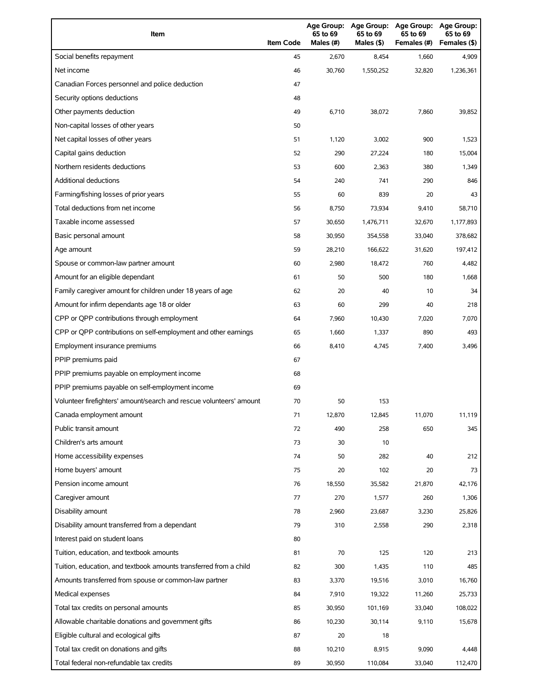| Item                                                                | <b>Item Code</b> | 65 to 69<br>Males (#) | 65 to 69<br>Males (\$) | Age Group: Age Group: Age Group:<br>65 to 69<br>Females (#) | <b>Age Group:</b><br>65 to 69<br>Females (\$) |
|---------------------------------------------------------------------|------------------|-----------------------|------------------------|-------------------------------------------------------------|-----------------------------------------------|
| Social benefits repayment                                           | 45               | 2,670                 | 8,454                  | 1,660                                                       | 4,909                                         |
| Net income                                                          | 46               | 30,760                | 1,550,252              | 32,820                                                      | 1,236,361                                     |
| Canadian Forces personnel and police deduction                      | 47               |                       |                        |                                                             |                                               |
| Security options deductions                                         | 48               |                       |                        |                                                             |                                               |
| Other payments deduction                                            | 49               | 6,710                 | 38,072                 | 7,860                                                       | 39,852                                        |
| Non-capital losses of other years                                   | 50               |                       |                        |                                                             |                                               |
| Net capital losses of other years                                   | 51               | 1,120                 | 3,002                  | 900                                                         | 1,523                                         |
| Capital gains deduction                                             | 52               | 290                   | 27,224                 | 180                                                         | 15,004                                        |
| Northern residents deductions                                       | 53               | 600                   | 2,363                  | 380                                                         | 1,349                                         |
| Additional deductions                                               | 54               | 240                   | 741                    | 290                                                         | 846                                           |
| Farming/fishing losses of prior years                               | 55               | 60                    | 839                    | 20                                                          | 43                                            |
| Total deductions from net income                                    | 56               | 8,750                 | 73,934                 | 9,410                                                       | 58,710                                        |
| Taxable income assessed                                             | 57               | 30,650                | 1,476,711              | 32,670                                                      | 1,177,893                                     |
| Basic personal amount                                               | 58               | 30,950                | 354,558                | 33,040                                                      | 378,682                                       |
| Age amount                                                          | 59               | 28,210                | 166,622                | 31,620                                                      | 197,412                                       |
| Spouse or common-law partner amount                                 | 60               | 2,980                 | 18,472                 | 760                                                         | 4,482                                         |
| Amount for an eligible dependant                                    | 61               | 50                    | 500                    | 180                                                         | 1,668                                         |
| Family caregiver amount for children under 18 years of age          | 62               | 20                    | 40                     | 10                                                          | 34                                            |
| Amount for infirm dependants age 18 or older                        | 63               | 60                    | 299                    | 40                                                          | 218                                           |
| CPP or QPP contributions through employment                         | 64               | 7,960                 | 10,430                 | 7,020                                                       | 7,070                                         |
| CPP or QPP contributions on self-employment and other earnings      | 65               | 1,660                 | 1,337                  | 890                                                         | 493                                           |
| Employment insurance premiums                                       | 66               | 8,410                 | 4,745                  | 7,400                                                       | 3,496                                         |
| PPIP premiums paid                                                  | 67               |                       |                        |                                                             |                                               |
| PPIP premiums payable on employment income                          | 68               |                       |                        |                                                             |                                               |
| PPIP premiums payable on self-employment income                     | 69               |                       |                        |                                                             |                                               |
| Volunteer firefighters' amount/search and rescue volunteers' amount | 70               | 50                    | 153                    |                                                             |                                               |
| Canada employment amount                                            | 71               | 12,870                | 12,845                 | 11,070                                                      | 11,119                                        |
| Public transit amount                                               | 72               | 490                   | 258                    | 650                                                         | 345                                           |
| Children's arts amount                                              | 73               | 30                    | 10                     |                                                             |                                               |
| Home accessibility expenses                                         | 74               | 50                    | 282                    | 40                                                          | 212                                           |
| Home buyers' amount                                                 | 75               | 20                    | 102                    | 20                                                          | 73                                            |
| Pension income amount                                               | 76               | 18,550                | 35,582                 | 21,870                                                      | 42,176                                        |
| Caregiver amount                                                    | 77               | 270                   | 1,577                  | 260                                                         | 1,306                                         |
| Disability amount                                                   | 78               | 2,960                 | 23,687                 | 3,230                                                       | 25,826                                        |
| Disability amount transferred from a dependant                      | 79               | 310                   | 2,558                  | 290                                                         | 2,318                                         |
| Interest paid on student loans                                      | 80               |                       |                        |                                                             |                                               |
| Tuition, education, and textbook amounts                            | 81               | 70                    | 125                    | 120                                                         | 213                                           |
| Tuition, education, and textbook amounts transferred from a child   | 82               | 300                   | 1,435                  | 110                                                         | 485                                           |
| Amounts transferred from spouse or common-law partner               | 83               | 3,370                 | 19,516                 | 3,010                                                       | 16,760                                        |
| Medical expenses                                                    | 84               | 7,910                 | 19,322                 | 11,260                                                      | 25,733                                        |
| Total tax credits on personal amounts                               | 85               | 30,950                | 101,169                | 33,040                                                      | 108,022                                       |
| Allowable charitable donations and government gifts                 | 86               | 10,230                | 30,114                 | 9,110                                                       | 15,678                                        |
| Eligible cultural and ecological gifts                              | 87               | 20                    | 18                     |                                                             |                                               |
| Total tax credit on donations and gifts                             | 88               | 10,210                | 8,915                  | 9,090                                                       | 4,448                                         |
| Total federal non-refundable tax credits                            | 89               | 30,950                | 110,084                | 33,040                                                      | 112,470                                       |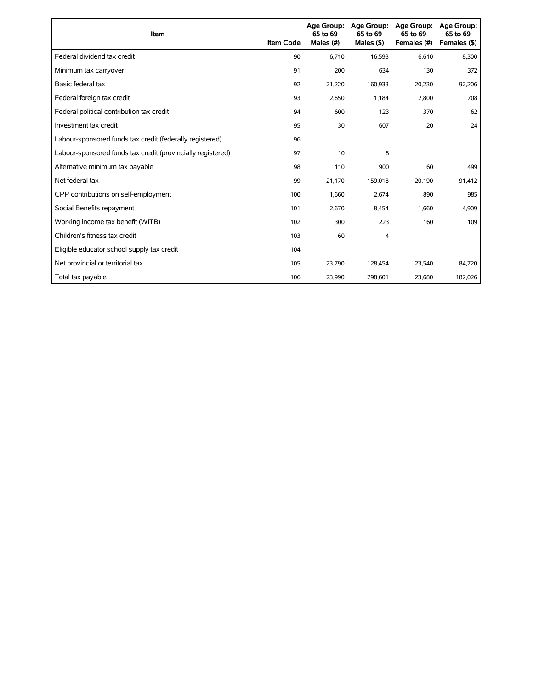| Item                                                        | <b>Item Code</b> | 65 to 69<br>Males (#) | Age Group: Age Group:<br>65 to 69<br>Males $(§)$ | Age Group:<br>65 to 69<br>Females (#) | Age Group:<br>65 to 69<br>Females (\$) |
|-------------------------------------------------------------|------------------|-----------------------|--------------------------------------------------|---------------------------------------|----------------------------------------|
| Federal dividend tax credit                                 | 90               | 6,710                 | 16,593                                           | 6,610                                 | 8,300                                  |
| Minimum tax carryover                                       | 91               | 200                   | 634                                              | 130                                   | 372                                    |
| Basic federal tax                                           | 92               | 21,220                | 160,933                                          | 20,230                                | 92,206                                 |
| Federal foreign tax credit                                  | 93               | 2,650                 | 1,184                                            | 2,800                                 | 708                                    |
| Federal political contribution tax credit                   | 94               | 600                   | 123                                              | 370                                   | 62                                     |
| Investment tax credit                                       | 95               | 30                    | 607                                              | 20                                    | 24                                     |
| Labour-sponsored funds tax credit (federally registered)    | 96               |                       |                                                  |                                       |                                        |
| Labour-sponsored funds tax credit (provincially registered) | 97               | 10                    | 8                                                |                                       |                                        |
| Alternative minimum tax payable                             | 98               | 110                   | 900                                              | 60                                    | 499                                    |
| Net federal tax                                             | 99               | 21,170                | 159,018                                          | 20,190                                | 91,412                                 |
| CPP contributions on self-employment                        | 100              | 1,660                 | 2,674                                            | 890                                   | 985                                    |
| Social Benefits repayment                                   | 101              | 2,670                 | 8,454                                            | 1,660                                 | 4,909                                  |
| Working income tax benefit (WITB)                           | 102              | 300                   | 223                                              | 160                                   | 109                                    |
| Children's fitness tax credit                               | 103              | 60                    | 4                                                |                                       |                                        |
| Eligible educator school supply tax credit                  | 104              |                       |                                                  |                                       |                                        |
| Net provincial or territorial tax                           | 105              | 23,790                | 128,454                                          | 23,540                                | 84,720                                 |
| Total tax payable                                           | 106              | 23,990                | 298,601                                          | 23,680                                | 182,026                                |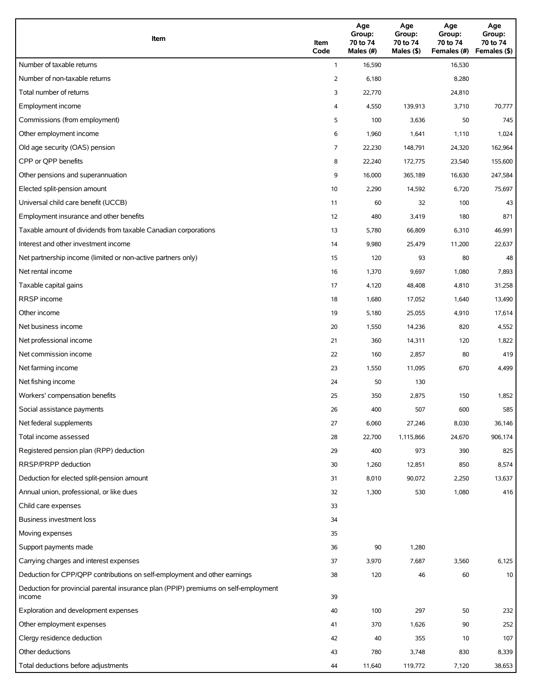| Item                                                                                          | Item<br>Code | Age<br>Group:<br>70 to 74<br>Males (#) | Age<br>Group:<br>70 to 74<br>Males (\$) | Age<br>Group:<br>70 to 74<br>Females (#) | Age<br>Group:<br>70 to 74<br>Females (\$) |
|-----------------------------------------------------------------------------------------------|--------------|----------------------------------------|-----------------------------------------|------------------------------------------|-------------------------------------------|
| Number of taxable returns                                                                     | $\mathbf{1}$ | 16,590                                 |                                         | 16,530                                   |                                           |
| Number of non-taxable returns                                                                 | 2            | 6,180                                  |                                         | 8,280                                    |                                           |
| Total number of returns                                                                       | 3            | 22,770                                 |                                         | 24,810                                   |                                           |
| Employment income                                                                             | 4            | 4,550                                  | 139,913                                 | 3,710                                    | 70,777                                    |
| Commissions (from employment)                                                                 | 5            | 100                                    | 3,636                                   | 50                                       | 745                                       |
| Other employment income                                                                       | 6            | 1,960                                  | 1,641                                   | 1,110                                    | 1,024                                     |
| Old age security (OAS) pension                                                                | 7            | 22,230                                 | 148,791                                 | 24,320                                   | 162,964                                   |
| CPP or QPP benefits                                                                           | 8            | 22,240                                 | 172,775                                 | 23,540                                   | 155,600                                   |
| Other pensions and superannuation                                                             | 9            | 16,000                                 | 365,189                                 | 16,630                                   | 247,584                                   |
| Elected split-pension amount                                                                  | 10           | 2,290                                  | 14,592                                  | 6,720                                    | 75,697                                    |
| Universal child care benefit (UCCB)                                                           | 11           | 60                                     | 32                                      | 100                                      | 43                                        |
| Employment insurance and other benefits                                                       | 12           | 480                                    | 3,419                                   | 180                                      | 871                                       |
| Taxable amount of dividends from taxable Canadian corporations                                | 13           | 5,780                                  | 66,809                                  | 6,310                                    | 46,991                                    |
| Interest and other investment income                                                          | 14           | 9,980                                  | 25,479                                  | 11,200                                   | 22,637                                    |
| Net partnership income (limited or non-active partners only)                                  | 15           | 120                                    | 93                                      | 80                                       | 48                                        |
| Net rental income                                                                             | 16           | 1,370                                  | 9,697                                   | 1,080                                    | 7,893                                     |
| Taxable capital gains                                                                         | 17           | 4,120                                  | 48,408                                  | 4,810                                    | 31,258                                    |
| <b>RRSP</b> income                                                                            | 18           | 1,680                                  | 17,052                                  | 1,640                                    | 13,490                                    |
| Other income                                                                                  | 19           | 5,180                                  | 25,055                                  | 4,910                                    | 17,614                                    |
| Net business income                                                                           | 20           | 1,550                                  | 14,236                                  | 820                                      | 4,552                                     |
| Net professional income                                                                       | 21           | 360                                    | 14,311                                  | 120                                      | 1,822                                     |
| Net commission income                                                                         | 22           | 160                                    | 2,857                                   | 80                                       | 419                                       |
| Net farming income                                                                            | 23           | 1,550                                  | 11,095                                  | 670                                      | 4,499                                     |
| Net fishing income                                                                            | 24           | 50                                     | 130                                     |                                          |                                           |
| Workers' compensation benefits                                                                | 25           | 350                                    | 2,875                                   | 150                                      | 1,852                                     |
| Social assistance payments                                                                    | 26           | 400                                    | 507                                     | 600                                      | 585                                       |
| Net federal supplements                                                                       | 27           | 6,060                                  | 27,246                                  | 8,030                                    | 36,146                                    |
| Total income assessed                                                                         | 28           | 22,700                                 | 1,115,866                               | 24,670                                   | 906,174                                   |
| Registered pension plan (RPP) deduction                                                       | 29           | 400                                    | 973                                     | 390                                      | 825                                       |
| RRSP/PRPP deduction                                                                           | 30           | 1,260                                  | 12,851                                  | 850                                      | 8,574                                     |
| Deduction for elected split-pension amount                                                    | 31           | 8,010                                  | 90,072                                  | 2,250                                    | 13,637                                    |
| Annual union, professional, or like dues                                                      | 32           | 1,300                                  | 530                                     | 1,080                                    | 416                                       |
| Child care expenses                                                                           | 33           |                                        |                                         |                                          |                                           |
| Business investment loss                                                                      | 34           |                                        |                                         |                                          |                                           |
| Moving expenses                                                                               | 35           |                                        |                                         |                                          |                                           |
| Support payments made                                                                         | 36           | 90                                     | 1,280                                   |                                          |                                           |
| Carrying charges and interest expenses                                                        | 37           | 3,970                                  | 7,687                                   | 3,560                                    | 6,125                                     |
| Deduction for CPP/QPP contributions on self-employment and other earnings                     | 38           | 120                                    | 46                                      | 60                                       | 10                                        |
| Deduction for provincial parental insurance plan (PPIP) premiums on self-employment<br>income | 39           |                                        |                                         |                                          |                                           |
| Exploration and development expenses                                                          | 40           | 100                                    | 297                                     | 50                                       | 232                                       |
| Other employment expenses                                                                     | 41           | 370                                    | 1,626                                   | 90                                       | 252                                       |
| Clergy residence deduction                                                                    | 42           | 40                                     | 355                                     | 10                                       | 107                                       |
| Other deductions                                                                              | 43           | 780                                    | 3,748                                   | 830                                      | 8,339                                     |
| Total deductions before adjustments                                                           | 44           | 11,640                                 | 119,772                                 | 7,120                                    | 38,653                                    |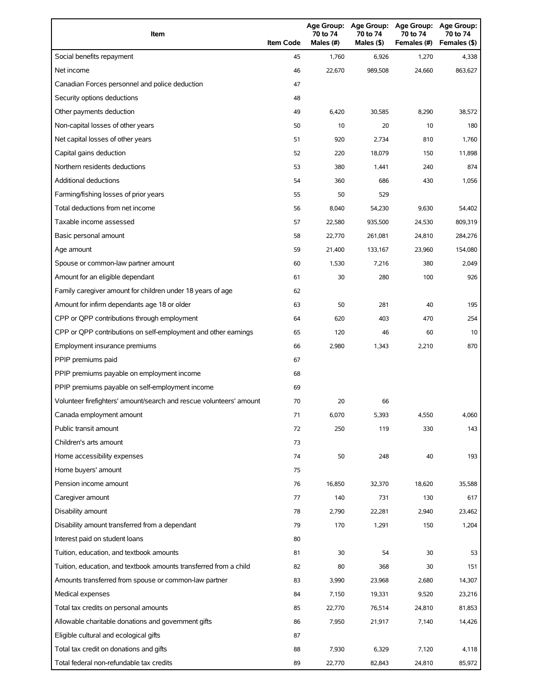| Item                                                                | <b>Item Code</b> | Age Group:<br>70 to 74<br>Males $(H)$ | <b>Age Group:</b><br>70 to 74<br>Males (\$) | <b>Age Group:</b><br>70 to 74<br>Females (#) | <b>Age Group:</b><br>70 to 74<br>Females (\$) |
|---------------------------------------------------------------------|------------------|---------------------------------------|---------------------------------------------|----------------------------------------------|-----------------------------------------------|
| Social benefits repayment                                           | 45               | 1,760                                 | 6,926                                       | 1,270                                        | 4,338                                         |
| Net income                                                          | 46               | 22,670                                | 989,508                                     | 24,660                                       | 863,627                                       |
| Canadian Forces personnel and police deduction                      | 47               |                                       |                                             |                                              |                                               |
| Security options deductions                                         | 48               |                                       |                                             |                                              |                                               |
| Other payments deduction                                            | 49               | 6,420                                 | 30,585                                      | 8,290                                        | 38,572                                        |
| Non-capital losses of other years                                   | 50               | 10                                    | 20                                          | 10                                           | 180                                           |
| Net capital losses of other years                                   | 51               | 920                                   | 2,734                                       | 810                                          | 1,760                                         |
| Capital gains deduction                                             | 52               | 220                                   | 18,079                                      | 150                                          | 11,898                                        |
| Northern residents deductions                                       | 53               | 380                                   | 1,441                                       | 240                                          | 874                                           |
| Additional deductions                                               | 54               | 360                                   | 686                                         | 430                                          | 1,056                                         |
| Farming/fishing losses of prior years                               | 55               | 50                                    | 529                                         |                                              |                                               |
| Total deductions from net income                                    | 56               | 8,040                                 | 54,230                                      | 9,630                                        | 54,402                                        |
| Taxable income assessed                                             | 57               | 22,580                                | 935,500                                     | 24,530                                       | 809,319                                       |
| Basic personal amount                                               | 58               | 22,770                                | 261,081                                     | 24,810                                       | 284,276                                       |
| Age amount                                                          | 59               | 21,400                                | 133,167                                     | 23,960                                       | 154,080                                       |
| Spouse or common-law partner amount                                 | 60               | 1,530                                 | 7,216                                       | 380                                          | 2,049                                         |
| Amount for an eligible dependant                                    | 61               | 30                                    | 280                                         | 100                                          | 926                                           |
| Family caregiver amount for children under 18 years of age          | 62               |                                       |                                             |                                              |                                               |
| Amount for infirm dependants age 18 or older                        | 63               | 50                                    | 281                                         | 40                                           | 195                                           |
| CPP or QPP contributions through employment                         | 64               | 620                                   | 403                                         | 470                                          | 254                                           |
| CPP or QPP contributions on self-employment and other earnings      | 65               | 120                                   | 46                                          | 60                                           | 10                                            |
| Employment insurance premiums                                       | 66               | 2,980                                 | 1,343                                       | 2,210                                        | 870                                           |
| PPIP premiums paid                                                  | 67               |                                       |                                             |                                              |                                               |
| PPIP premiums payable on employment income                          | 68               |                                       |                                             |                                              |                                               |
| PPIP premiums payable on self-employment income                     | 69               |                                       |                                             |                                              |                                               |
| Volunteer firefighters' amount/search and rescue volunteers' amount | 70               | 20                                    | 66                                          |                                              |                                               |
| Canada employment amount                                            | 71               | 6,070                                 | 5,393                                       | 4,550                                        | 4,060                                         |
| Public transit amount                                               | 72               | 250                                   | 119                                         | 330                                          | 143                                           |
| Children's arts amount                                              | 73               |                                       |                                             |                                              |                                               |
| Home accessibility expenses                                         | 74               | 50                                    | 248                                         | 40                                           | 193                                           |
| Home buyers' amount                                                 | 75               |                                       |                                             |                                              |                                               |
| Pension income amount                                               | 76               | 16,850                                | 32,370                                      | 18,620                                       | 35,588                                        |
| Caregiver amount                                                    | 77               | 140                                   | 731                                         | 130                                          | 617                                           |
| Disability amount                                                   | 78               | 2,790                                 | 22,281                                      | 2,940                                        | 23,462                                        |
| Disability amount transferred from a dependant                      | 79               | 170                                   | 1,291                                       | 150                                          | 1,204                                         |
| Interest paid on student loans                                      | 80               |                                       |                                             |                                              |                                               |
| Tuition, education, and textbook amounts                            | 81               | 30                                    | 54                                          | 30                                           | 53                                            |
| Tuition, education, and textbook amounts transferred from a child   | 82               | 80                                    | 368                                         | 30                                           | 151                                           |
| Amounts transferred from spouse or common-law partner               | 83               | 3,990                                 | 23,968                                      | 2,680                                        | 14,307                                        |
| Medical expenses                                                    | 84               | 7,150                                 | 19,331                                      | 9,520                                        | 23,216                                        |
| Total tax credits on personal amounts                               | 85               | 22,770                                | 76,514                                      | 24,810                                       | 81,853                                        |
| Allowable charitable donations and government gifts                 | 86               | 7,950                                 | 21,917                                      | 7,140                                        | 14,426                                        |
| Eligible cultural and ecological gifts                              | 87               |                                       |                                             |                                              |                                               |
| Total tax credit on donations and gifts                             | 88               | 7,930                                 | 6,329                                       | 7,120                                        | 4,118                                         |
| Total federal non-refundable tax credits                            | 89               | 22,770                                | 82,843                                      | 24,810                                       | 85,972                                        |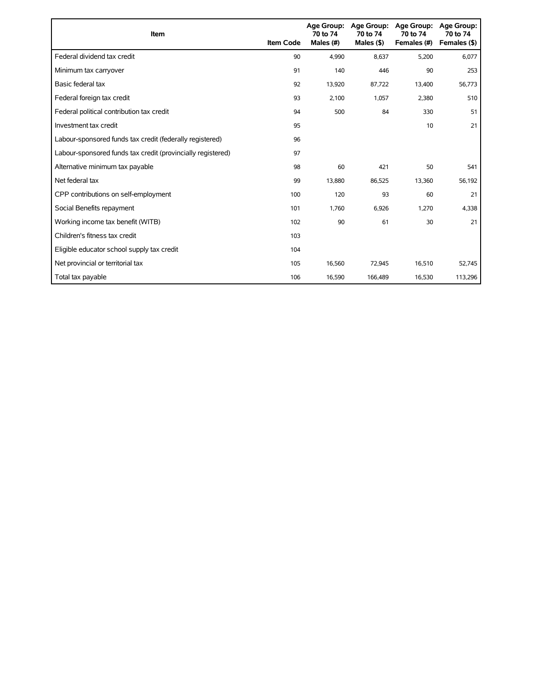| Item                                                        | <b>Item Code</b> | 70 to 74<br>Males (#) | Age Group: Age Group:<br>70 to 74<br>Males $($ \$) | <b>Age Group:</b><br>70 to 74<br>Females (#) | <b>Age Group:</b><br>70 to 74<br>Females (\$) |
|-------------------------------------------------------------|------------------|-----------------------|----------------------------------------------------|----------------------------------------------|-----------------------------------------------|
| Federal dividend tax credit                                 | 90               | 4.990                 | 8.637                                              | 5,200                                        | 6,077                                         |
| Minimum tax carryover                                       | 91               | 140                   | 446                                                | 90                                           | 253                                           |
| Basic federal tax                                           | 92               | 13,920                | 87,722                                             | 13,400                                       | 56,773                                        |
| Federal foreign tax credit                                  | 93               | 2,100                 | 1,057                                              | 2,380                                        | 510                                           |
| Federal political contribution tax credit                   | 94               | 500                   | 84                                                 | 330                                          | 51                                            |
| Investment tax credit                                       | 95               |                       |                                                    | 10                                           | 21                                            |
| Labour-sponsored funds tax credit (federally registered)    | 96               |                       |                                                    |                                              |                                               |
| Labour-sponsored funds tax credit (provincially registered) | 97               |                       |                                                    |                                              |                                               |
| Alternative minimum tax payable                             | 98               | 60                    | 421                                                | 50                                           | 541                                           |
| Net federal tax                                             | 99               | 13,880                | 86,525                                             | 13,360                                       | 56,192                                        |
| CPP contributions on self-employment                        | 100              | 120                   | 93                                                 | 60                                           | 21                                            |
| Social Benefits repayment                                   | 101              | 1,760                 | 6,926                                              | 1,270                                        | 4,338                                         |
| Working income tax benefit (WITB)                           | 102              | 90                    | 61                                                 | 30                                           | 21                                            |
| Children's fitness tax credit                               | 103              |                       |                                                    |                                              |                                               |
| Eligible educator school supply tax credit                  | 104              |                       |                                                    |                                              |                                               |
| Net provincial or territorial tax                           | 105              | 16,560                | 72,945                                             | 16,510                                       | 52,745                                        |
| Total tax payable                                           | 106              | 16,590                | 166,489                                            | 16,530                                       | 113,296                                       |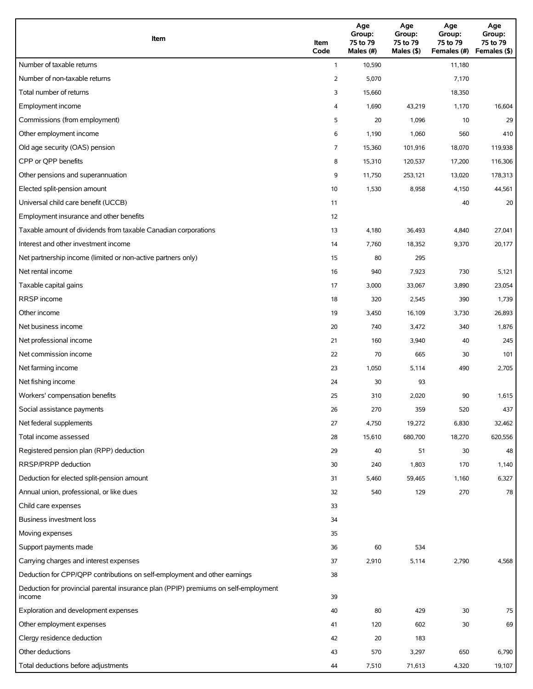| Item                                                                                          | Item<br>Code   | Age<br>Group:<br>75 to 79<br>Males (#) | Age<br>Group:<br>75 to 79<br>Males (\$) | Age<br>Group:<br>75 to 79<br>Females (#) | Age<br>Group:<br>75 to 79<br>Females (\$) |
|-----------------------------------------------------------------------------------------------|----------------|----------------------------------------|-----------------------------------------|------------------------------------------|-------------------------------------------|
| Number of taxable returns                                                                     | $\mathbf{1}$   | 10,590                                 |                                         | 11,180                                   |                                           |
| Number of non-taxable returns                                                                 | $\overline{2}$ | 5,070                                  |                                         | 7,170                                    |                                           |
| Total number of returns                                                                       | 3              | 15,660                                 |                                         | 18,350                                   |                                           |
| Employment income                                                                             | 4              | 1,690                                  | 43,219                                  | 1,170                                    | 16,604                                    |
| Commissions (from employment)                                                                 | 5              | 20                                     | 1,096                                   | 10                                       | 29                                        |
| Other employment income                                                                       | 6              | 1,190                                  | 1,060                                   | 560                                      | 410                                       |
| Old age security (OAS) pension                                                                | 7              | 15,360                                 | 101,916                                 | 18,070                                   | 119,938                                   |
| CPP or QPP benefits                                                                           | 8              | 15,310                                 | 120,537                                 | 17,200                                   | 116,306                                   |
| Other pensions and superannuation                                                             | 9              | 11,750                                 | 253,121                                 | 13,020                                   | 178,313                                   |
| Elected split-pension amount                                                                  | 10             | 1,530                                  | 8,958                                   | 4,150                                    | 44,561                                    |
| Universal child care benefit (UCCB)                                                           | 11             |                                        |                                         | 40                                       | 20                                        |
| Employment insurance and other benefits                                                       | 12             |                                        |                                         |                                          |                                           |
| Taxable amount of dividends from taxable Canadian corporations                                | 13             | 4,180                                  | 36,493                                  | 4,840                                    | 27,041                                    |
| Interest and other investment income                                                          | 14             | 7,760                                  | 18,352                                  | 9,370                                    | 20,177                                    |
| Net partnership income (limited or non-active partners only)                                  | 15             | 80                                     | 295                                     |                                          |                                           |
| Net rental income                                                                             | 16             | 940                                    | 7,923                                   | 730                                      | 5,121                                     |
| Taxable capital gains                                                                         | 17             | 3,000                                  | 33,067                                  | 3,890                                    | 23,054                                    |
| <b>RRSP</b> income                                                                            | 18             | 320                                    | 2,545                                   | 390                                      | 1,739                                     |
| Other income                                                                                  | 19             | 3,450                                  | 16,109                                  | 3,730                                    | 26,893                                    |
| Net business income                                                                           | 20             | 740                                    | 3,472                                   | 340                                      | 1,876                                     |
| Net professional income                                                                       | 21             | 160                                    | 3,940                                   | 40                                       | 245                                       |
| Net commission income                                                                         | 22             | 70                                     | 665                                     | 30                                       | 101                                       |
| Net farming income                                                                            | 23             | 1,050                                  | 5,114                                   | 490                                      | 2,705                                     |
| Net fishing income                                                                            | 24             | 30                                     | 93                                      |                                          |                                           |
| Workers' compensation benefits                                                                | 25             | 310                                    | 2,020                                   | 90                                       | 1,615                                     |
| Social assistance payments                                                                    | 26             | 270                                    | 359                                     | 520                                      | 437                                       |
| Net federal supplements                                                                       | 27             | 4,750                                  | 19,272                                  | 6,830                                    | 32,462                                    |
| Total income assessed                                                                         | 28             | 15,610                                 | 680,700                                 | 18,270                                   | 620,556                                   |
| Registered pension plan (RPP) deduction                                                       | 29             | 40                                     | 51                                      | 30                                       | 48                                        |
| RRSP/PRPP deduction                                                                           | 30             | 240                                    | 1,803                                   | 170                                      | 1,140                                     |
| Deduction for elected split-pension amount                                                    | 31             | 5,460                                  | 59,465                                  | 1,160                                    | 6,327                                     |
| Annual union, professional, or like dues                                                      | 32             | 540                                    | 129                                     | 270                                      | 78                                        |
| Child care expenses                                                                           | 33             |                                        |                                         |                                          |                                           |
| Business investment loss                                                                      | 34             |                                        |                                         |                                          |                                           |
| Moving expenses                                                                               | 35             |                                        |                                         |                                          |                                           |
| Support payments made                                                                         | 36             | 60                                     | 534                                     |                                          |                                           |
| Carrying charges and interest expenses                                                        | 37             | 2,910                                  | 5,114                                   | 2,790                                    | 4,568                                     |
| Deduction for CPP/QPP contributions on self-employment and other earnings                     | 38             |                                        |                                         |                                          |                                           |
| Deduction for provincial parental insurance plan (PPIP) premiums on self-employment<br>income | 39             |                                        |                                         |                                          |                                           |
| Exploration and development expenses                                                          | 40             | 80                                     | 429                                     | 30                                       | 75                                        |
| Other employment expenses                                                                     | 41             | 120                                    | 602                                     | 30                                       | 69                                        |
| Clergy residence deduction                                                                    | 42             | 20                                     | 183                                     |                                          |                                           |
| Other deductions                                                                              | 43             | 570                                    | 3,297                                   | 650                                      | 6,790                                     |
| Total deductions before adjustments                                                           | 44             | 7,510                                  | 71,613                                  | 4,320                                    | 19,107                                    |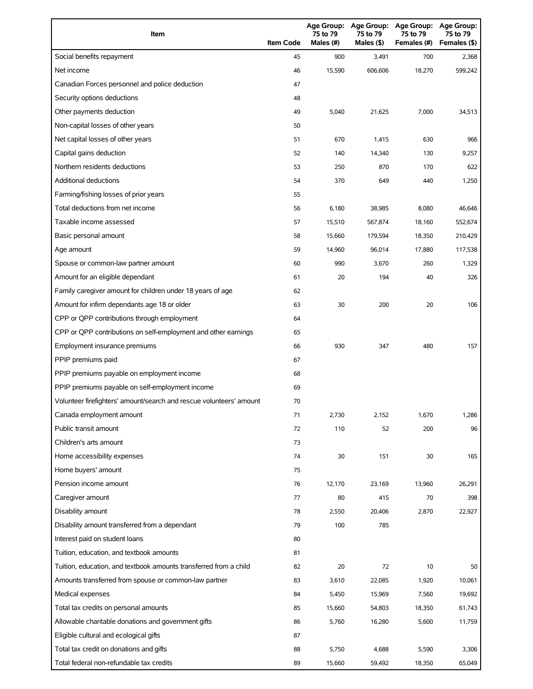| Item                                                                | <b>Item Code</b> | 75 to 79<br>Males (#) | Age Group: Age Group:<br>75 to 79<br>Males (\$) | <b>Age Group:</b><br>75 to 79<br>Females (#) | Age Group:<br>75 to 79<br>Females (\$) |
|---------------------------------------------------------------------|------------------|-----------------------|-------------------------------------------------|----------------------------------------------|----------------------------------------|
| Social benefits repayment                                           | 45               | 900                   | 3,491                                           | 700                                          | 2,368                                  |
| Net income                                                          | 46               | 15,590                | 606,606                                         | 18,270                                       | 599,242                                |
| Canadian Forces personnel and police deduction                      | 47               |                       |                                                 |                                              |                                        |
| Security options deductions                                         | 48               |                       |                                                 |                                              |                                        |
| Other payments deduction                                            | 49               | 5,040                 | 21,625                                          | 7,000                                        | 34,513                                 |
| Non-capital losses of other years                                   | 50               |                       |                                                 |                                              |                                        |
| Net capital losses of other years                                   | 51               | 670                   | 1,415                                           | 630                                          | 966                                    |
| Capital gains deduction                                             | 52               | 140                   | 14,340                                          | 130                                          | 9,257                                  |
| Northern residents deductions                                       | 53               | 250                   | 870                                             | 170                                          | 622                                    |
| <b>Additional deductions</b>                                        | 54               | 370                   | 649                                             | 440                                          | 1,250                                  |
| Farming/fishing losses of prior years                               | 55               |                       |                                                 |                                              |                                        |
| Total deductions from net income                                    | 56               | 6,180                 | 38,985                                          | 8,080                                        | 46,646                                 |
| Taxable income assessed                                             | 57               | 15,510                | 567,874                                         | 18,160                                       | 552,674                                |
| Basic personal amount                                               | 58               | 15,660                | 179,594                                         | 18,350                                       | 210,429                                |
| Age amount                                                          | 59               | 14,960                | 96,014                                          | 17,880                                       | 117,538                                |
| Spouse or common-law partner amount                                 | 60               | 990                   | 3,670                                           | 260                                          | 1,329                                  |
| Amount for an eligible dependant                                    | 61               | 20                    | 194                                             | 40                                           | 326                                    |
| Family caregiver amount for children under 18 years of age          | 62               |                       |                                                 |                                              |                                        |
| Amount for infirm dependants age 18 or older                        | 63               | 30                    | 200                                             | 20                                           | 106                                    |
| CPP or QPP contributions through employment                         | 64               |                       |                                                 |                                              |                                        |
| CPP or QPP contributions on self-employment and other earnings      | 65               |                       |                                                 |                                              |                                        |
| Employment insurance premiums                                       | 66               | 930                   | 347                                             | 480                                          | 157                                    |
| PPIP premiums paid                                                  | 67               |                       |                                                 |                                              |                                        |
| PPIP premiums payable on employment income                          | 68               |                       |                                                 |                                              |                                        |
| PPIP premiums payable on self-employment income                     | 69               |                       |                                                 |                                              |                                        |
| Volunteer firefighters' amount/search and rescue volunteers' amount | 70               |                       |                                                 |                                              |                                        |
| Canada employment amount                                            | 71               | 2,730                 | 2,152                                           | 1,670                                        | 1,286                                  |
| Public transit amount                                               | 72               | 110                   | 52                                              | 200                                          | 96                                     |
| Children's arts amount                                              | 73               |                       |                                                 |                                              |                                        |
| Home accessibility expenses                                         | 74               | 30                    | 151                                             | 30                                           | 165                                    |
| Home buyers' amount                                                 | 75               |                       |                                                 |                                              |                                        |
| Pension income amount                                               | 76               | 12,170                | 23,169                                          | 13,960                                       | 26,291                                 |
| Caregiver amount                                                    | 77               | 80                    | 415                                             | 70                                           | 398                                    |
| Disability amount                                                   | 78               | 2,550                 | 20,406                                          | 2,870                                        | 22,927                                 |
| Disability amount transferred from a dependant                      | 79               | 100                   | 785                                             |                                              |                                        |
| Interest paid on student loans                                      | 80               |                       |                                                 |                                              |                                        |
| Tuition, education, and textbook amounts                            | 81               |                       |                                                 |                                              |                                        |
| Tuition, education, and textbook amounts transferred from a child   | 82               | 20                    | 72                                              | 10                                           | 50                                     |
| Amounts transferred from spouse or common-law partner               | 83               | 3,610                 | 22,085                                          | 1,920                                        | 10,061                                 |
| Medical expenses                                                    | 84               | 5,450                 | 15,969                                          | 7,560                                        | 19,692                                 |
| Total tax credits on personal amounts                               | 85               | 15,660                | 54,803                                          | 18,350                                       | 61,743                                 |
| Allowable charitable donations and government gifts                 | 86               | 5,760                 | 16,280                                          | 5,600                                        | 11,759                                 |
| Eligible cultural and ecological gifts                              | 87               |                       |                                                 |                                              |                                        |
| Total tax credit on donations and gifts                             | 88               | 5,750                 | 4,688                                           | 5,590                                        | 3,306                                  |
| Total federal non-refundable tax credits                            | 89               | 15,660                | 59,492                                          | 18,350                                       | 65,049                                 |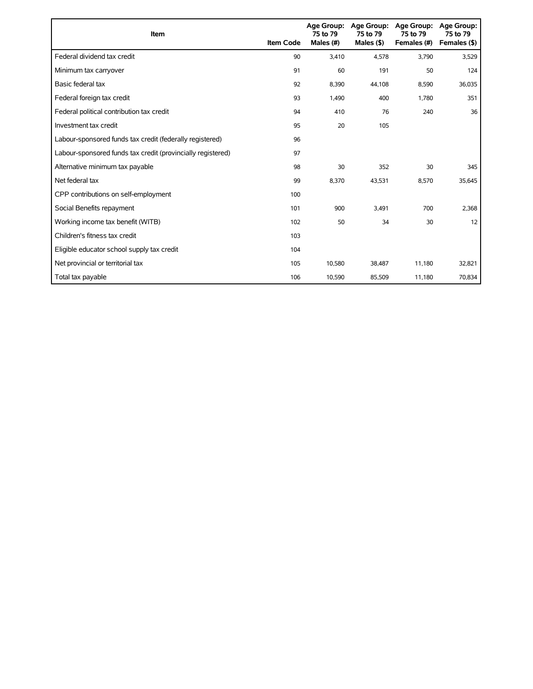| Item                                                        | <b>Item Code</b> | 75 to 79<br>Males (#) | Age Group: Age Group:<br>75 to 79<br>Males $(§)$ | <b>Age Group:</b><br>75 to 79<br>Females (#) | <b>Age Group:</b><br>75 to 79<br>Females (\$) |
|-------------------------------------------------------------|------------------|-----------------------|--------------------------------------------------|----------------------------------------------|-----------------------------------------------|
| Federal dividend tax credit                                 | 90               | 3,410                 | 4,578                                            | 3,790                                        | 3,529                                         |
| Minimum tax carryover                                       | 91               | 60                    | 191                                              | 50                                           | 124                                           |
| Basic federal tax                                           | 92               | 8,390                 | 44,108                                           | 8,590                                        | 36,035                                        |
| Federal foreign tax credit                                  | 93               | 1,490                 | 400                                              | 1,780                                        | 351                                           |
| Federal political contribution tax credit                   | 94               | 410                   | 76                                               | 240                                          | 36                                            |
| Investment tax credit                                       | 95               | 20                    | 105                                              |                                              |                                               |
| Labour-sponsored funds tax credit (federally registered)    | 96               |                       |                                                  |                                              |                                               |
| Labour-sponsored funds tax credit (provincially registered) | 97               |                       |                                                  |                                              |                                               |
| Alternative minimum tax payable                             | 98               | 30                    | 352                                              | 30                                           | 345                                           |
| Net federal tax                                             | 99               | 8,370                 | 43,531                                           | 8,570                                        | 35,645                                        |
| CPP contributions on self-employment                        | 100              |                       |                                                  |                                              |                                               |
| Social Benefits repayment                                   | 101              | 900                   | 3,491                                            | 700                                          | 2,368                                         |
| Working income tax benefit (WITB)                           | 102              | 50                    | 34                                               | 30                                           | 12                                            |
| Children's fitness tax credit                               | 103              |                       |                                                  |                                              |                                               |
| Eligible educator school supply tax credit                  | 104              |                       |                                                  |                                              |                                               |
| Net provincial or territorial tax                           | 105              | 10,580                | 38,487                                           | 11,180                                       | 32,821                                        |
| Total tax payable                                           | 106              | 10,590                | 85,509                                           | 11,180                                       | 70,834                                        |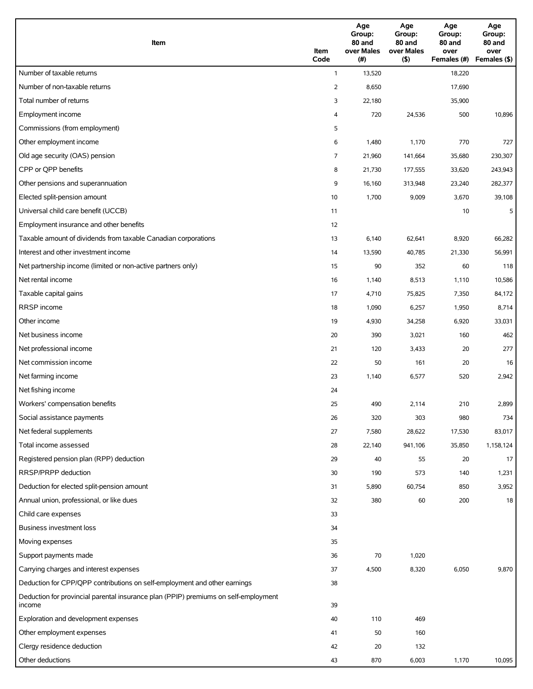| Item                                                                                          | Item<br>Code   | Age<br>Group:<br>80 and<br>over Males<br>(#) | Age<br>Group:<br>80 and<br>over Males<br>(5) | Age<br>Group:<br>80 and<br>over<br>Females (#) | Age<br>Group:<br>80 and<br>over<br>Females (\$) |
|-----------------------------------------------------------------------------------------------|----------------|----------------------------------------------|----------------------------------------------|------------------------------------------------|-------------------------------------------------|
| Number of taxable returns                                                                     | $\mathbf{1}$   | 13,520                                       |                                              | 18,220                                         |                                                 |
| Number of non-taxable returns                                                                 | $\overline{2}$ | 8,650                                        |                                              | 17,690                                         |                                                 |
| Total number of returns                                                                       | 3              | 22,180                                       |                                              | 35,900                                         |                                                 |
| Employment income                                                                             | 4              | 720                                          | 24,536                                       | 500                                            | 10,896                                          |
| Commissions (from employment)                                                                 | 5              |                                              |                                              |                                                |                                                 |
| Other employment income                                                                       | 6              | 1,480                                        | 1,170                                        | 770                                            | 727                                             |
| Old age security (OAS) pension                                                                | 7              | 21,960                                       | 141,664                                      | 35,680                                         | 230,307                                         |
| CPP or QPP benefits                                                                           | 8              | 21,730                                       | 177,555                                      | 33,620                                         | 243,943                                         |
| Other pensions and superannuation                                                             | 9              | 16,160                                       | 313,948                                      | 23,240                                         | 282,377                                         |
| Elected split-pension amount                                                                  | 10             | 1,700                                        | 9,009                                        | 3,670                                          | 39,108                                          |
| Universal child care benefit (UCCB)                                                           | 11             |                                              |                                              | 10                                             | 5                                               |
| Employment insurance and other benefits                                                       | 12             |                                              |                                              |                                                |                                                 |
| Taxable amount of dividends from taxable Canadian corporations                                |                |                                              |                                              |                                                |                                                 |
|                                                                                               | 13             | 6,140                                        | 62,641                                       | 8,920                                          | 66,282                                          |
| Interest and other investment income                                                          | 14             | 13,590                                       | 40,785                                       | 21,330                                         | 56,991                                          |
| Net partnership income (limited or non-active partners only)                                  | 15             | 90                                           | 352                                          | 60                                             | 118                                             |
| Net rental income                                                                             | 16             | 1,140                                        | 8,513                                        | 1,110                                          | 10,586                                          |
| Taxable capital gains                                                                         | 17             | 4,710                                        | 75,825                                       | 7,350                                          | 84,172                                          |
| RRSP income                                                                                   | 18             | 1,090                                        | 6,257                                        | 1,950                                          | 8,714                                           |
| Other income                                                                                  | 19             | 4,930                                        | 34,258                                       | 6,920                                          | 33,031                                          |
| Net business income                                                                           | 20             | 390                                          | 3,021                                        | 160                                            | 462                                             |
| Net professional income                                                                       | 21             | 120                                          | 3,433                                        | 20                                             | 277                                             |
| Net commission income                                                                         | 22             | 50                                           | 161                                          | 20                                             | 16                                              |
| Net farming income                                                                            | 23             | 1,140                                        | 6,577                                        | 520                                            | 2,942                                           |
| Net fishing income                                                                            | 24             |                                              |                                              |                                                |                                                 |
| Workers' compensation benefits                                                                | 25             | 490                                          | 2,114                                        | 210                                            | 2,899                                           |
| Social assistance payments                                                                    | 26             | 320                                          | 303                                          | 980                                            | 734                                             |
| Net federal supplements                                                                       | 27             | 7,580                                        | 28,622                                       | 17,530                                         | 83,017                                          |
| Total income assessed                                                                         | 28             | 22,140                                       | 941,106                                      | 35,850                                         | 1,158,124                                       |
| Registered pension plan (RPP) deduction                                                       | 29             | 40                                           | 55                                           | 20                                             | 17                                              |
| RRSP/PRPP deduction                                                                           | 30             | 190                                          | 573                                          | 140                                            | 1,231                                           |
| Deduction for elected split-pension amount                                                    | 31             | 5,890                                        | 60,754                                       | 850                                            | 3,952                                           |
| Annual union, professional, or like dues                                                      | 32             | 380                                          | 60                                           | 200                                            | 18                                              |
| Child care expenses                                                                           | 33             |                                              |                                              |                                                |                                                 |
| Business investment loss                                                                      | 34             |                                              |                                              |                                                |                                                 |
| Moving expenses                                                                               | 35             |                                              |                                              |                                                |                                                 |
| Support payments made                                                                         | 36             | 70                                           | 1,020                                        |                                                |                                                 |
| Carrying charges and interest expenses                                                        | 37             | 4,500                                        | 8,320                                        | 6,050                                          | 9,870                                           |
| Deduction for CPP/QPP contributions on self-employment and other earnings                     | 38             |                                              |                                              |                                                |                                                 |
| Deduction for provincial parental insurance plan (PPIP) premiums on self-employment<br>income | 39             |                                              |                                              |                                                |                                                 |
| Exploration and development expenses                                                          | 40             | 110                                          | 469                                          |                                                |                                                 |
| Other employment expenses                                                                     | 41             | 50                                           | 160                                          |                                                |                                                 |
| Clergy residence deduction                                                                    | 42             | 20                                           | 132                                          |                                                |                                                 |
| Other deductions                                                                              | 43             | 870                                          | 6,003                                        | 1,170                                          | 10,095                                          |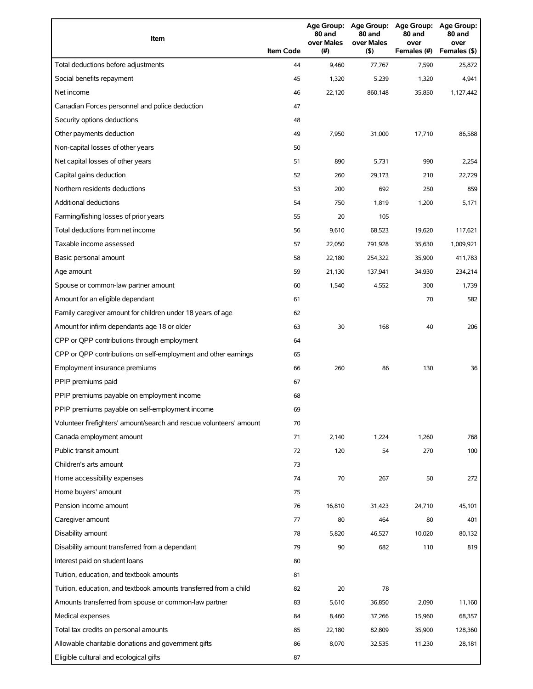| Item                                                                | <b>Item Code</b> | 80 and<br>over Males<br>(#) | 80 and<br>over Males<br>(5) | Age Group: Age Group: Age Group: Age Group:<br>80 and<br>over<br>Females (#) | 80 and<br>over<br>Females (\$) |
|---------------------------------------------------------------------|------------------|-----------------------------|-----------------------------|------------------------------------------------------------------------------|--------------------------------|
| Total deductions before adjustments                                 | 44               | 9,460                       | 77,767                      | 7,590                                                                        | 25,872                         |
| Social benefits repayment                                           | 45               | 1,320                       | 5,239                       | 1,320                                                                        | 4,941                          |
| Net income                                                          | 46               | 22,120                      | 860,148                     | 35,850                                                                       | 1,127,442                      |
| Canadian Forces personnel and police deduction                      | 47               |                             |                             |                                                                              |                                |
| Security options deductions                                         | 48               |                             |                             |                                                                              |                                |
| Other payments deduction                                            | 49               | 7,950                       | 31,000                      | 17,710                                                                       | 86,588                         |
| Non-capital losses of other years                                   | 50               |                             |                             |                                                                              |                                |
| Net capital losses of other years                                   | 51               | 890                         | 5,731                       | 990                                                                          | 2,254                          |
| Capital gains deduction                                             | 52               | 260                         | 29,173                      | 210                                                                          | 22,729                         |
| Northern residents deductions                                       | 53               | 200                         | 692                         | 250                                                                          | 859                            |
| <b>Additional deductions</b>                                        | 54               | 750                         | 1,819                       | 1,200                                                                        | 5,171                          |
| Farming/fishing losses of prior years                               | 55               | 20                          | 105                         |                                                                              |                                |
| Total deductions from net income                                    | 56               | 9,610                       | 68,523                      | 19,620                                                                       | 117,621                        |
| Taxable income assessed                                             | 57               | 22,050                      | 791,928                     | 35,630                                                                       | 1,009,921                      |
| Basic personal amount                                               | 58               | 22,180                      | 254,322                     | 35,900                                                                       | 411,783                        |
| Age amount                                                          | 59               | 21,130                      | 137,941                     | 34,930                                                                       | 234,214                        |
| Spouse or common-law partner amount                                 | 60               | 1,540                       | 4,552                       | 300                                                                          | 1,739                          |
| Amount for an eligible dependant                                    | 61               |                             |                             | 70                                                                           | 582                            |
| Family caregiver amount for children under 18 years of age          | 62               |                             |                             |                                                                              |                                |
| Amount for infirm dependants age 18 or older                        | 63               | 30                          | 168                         | 40                                                                           | 206                            |
| CPP or QPP contributions through employment                         | 64               |                             |                             |                                                                              |                                |
| CPP or QPP contributions on self-employment and other earnings      | 65               |                             |                             |                                                                              |                                |
| Employment insurance premiums                                       | 66               | 260                         | 86                          | 130                                                                          | 36                             |
| PPIP premiums paid                                                  | 67               |                             |                             |                                                                              |                                |
| PPIP premiums payable on employment income                          | 68               |                             |                             |                                                                              |                                |
| PPIP premiums payable on self-employment income                     | 69               |                             |                             |                                                                              |                                |
| Volunteer firefighters' amount/search and rescue volunteers' amount | 70               |                             |                             |                                                                              |                                |
| Canada employment amount                                            | 71               | 2,140                       | 1,224                       | 1,260                                                                        | 768                            |
| Public transit amount                                               | 72               | 120                         | 54                          | 270                                                                          | 100                            |
| Children's arts amount                                              | 73               |                             |                             |                                                                              |                                |
| Home accessibility expenses                                         | 74               | 70                          | 267                         | 50                                                                           | 272                            |
| Home buyers' amount                                                 | 75               |                             |                             |                                                                              |                                |
| Pension income amount                                               | 76               | 16,810                      | 31,423                      | 24,710                                                                       | 45,101                         |
| Caregiver amount                                                    | 77               | 80                          | 464                         | 80                                                                           | 401                            |
| Disability amount                                                   | 78               | 5,820                       | 46,527                      | 10,020                                                                       | 80,132                         |
| Disability amount transferred from a dependant                      | 79               | 90                          | 682                         | 110                                                                          | 819                            |
| Interest paid on student loans                                      | 80               |                             |                             |                                                                              |                                |
| Tuition, education, and textbook amounts                            | 81               |                             |                             |                                                                              |                                |
| Tuition, education, and textbook amounts transferred from a child   | 82               | 20                          | 78                          |                                                                              |                                |
| Amounts transferred from spouse or common-law partner               | 83               | 5,610                       | 36,850                      | 2,090                                                                        | 11,160                         |
| Medical expenses                                                    | 84               | 8,460                       | 37,266                      | 15,960                                                                       | 68,357                         |
| Total tax credits on personal amounts                               | 85               | 22,180                      | 82,809                      | 35,900                                                                       | 128,360                        |
| Allowable charitable donations and government gifts                 | 86               | 8,070                       | 32,535                      | 11,230                                                                       | 28,181                         |
| Eligible cultural and ecological gifts                              | 87               |                             |                             |                                                                              |                                |